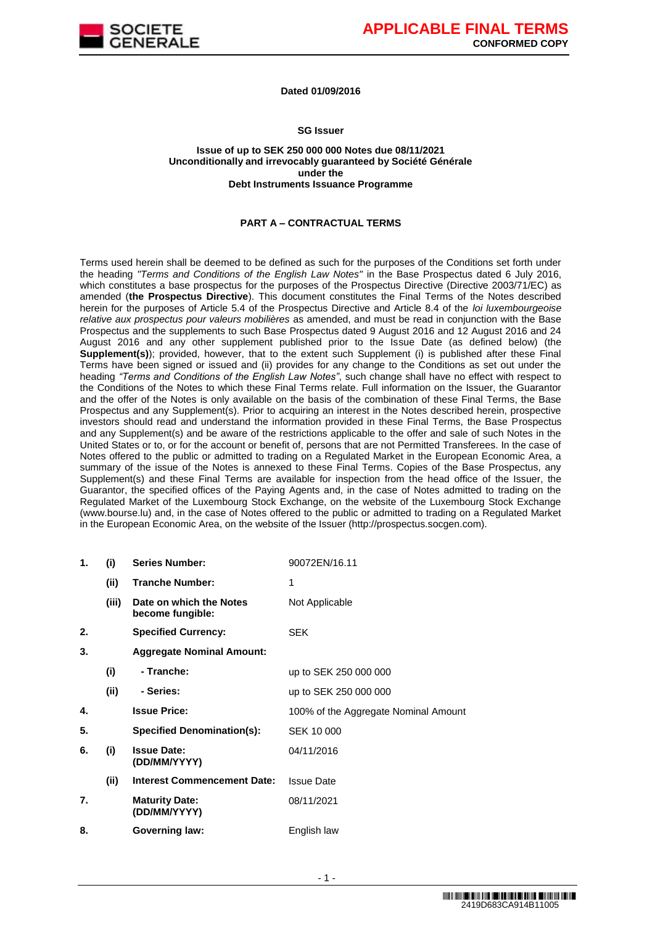

## **Dated 01/09/2016**

## **SG Issuer**

#### **Issue of up to SEK 250 000 000 Notes due 08/11/2021 Unconditionally and irrevocably guaranteed by Société Générale under the Debt Instruments Issuance Programme**

## **PART A – CONTRACTUAL TERMS**

Terms used herein shall be deemed to be defined as such for the purposes of the Conditions set forth under the heading *"Terms and Conditions of the English Law Notes"* in the Base Prospectus dated 6 July 2016, which constitutes a base prospectus for the purposes of the Prospectus Directive (Directive 2003/71/EC) as amended (**the Prospectus Directive**). This document constitutes the Final Terms of the Notes described herein for the purposes of Article 5.4 of the Prospectus Directive and Article 8.4 of the *loi luxembourgeoise relative aux prospectus pour valeurs mobilières* as amended, and must be read in conjunction with the Base Prospectus and the supplements to such Base Prospectus dated 9 August 2016 and 12 August 2016 and 24 August 2016 and any other supplement published prior to the Issue Date (as defined below) (the **Supplement(s)**); provided, however, that to the extent such Supplement (i) is published after these Final Terms have been signed or issued and (ii) provides for any change to the Conditions as set out under the heading *"Terms and Conditions of the English Law Notes"*, such change shall have no effect with respect to the Conditions of the Notes to which these Final Terms relate. Full information on the Issuer, the Guarantor and the offer of the Notes is only available on the basis of the combination of these Final Terms, the Base Prospectus and any Supplement(s). Prior to acquiring an interest in the Notes described herein, prospective investors should read and understand the information provided in these Final Terms, the Base Prospectus and any Supplement(s) and be aware of the restrictions applicable to the offer and sale of such Notes in the United States or to, or for the account or benefit of, persons that are not Permitted Transferees. In the case of Notes offered to the public or admitted to trading on a Regulated Market in the European Economic Area, a summary of the issue of the Notes is annexed to these Final Terms. Copies of the Base Prospectus, any Supplement(s) and these Final Terms are available for inspection from the head office of the Issuer, the Guarantor, the specified offices of the Paying Agents and, in the case of Notes admitted to trading on the Regulated Market of the Luxembourg Stock Exchange, on the website of the Luxembourg Stock Exchange (www.bourse.lu) and, in the case of Notes offered to the public or admitted to trading on a Regulated Market in the European Economic Area, on the website of the Issuer (http://prospectus.socgen.com).

| 1. | (i)   | <b>Series Number:</b>                       | 90072EN/16.11                        |
|----|-------|---------------------------------------------|--------------------------------------|
|    | (ii)  | <b>Tranche Number:</b>                      | 1                                    |
|    | (iii) | Date on which the Notes<br>become fungible: | Not Applicable                       |
| 2. |       | <b>Specified Currency:</b>                  | <b>SEK</b>                           |
| 3. |       | <b>Aggregate Nominal Amount:</b>            |                                      |
|    | (i)   | - Tranche:                                  | up to SEK 250 000 000                |
|    | (ii)  | - Series:                                   | up to SEK 250 000 000                |
| 4. |       | <b>Issue Price:</b>                         | 100% of the Aggregate Nominal Amount |
| 5. |       | <b>Specified Denomination(s):</b>           | SEK 10 000                           |
| 6. | (i)   | <b>Issue Date:</b><br>(DD/MM/YYYY)          | 04/11/2016                           |
|    | (ii)  | <b>Interest Commencement Date:</b>          | <b>Issue Date</b>                    |
| 7. |       | <b>Maturity Date:</b><br>(DD/MM/YYYY)       | 08/11/2021                           |
| 8. |       | Governing law:                              | English law                          |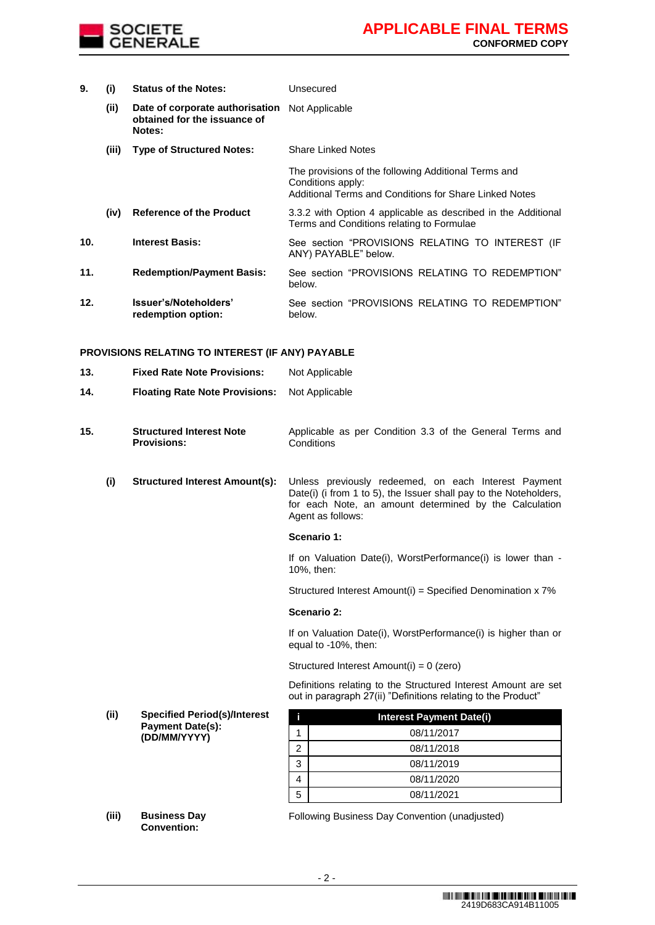

| 9.  | (i)   | <b>Status of the Notes:</b>                                               | Unsecured                                                                                                                           |  |
|-----|-------|---------------------------------------------------------------------------|-------------------------------------------------------------------------------------------------------------------------------------|--|
|     | (ii)  | Date of corporate authorisation<br>obtained for the issuance of<br>Notes: | Not Applicable                                                                                                                      |  |
|     | (iii) | <b>Type of Structured Notes:</b>                                          | <b>Share Linked Notes</b>                                                                                                           |  |
|     |       |                                                                           | The provisions of the following Additional Terms and<br>Conditions apply:<br>Additional Terms and Conditions for Share Linked Notes |  |
|     | (iv)  | <b>Reference of the Product</b>                                           | 3.3.2 with Option 4 applicable as described in the Additional<br>Terms and Conditions relating to Formulae                          |  |
| 10. |       | <b>Interest Basis:</b>                                                    | See section "PROVISIONS RELATING TO INTEREST (IF<br>ANY) PAYABLE" below.                                                            |  |
| 11. |       | <b>Redemption/Payment Basis:</b>                                          | See section "PROVISIONS RELATING TO REDEMPTION"<br>below.                                                                           |  |
| 12. |       | Issuer's/Noteholders'<br>redemption option:                               | See section "PROVISIONS RELATING TO REDEMPTION"<br>below.                                                                           |  |

## **PROVISIONS RELATING TO INTEREST (IF ANY) PAYABLE**

| 13. |      | <b>Fixed Rate Note Provisions:</b>                    | Not Applicable                                                                                                                                                                                           |  |
|-----|------|-------------------------------------------------------|----------------------------------------------------------------------------------------------------------------------------------------------------------------------------------------------------------|--|
| 14. |      | <b>Floating Rate Note Provisions:</b>                 | Not Applicable                                                                                                                                                                                           |  |
| 15. |      | <b>Structured Interest Note</b><br><b>Provisions:</b> | Applicable as per Condition 3.3 of the General Terms and<br>Conditions                                                                                                                                   |  |
|     | (i)  | <b>Structured Interest Amount(s):</b>                 | Unless previously redeemed, on each Interest Payment<br>Date(i) (i from 1 to 5), the Issuer shall pay to the Noteholders,<br>for each Note, an amount determined by the Calculation<br>Agent as follows: |  |
|     |      |                                                       | Scenario 1:                                                                                                                                                                                              |  |
|     |      |                                                       | If on Valuation Date(i), WorstPerformance(i) is lower than -<br>10%, then:                                                                                                                               |  |
|     |      |                                                       | Structured Interest Amount(i) = Specified Denomination x 7%                                                                                                                                              |  |
|     |      |                                                       | Scenario 2:                                                                                                                                                                                              |  |
|     |      |                                                       | If on Valuation Date(i), WorstPerformance(i) is higher than or<br>equal to -10%, then:                                                                                                                   |  |
|     |      |                                                       | Structured Interest Amount(i) = 0 (zero)                                                                                                                                                                 |  |
|     |      |                                                       | Definitions relating to the Structured Interest Amount are set<br>out in paragraph 27(ii) "Definitions relating to the Product"                                                                          |  |
|     | (ii) | <b>Specified Period(s)/Interest</b>                   | İ<br><b>Interest Payment Date(i)</b>                                                                                                                                                                     |  |
|     |      | <b>Payment Date(s):</b><br>(DD/MM/YYYY)               | 08/11/2017<br>1                                                                                                                                                                                          |  |
|     |      |                                                       | $\overline{2}$<br>08/11/2018                                                                                                                                                                             |  |
|     |      |                                                       | 3<br>08/11/2019                                                                                                                                                                                          |  |

**(iii) Business Day Convention:**

Following Business Day Convention (unadjusted)

4 08/11/2020 5 08/11/2021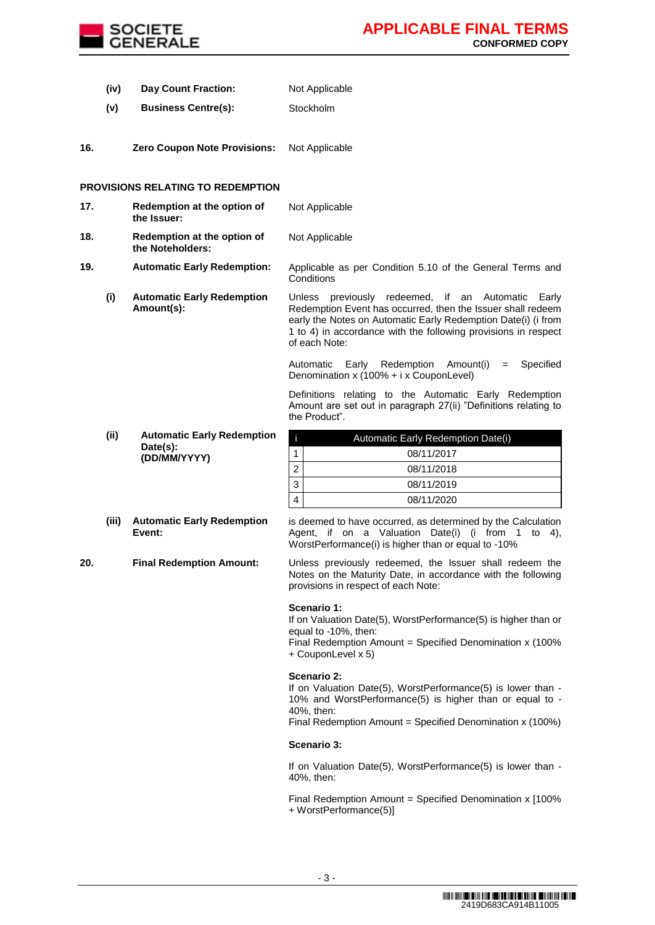

- **(iv) Day Count Fraction:** Not Applicable
- **(v) Business Centre(s):** Stockholm
- **16. Zero Coupon Note Provisions:** Not Applicable

## **PROVISIONS RELATING TO REDEMPTION**

| 17. | Redemption at the option of<br>the Issuer:      | Not Applicable                                                                                                                                                                                                                                                          |
|-----|-------------------------------------------------|-------------------------------------------------------------------------------------------------------------------------------------------------------------------------------------------------------------------------------------------------------------------------|
| 18. | Redemption at the option of<br>the Noteholders: | Not Applicable                                                                                                                                                                                                                                                          |
| 19. | <b>Automatic Early Redemption:</b>              | Applicable as per Condition 5.10 of the General Terms and<br>Conditions                                                                                                                                                                                                 |
| (i) | <b>Automatic Early Redemption</b><br>Amount(s): | previously redeemed, if an Automatic Early<br>Unless<br>Redemption Event has occurred, then the Issuer shall redeem<br>early the Notes on Automatic Early Redemption Date(i) (i from<br>1 to 4) in accordance with the following provisions in respect<br>of each Note: |
|     |                                                 | Redemption<br>Specified<br>Early<br>Amount(i)<br>Automatic<br>$=$<br>Denomination x (100% + i x CouponLevel)                                                                                                                                                            |

the Product".

**(ii) Automatic Early Redemption Date(s): (DD/MM/YYYY)**

| (iii) Automatic Early Redemption |
|----------------------------------|
| Event:                           |

is deemed to have occurred, as determined by the Calculation Agent, if on a Valuation Date(i) (i from 1 to 4), WorstPerformance(i) is higher than or equal to -10%

Definitions relating to the Automatic Early Redemption Amount are set out in paragraph 27(ii) "Definitions relating to

i Automatic Early Redemption Date(i)

 08/11/2017 08/11/2018 08/11/2019 08/11/2020

**20. Final Redemption Amount:** Unless previously redeemed, the Issuer shall redeem the Notes on the Maturity Date, in accordance with the following provisions in respect of each Note:

#### **Scenario 1:**

If on Valuation Date(5), WorstPerformance(5) is higher than or equal to -10%, then:

Final Redemption Amount = Specified Denomination x (100% + CouponLevel x 5)

#### **Scenario 2:**

If on Valuation Date(5), WorstPerformance(5) is lower than -10% and WorstPerformance(5) is higher than or equal to - 40%, then:

Final Redemption Amount = Specified Denomination x (100%)

#### **Scenario 3:**

If on Valuation Date(5), WorstPerformance(5) is lower than -40%, then:

Final Redemption Amount = Specified Denomination x [100% + WorstPerformance(5)]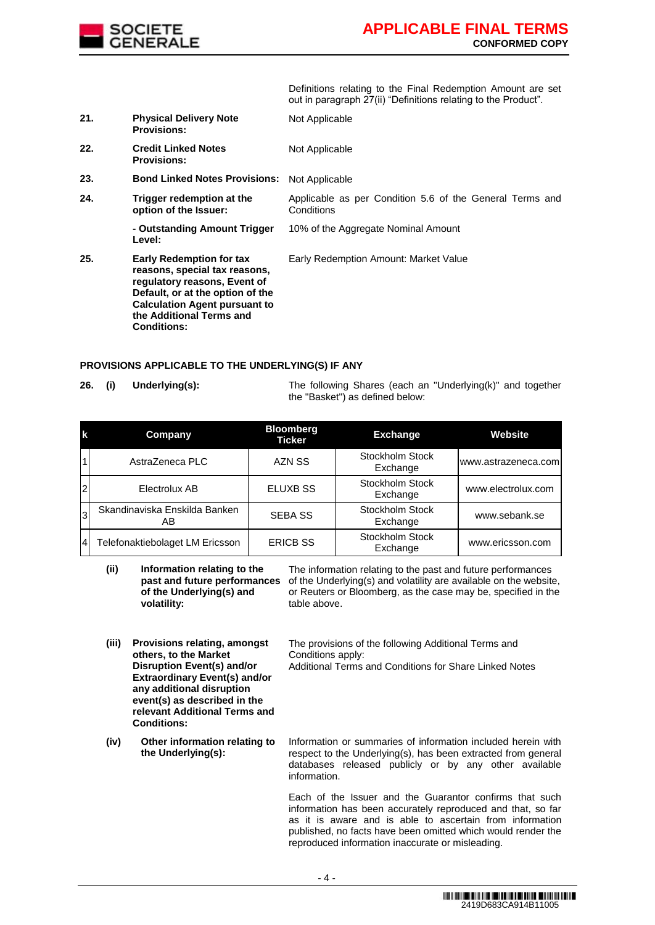

Definitions relating to the Final Redemption Amount are set out in paragraph 27(ii) "Definitions relating to the Product".

- **21. Physical Delivery Note Provisions:**
- **22. Credit Linked Notes Provisions:** Not Applicable
- **23. Bond Linked Notes Provisions:** Not Applicable
- **24. Trigger redemption at the option of the Issuer:** Applicable as per Condition 5.6 of the General Terms and Conditions 10% of the Aggregate Nominal Amount

Not Applicable

**- Outstanding Amount Trigger Level:**

**25. Early Redemption for tax reasons, special tax reasons, regulatory reasons, Event of Default, or at the option of the Calculation Agent pursuant to the Additional Terms and Conditions:**

Early Redemption Amount: Market Value

## **PROVISIONS APPLICABLE TO THE UNDERLYING(S) IF ANY**

**26. (i) Underlying(s):** The following Shares (each an "Underlying(k)" and together the "Basket") as defined below:

| k              | Company                              | <b>Bloomberg</b><br><b>Ticker</b> | <b>Exchange</b>             | Website             |
|----------------|--------------------------------------|-----------------------------------|-----------------------------|---------------------|
|                | AstraZeneca PLC                      | AZN SS                            | Stockholm Stock<br>Exchange | www.astrazeneca.com |
| 2              | Electrolux AB                        | <b>ELUXB SS</b>                   | Stockholm Stock<br>Exchange | www.electrolux.com  |
| l3             | Skandinaviska Enskilda Banken<br>AB. | <b>SEBA SS</b>                    | Stockholm Stock<br>Exchange | www.sebank.se       |
| $\overline{4}$ | Telefonaktiebolaget LM Ericsson      | <b>ERICB SS</b>                   | Stockholm Stock<br>Exchange | www.ericsson.com    |

Conditions apply:

**(ii) Information relating to the past and future performances of the Underlying(s) and volatility:**

The information relating to the past and future performances of the Underlying(s) and volatility are available on the website, or Reuters or Bloomberg, as the case may be, specified in the table above.

- **(iii) Provisions relating, amongst others, to the Market Disruption Event(s) and/or Extraordinary Event(s) and/or any additional disruption event(s) as described in the relevant Additional Terms and Conditions:**
- **(iv) Other information relating to the Underlying(s):**

Additional Terms and Conditions for Share Linked Notes

The provisions of the following Additional Terms and

Information or summaries of information included herein with respect to the Underlying(s), has been extracted from general databases released publicly or by any other available information.

Each of the Issuer and the Guarantor confirms that such information has been accurately reproduced and that, so far as it is aware and is able to ascertain from information published, no facts have been omitted which would render the reproduced information inaccurate or misleading.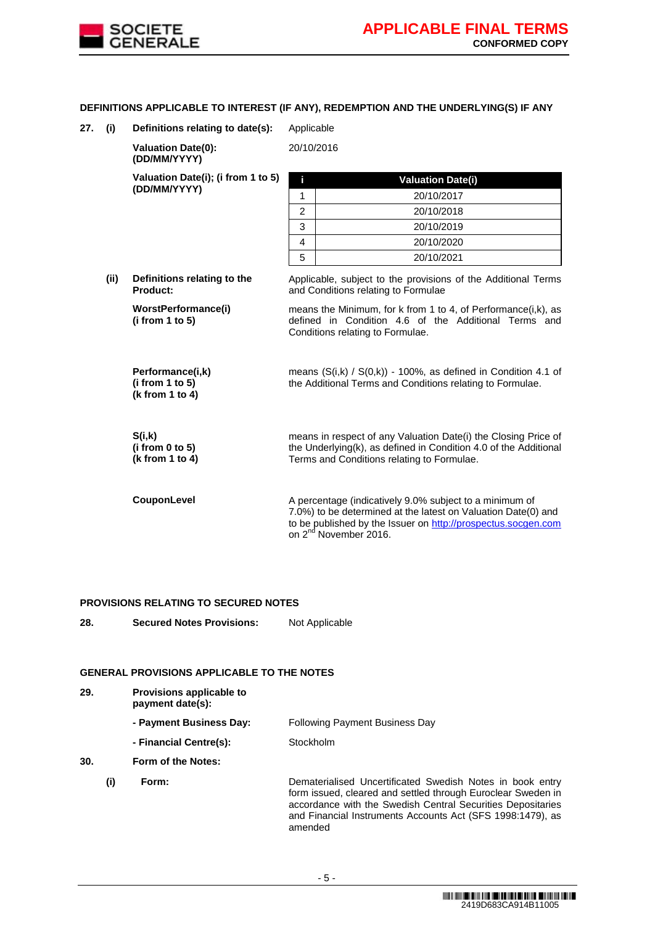

## **DEFINITIONS APPLICABLE TO INTEREST (IF ANY), REDEMPTION AND THE UNDERLYING(S) IF ANY**

**27. (i) Definitions relating to date(s):** Applicable

**Valuation Date(0): (DD/MM/YYYY)** 20/10/2016 **Valuation Date(i); (i from 1 to 5) (DD/MM/YYYY) i Valuation Date(i)** 1 20/10/2017

**(ii) Definitions relating to the Product:**

> **WorstPerformance(i) (i from 1 to 5)**

**Performance(i,k) (i from 1 to 5)**

**(k from 1 to 4)**

**S(i,k) (i from 0 to 5) (k from 1 to 4)** 3 20/10/2019 4 20/10/2020

2 20/10/2018

5 20/10/2021

Applicable, subject to the provisions of the Additional Terms and Conditions relating to Formulae

means the Minimum, for k from 1 to 4, of Performance(i,k), as defined in Condition 4.6 of the Additional Terms and Conditions relating to Formulae.

means (S(i,k) / S(0,k)) - 100%, as defined in Condition 4.1 of the Additional Terms and Conditions relating to Formulae.

means in respect of any Valuation Date(i) the Closing Price of the Underlying(k), as defined in Condition 4.0 of the Additional Terms and Conditions relating to Formulae.

**CouponLevel** A percentage (indicatively 9.0% subject to a minimum of 7.0%) to be determined at the latest on Valuation Date(0) and to be published by the Issuer o[n http://prospectus.socgen.com](http://prospectus.socgen.com/) on 2<sup>nd</sup> November 2016.

#### **PROVISIONS RELATING TO SECURED NOTES**

**28. Secured Notes Provisions:** Not Applicable

#### **GENERAL PROVISIONS APPLICABLE TO THE NOTES**

| 29. | <b>Provisions applicable to</b><br>payment date(s): |                                                                                                                                                                                                                                                        |  |  |
|-----|-----------------------------------------------------|--------------------------------------------------------------------------------------------------------------------------------------------------------------------------------------------------------------------------------------------------------|--|--|
|     | - Payment Business Day:                             | <b>Following Payment Business Day</b>                                                                                                                                                                                                                  |  |  |
|     | - Financial Centre(s):                              | Stockholm                                                                                                                                                                                                                                              |  |  |
| 30. | Form of the Notes:                                  |                                                                                                                                                                                                                                                        |  |  |
| (i) | Form:                                               | Dematerialised Uncertificated Swedish Notes in book entry<br>form issued, cleared and settled through Euroclear Sweden in<br>accordance with the Swedish Central Securities Depositaries<br>and Financial Instruments Accounts Act (SFS 1998:1479), as |  |  |

amended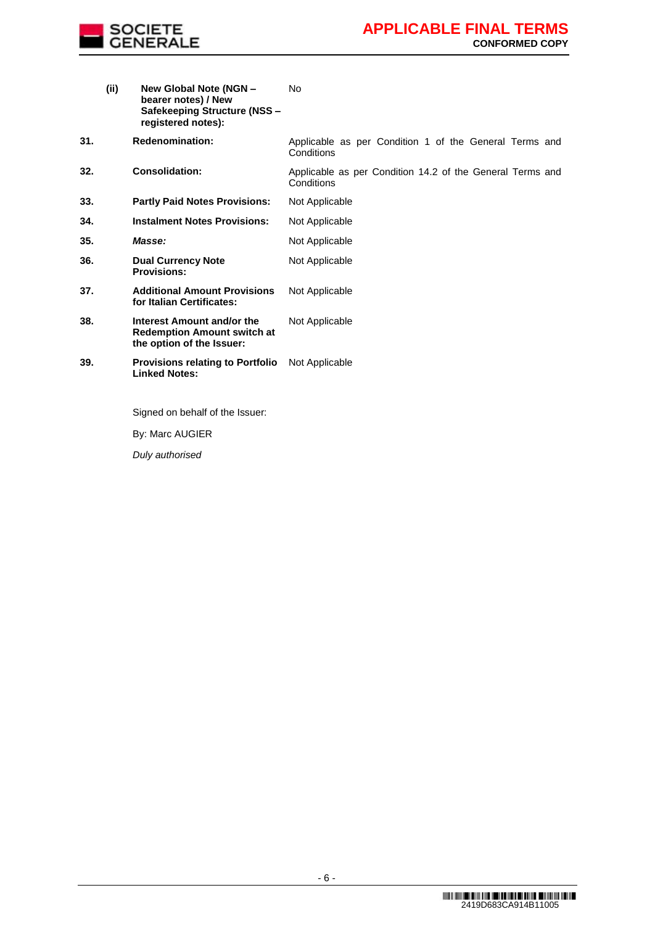

**(ii) New Global Note (NGN – bearer notes) / New Safekeeping Structure (NSS – registered notes):** No

**31. Redenomination:** Applicable as per Condition 1 of the General Terms and **Conditions** 

**32. Consolidation:** Applicable as per Condition 14.2 of the General Terms and Conditions **33. Partly Paid Notes Provisions:** Not Applicable

- **34. Instalment Notes Provisions:** Not Applicable
- 35. **Masse: Masse:** Not Applicable
- **36. Dual Currency Note Provisions:** Not Applicable
- **37. Additional Amount Provisions for Italian Certificates:** Not Applicable
- **38. Interest Amount and/or the Redemption Amount switch at the option of the Issuer:** Not Applicable
- **39. Provisions relating to Portfolio**  Not Applicable **Linked Notes:**

Signed on behalf of the Issuer:

By: Marc AUGIER

*Duly authorised*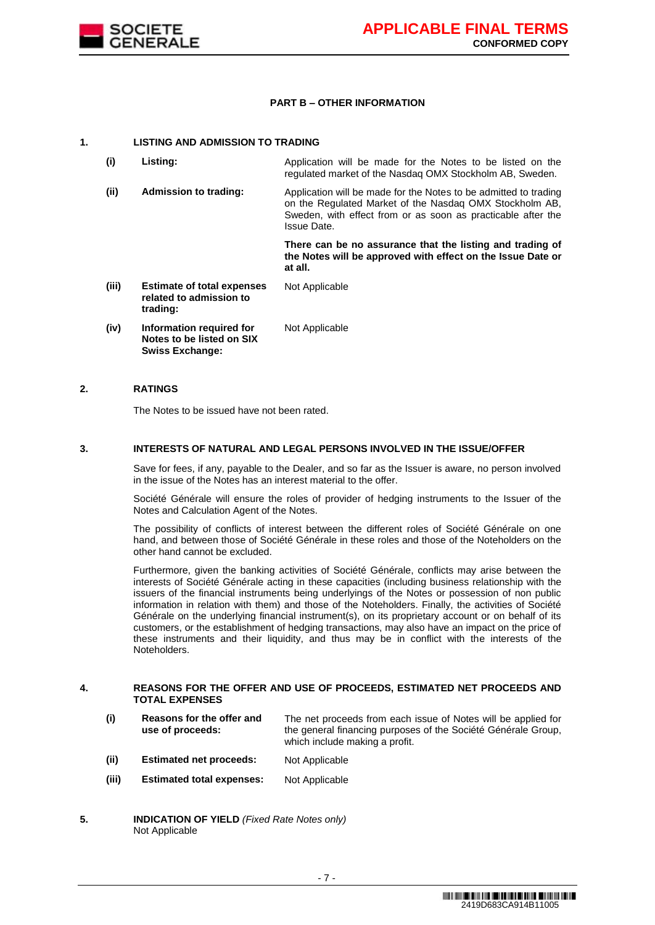

### **PART B – OTHER INFORMATION**

#### **1. LISTING AND ADMISSION TO TRADING**

| (i)   | Listing:                                                                        | Application will be made for the Notes to be listed on the<br>regulated market of the Nasdag OMX Stockholm AB, Sweden.                                                                                     |
|-------|---------------------------------------------------------------------------------|------------------------------------------------------------------------------------------------------------------------------------------------------------------------------------------------------------|
| (ii)  | Admission to trading:                                                           | Application will be made for the Notes to be admitted to trading<br>on the Regulated Market of the Nasdag OMX Stockholm AB,<br>Sweden, with effect from or as soon as practicable after the<br>Issue Date. |
|       |                                                                                 | There can be no assurance that the listing and trading of<br>the Notes will be approved with effect on the Issue Date or<br>at all.                                                                        |
| (iii) | <b>Estimate of total expenses</b><br>related to admission to<br>trading:        | Not Applicable                                                                                                                                                                                             |
| (iv)  | Information required for<br>Notes to be listed on SIX<br><b>Swiss Exchange:</b> | Not Applicable                                                                                                                                                                                             |

### **2. RATINGS**

The Notes to be issued have not been rated.

#### **3. INTERESTS OF NATURAL AND LEGAL PERSONS INVOLVED IN THE ISSUE/OFFER**

Save for fees, if any, payable to the Dealer, and so far as the Issuer is aware, no person involved in the issue of the Notes has an interest material to the offer.

Société Générale will ensure the roles of provider of hedging instruments to the Issuer of the Notes and Calculation Agent of the Notes.

The possibility of conflicts of interest between the different roles of Société Générale on one hand, and between those of Société Générale in these roles and those of the Noteholders on the other hand cannot be excluded.

Furthermore, given the banking activities of Société Générale, conflicts may arise between the interests of Société Générale acting in these capacities (including business relationship with the issuers of the financial instruments being underlyings of the Notes or possession of non public information in relation with them) and those of the Noteholders. Finally, the activities of Société Générale on the underlying financial instrument(s), on its proprietary account or on behalf of its customers, or the establishment of hedging transactions, may also have an impact on the price of these instruments and their liquidity, and thus may be in conflict with the interests of the Noteholders.

#### **4. REASONS FOR THE OFFER AND USE OF PROCEEDS, ESTIMATED NET PROCEEDS AND TOTAL EXPENSES**

**(i) Reasons for the offer and use of proceeds:** The net proceeds from each issue of Notes will be applied for the general financing purposes of the Société Générale Group, which include making a profit. **(ii) Estimated net proceeds:** Not Applicable

- 7 -

- **(iii) Estimated total expenses:** Not Applicable
- **5. INDICATION OF YIELD** *(Fixed Rate Notes only)* Not Applicable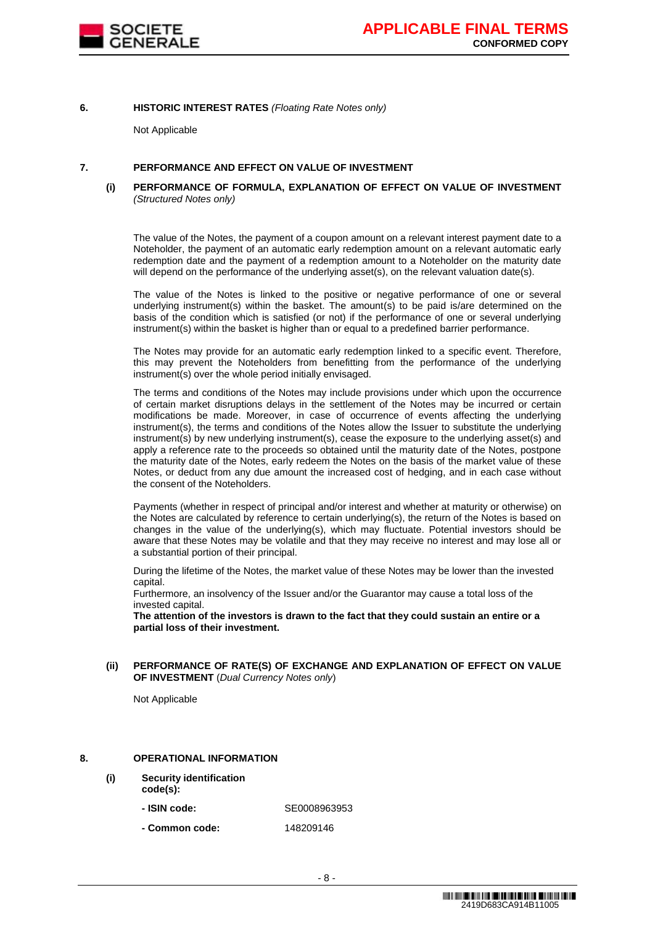

### **6. HISTORIC INTEREST RATES** *(Floating Rate Notes only)*

Not Applicable

#### **7. PERFORMANCE AND EFFECT ON VALUE OF INVESTMENT**

#### **(i) PERFORMANCE OF FORMULA, EXPLANATION OF EFFECT ON VALUE OF INVESTMENT**  *(Structured Notes only)*

The value of the Notes, the payment of a coupon amount on a relevant interest payment date to a Noteholder, the payment of an automatic early redemption amount on a relevant automatic early redemption date and the payment of a redemption amount to a Noteholder on the maturity date will depend on the performance of the underlying asset(s), on the relevant valuation date(s).

The value of the Notes is linked to the positive or negative performance of one or several underlying instrument(s) within the basket. The amount(s) to be paid is/are determined on the basis of the condition which is satisfied (or not) if the performance of one or several underlying instrument(s) within the basket is higher than or equal to a predefined barrier performance.

The Notes may provide for an automatic early redemption linked to a specific event. Therefore, this may prevent the Noteholders from benefitting from the performance of the underlying instrument(s) over the whole period initially envisaged.

The terms and conditions of the Notes may include provisions under which upon the occurrence of certain market disruptions delays in the settlement of the Notes may be incurred or certain modifications be made. Moreover, in case of occurrence of events affecting the underlying instrument(s), the terms and conditions of the Notes allow the Issuer to substitute the underlying instrument(s) by new underlying instrument(s), cease the exposure to the underlying asset(s) and apply a reference rate to the proceeds so obtained until the maturity date of the Notes, postpone the maturity date of the Notes, early redeem the Notes on the basis of the market value of these Notes, or deduct from any due amount the increased cost of hedging, and in each case without the consent of the Noteholders.

Payments (whether in respect of principal and/or interest and whether at maturity or otherwise) on the Notes are calculated by reference to certain underlying(s), the return of the Notes is based on changes in the value of the underlying(s), which may fluctuate. Potential investors should be aware that these Notes may be volatile and that they may receive no interest and may lose all or a substantial portion of their principal.

During the lifetime of the Notes, the market value of these Notes may be lower than the invested capital.

Furthermore, an insolvency of the Issuer and/or the Guarantor may cause a total loss of the invested capital.

**The attention of the investors is drawn to the fact that they could sustain an entire or a partial loss of their investment.**

#### **(ii) PERFORMANCE OF RATE(S) OF EXCHANGE AND EXPLANATION OF EFFECT ON VALUE OF INVESTMENT** (*Dual Currency Notes only*)

Not Applicable

#### **8. OPERATIONAL INFORMATION**

**(i) Security identification** 

**code(s):**

- **- ISIN code:** SE0008963953
- **- Common code:** 148209146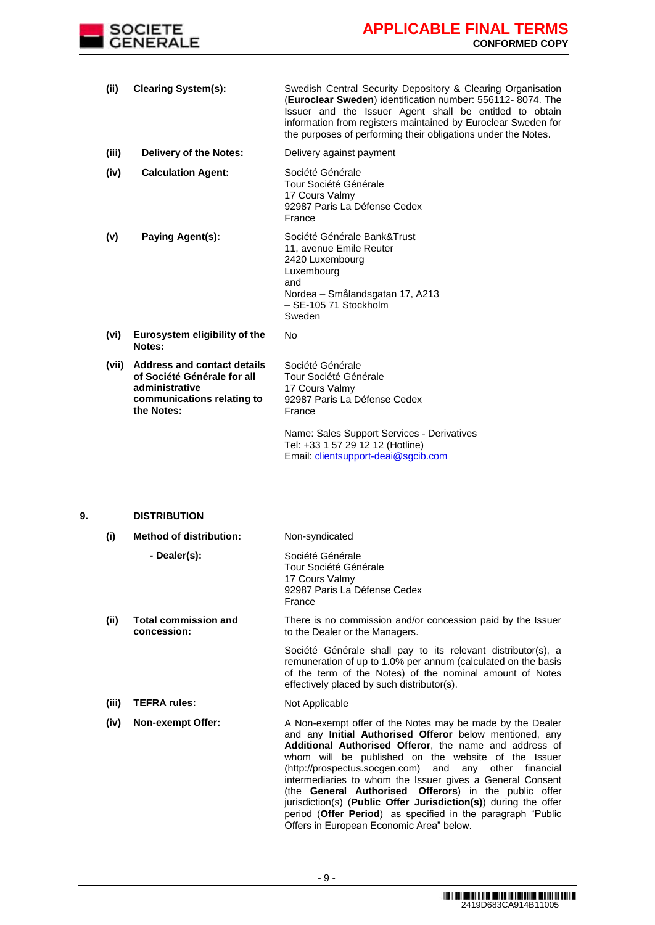

**(ii) Clearing System(s):** Swedish Central Security Depository & Clearing Organisation (**Euroclear Sweden**) identification number: 556112- 8074. The Issuer and the Issuer Agent shall be entitled to obtain information from registers maintained by Euroclear Sweden for the purposes of performing their obligations under the Notes. **(iii) Delivery of the Notes:** Delivery against payment **(iv) Calculation Agent:** Société Générale Tour Société Générale 17 Cours Valmy 92987 Paris La Défense Cedex France **(v) Paying Agent(s):** Société Générale Bank&Trust 11, avenue Emile Reuter 2420 Luxembourg Luxembourg and Nordea – Smålandsgatan 17, A213 – SE-105 71 Stockholm Sweden **(vi) Eurosystem eligibility of the Notes:** No **(vii) Address and contact details of Société Générale for all administrative communications relating to the Notes:** Société Générale Tour Société Générale 17 Cours Valmy 92987 Paris La Défense Cedex France Name: Sales Support Services - Derivatives Tel: +33 1 57 29 12 12 (Hotline) Email: [clientsupport-deai@sgcib.com](mailto:clientsupport-deai@sgcib.com)

## **9. DISTRIBUTION**

| (i)   | <b>Method of distribution:</b>             | Non-syndicated                                                                                                                                                                                                                                                                                                                                                                                                                                                                                                                                                                                             |  |
|-------|--------------------------------------------|------------------------------------------------------------------------------------------------------------------------------------------------------------------------------------------------------------------------------------------------------------------------------------------------------------------------------------------------------------------------------------------------------------------------------------------------------------------------------------------------------------------------------------------------------------------------------------------------------------|--|
|       | - Dealer(s):                               | Société Générale<br>Tour Société Générale<br>17 Cours Valmy<br>92987 Paris La Défense Cedex<br>France                                                                                                                                                                                                                                                                                                                                                                                                                                                                                                      |  |
| (ii)  | <b>Total commission and</b><br>concession: | There is no commission and/or concession paid by the Issuer<br>to the Dealer or the Managers.                                                                                                                                                                                                                                                                                                                                                                                                                                                                                                              |  |
|       |                                            | Société Générale shall pay to its relevant distributor(s), a<br>remuneration of up to 1.0% per annum (calculated on the basis<br>of the term of the Notes) of the nominal amount of Notes<br>effectively placed by such distributor(s).                                                                                                                                                                                                                                                                                                                                                                    |  |
| (iii) | <b>TEFRA rules:</b>                        | Not Applicable                                                                                                                                                                                                                                                                                                                                                                                                                                                                                                                                                                                             |  |
| (iv)  | <b>Non-exempt Offer:</b>                   | A Non-exempt offer of the Notes may be made by the Dealer<br>and any <b>Initial Authorised Offeror</b> below mentioned, any<br>Additional Authorised Offeror, the name and address of<br>whom will be published on the website of the Issuer<br>(http://prospectus.socgen.com) and any other financial<br>intermediaries to whom the Issuer gives a General Consent<br>(the General Authorised Offerors) in the public offer<br>jurisdiction(s) (Public Offer Jurisdiction(s)) during the offer<br>period (Offer Period) as specified in the paragraph "Public<br>Offers in European Economic Area" below. |  |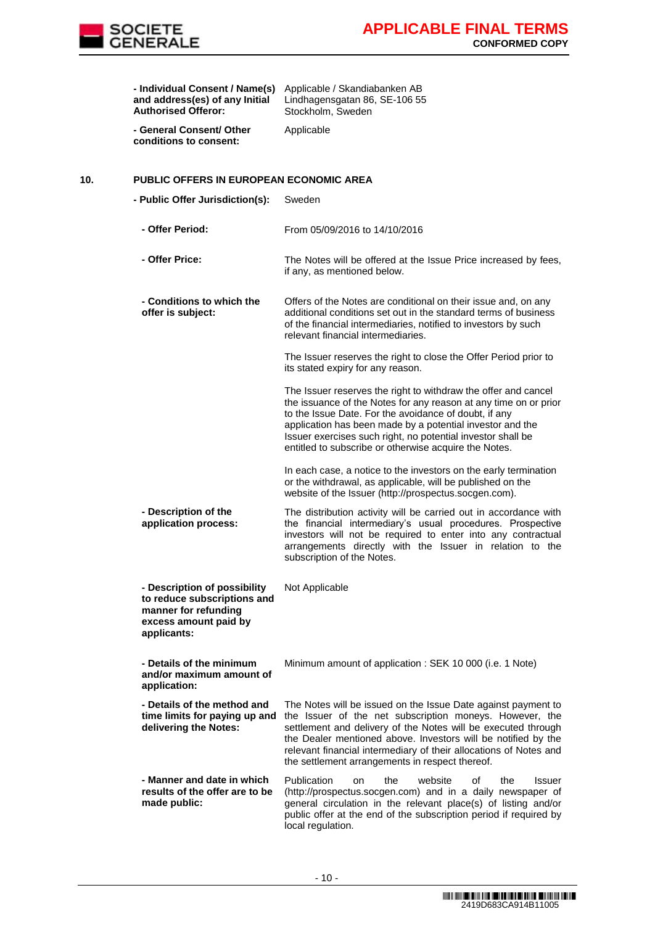

|     | - Individual Consent / Name(s)<br>and address(es) of any Initial<br><b>Authorised Offeror:</b>                              | Applicable / Skandiabanken AB<br>Lindhagensgatan 86, SE-106 55<br>Stockholm, Sweden                                                                                                                                                                                                                                                                                                |
|-----|-----------------------------------------------------------------------------------------------------------------------------|------------------------------------------------------------------------------------------------------------------------------------------------------------------------------------------------------------------------------------------------------------------------------------------------------------------------------------------------------------------------------------|
|     | - General Consent/ Other<br>conditions to consent:                                                                          | Applicable                                                                                                                                                                                                                                                                                                                                                                         |
| 10. | <b>PUBLIC OFFERS IN EUROPEAN ECONOMIC AREA</b>                                                                              |                                                                                                                                                                                                                                                                                                                                                                                    |
|     | - Public Offer Jurisdiction(s):                                                                                             | Sweden                                                                                                                                                                                                                                                                                                                                                                             |
|     | - Offer Period:                                                                                                             | From 05/09/2016 to 14/10/2016                                                                                                                                                                                                                                                                                                                                                      |
|     | - Offer Price:                                                                                                              | The Notes will be offered at the Issue Price increased by fees,<br>if any, as mentioned below.                                                                                                                                                                                                                                                                                     |
|     | - Conditions to which the<br>offer is subject:                                                                              | Offers of the Notes are conditional on their issue and, on any<br>additional conditions set out in the standard terms of business<br>of the financial intermediaries, notified to investors by such<br>relevant financial intermediaries.                                                                                                                                          |
|     |                                                                                                                             | The Issuer reserves the right to close the Offer Period prior to<br>its stated expiry for any reason.                                                                                                                                                                                                                                                                              |
|     |                                                                                                                             | The Issuer reserves the right to withdraw the offer and cancel<br>the issuance of the Notes for any reason at any time on or prior<br>to the Issue Date. For the avoidance of doubt, if any<br>application has been made by a potential investor and the<br>Issuer exercises such right, no potential investor shall be<br>entitled to subscribe or otherwise acquire the Notes.   |
|     |                                                                                                                             | In each case, a notice to the investors on the early termination<br>or the withdrawal, as applicable, will be published on the<br>website of the Issuer (http://prospectus.socgen.com).                                                                                                                                                                                            |
|     | - Description of the<br>application process:                                                                                | The distribution activity will be carried out in accordance with<br>the financial intermediary's usual procedures. Prospective<br>investors will not be required to enter into any contractual<br>arrangements directly with the Issuer in relation to the<br>subscription of the Notes.                                                                                           |
|     | - Description of possibility<br>to reduce subscriptions and<br>manner for refunding<br>excess amount paid by<br>applicants: | Not Applicable                                                                                                                                                                                                                                                                                                                                                                     |
|     | - Details of the minimum<br>and/or maximum amount of<br>application:                                                        | Minimum amount of application: SEK 10 000 (i.e. 1 Note)                                                                                                                                                                                                                                                                                                                            |
|     | - Details of the method and<br>time limits for paying up and<br>delivering the Notes:                                       | The Notes will be issued on the Issue Date against payment to<br>the Issuer of the net subscription moneys. However, the<br>settlement and delivery of the Notes will be executed through<br>the Dealer mentioned above. Investors will be notified by the<br>relevant financial intermediary of their allocations of Notes and<br>the settlement arrangements in respect thereof. |
|     | - Manner and date in which<br>results of the offer are to be<br>made public:                                                | Publication<br>website<br>the<br>οf<br>the<br><b>Issuer</b><br>on<br>(http://prospectus.socgen.com) and in a daily newspaper of<br>general circulation in the relevant place(s) of listing and/or<br>public offer at the end of the subscription period if required by<br>local regulation.                                                                                        |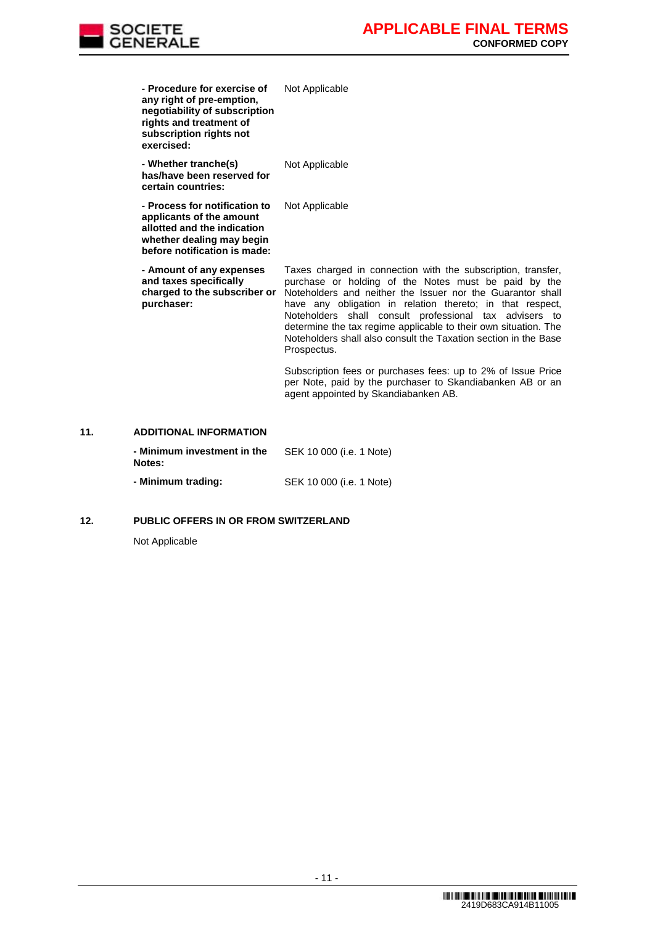

| - Procedure for exercise of<br>any right of pre-emption,<br>negotiability of subscription<br>rights and treatment of<br>subscription rights not<br>exercised: | Not Applicable                                                                                                                                                                                                                                                                                                                                                                                                                                                 |
|---------------------------------------------------------------------------------------------------------------------------------------------------------------|----------------------------------------------------------------------------------------------------------------------------------------------------------------------------------------------------------------------------------------------------------------------------------------------------------------------------------------------------------------------------------------------------------------------------------------------------------------|
| - Whether tranche(s)<br>has/have been reserved for<br>certain countries:                                                                                      | Not Applicable                                                                                                                                                                                                                                                                                                                                                                                                                                                 |
| - Process for notification to<br>applicants of the amount<br>allotted and the indication<br>whether dealing may begin<br>before notification is made:         | Not Applicable                                                                                                                                                                                                                                                                                                                                                                                                                                                 |
| - Amount of any expenses<br>and taxes specifically<br>charged to the subscriber or<br>purchaser:                                                              | Taxes charged in connection with the subscription, transfer,<br>purchase or holding of the Notes must be paid by the<br>Noteholders and neither the Issuer nor the Guarantor shall<br>have any obligation in relation thereto; in that respect,<br>Noteholders shall consult professional tax advisers to<br>determine the tax regime applicable to their own situation. The<br>Noteholders shall also consult the Taxation section in the Base<br>Prospectus. |
|                                                                                                                                                               | Subscription fees or purchases fees: up to 2% of Issue Price<br>per Note, paid by the purchaser to Skandiabanken AB or an<br>agent appointed by Skandiabanken AB.                                                                                                                                                                                                                                                                                              |
| <b>ADDITIONAL INFORMATION</b>                                                                                                                                 |                                                                                                                                                                                                                                                                                                                                                                                                                                                                |
|                                                                                                                                                               |                                                                                                                                                                                                                                                                                                                                                                                                                                                                |

### **11. ADDITIONAL INFORMATION**

| - Minimum investment in the<br>Notes: | SEK 10 000 (i.e. 1 Note) |
|---------------------------------------|--------------------------|
| - Minimum trading:                    | SEK 10 000 (i.e. 1 Note) |

## **12. PUBLIC OFFERS IN OR FROM SWITZERLAND**

Not Applicable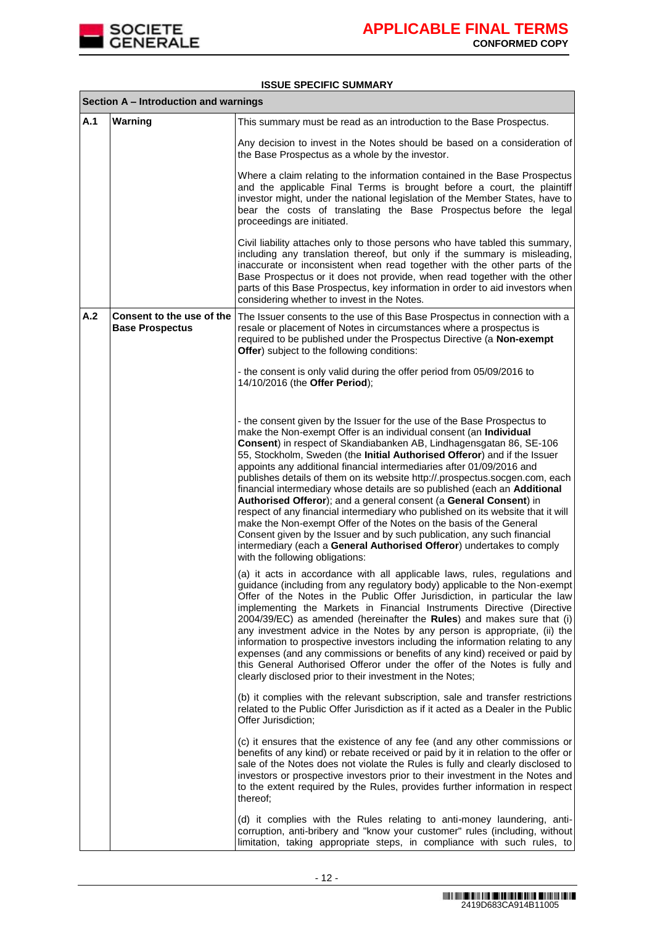

## **ISSUE SPECIFIC SUMMARY**

|     | Section A - Introduction and warnings               |                                                                                                                                                                                                                                                                                                                                                                                                                                                                                                                                                                                                                                                                                                                                                                                                                                                                                                                                                            |
|-----|-----------------------------------------------------|------------------------------------------------------------------------------------------------------------------------------------------------------------------------------------------------------------------------------------------------------------------------------------------------------------------------------------------------------------------------------------------------------------------------------------------------------------------------------------------------------------------------------------------------------------------------------------------------------------------------------------------------------------------------------------------------------------------------------------------------------------------------------------------------------------------------------------------------------------------------------------------------------------------------------------------------------------|
| A.1 | Warning                                             | This summary must be read as an introduction to the Base Prospectus.                                                                                                                                                                                                                                                                                                                                                                                                                                                                                                                                                                                                                                                                                                                                                                                                                                                                                       |
|     |                                                     | Any decision to invest in the Notes should be based on a consideration of<br>the Base Prospectus as a whole by the investor.                                                                                                                                                                                                                                                                                                                                                                                                                                                                                                                                                                                                                                                                                                                                                                                                                               |
|     |                                                     | Where a claim relating to the information contained in the Base Prospectus<br>and the applicable Final Terms is brought before a court, the plaintiff<br>investor might, under the national legislation of the Member States, have to<br>bear the costs of translating the Base Prospectus before the legal<br>proceedings are initiated.                                                                                                                                                                                                                                                                                                                                                                                                                                                                                                                                                                                                                  |
|     |                                                     | Civil liability attaches only to those persons who have tabled this summary,<br>including any translation thereof, but only if the summary is misleading,<br>inaccurate or inconsistent when read together with the other parts of the<br>Base Prospectus or it does not provide, when read together with the other<br>parts of this Base Prospectus, key information in order to aid investors when<br>considering whether to invest in the Notes.                                                                                                                                                                                                                                                                                                                                                                                                                                                                                                        |
| A.2 | Consent to the use of the<br><b>Base Prospectus</b> | The Issuer consents to the use of this Base Prospectus in connection with a<br>resale or placement of Notes in circumstances where a prospectus is<br>required to be published under the Prospectus Directive (a Non-exempt<br>Offer) subject to the following conditions:                                                                                                                                                                                                                                                                                                                                                                                                                                                                                                                                                                                                                                                                                 |
|     |                                                     | - the consent is only valid during the offer period from 05/09/2016 to<br>14/10/2016 (the Offer Period);                                                                                                                                                                                                                                                                                                                                                                                                                                                                                                                                                                                                                                                                                                                                                                                                                                                   |
|     |                                                     | - the consent given by the Issuer for the use of the Base Prospectus to<br>make the Non-exempt Offer is an individual consent (an Individual<br>Consent) in respect of Skandiabanken AB, Lindhagensgatan 86, SE-106<br>55, Stockholm, Sweden (the Initial Authorised Offeror) and if the Issuer<br>appoints any additional financial intermediaries after 01/09/2016 and<br>publishes details of them on its website http://.prospectus.socgen.com, each<br>financial intermediary whose details are so published (each an Additional<br>Authorised Offeror); and a general consent (a General Consent) in<br>respect of any financial intermediary who published on its website that it will<br>make the Non-exempt Offer of the Notes on the basis of the General<br>Consent given by the Issuer and by such publication, any such financial<br>intermediary (each a General Authorised Offeror) undertakes to comply<br>with the following obligations: |
|     |                                                     | (a) it acts in accordance with all applicable laws, rules, regulations and<br>guidance (including from any regulatory body) applicable to the Non-exempt<br>Offer of the Notes in the Public Offer Jurisdiction, in particular the law<br>implementing the Markets in Financial Instruments Directive (Directive<br>2004/39/EC) as amended (hereinafter the Rules) and makes sure that (i)<br>any investment advice in the Notes by any person is appropriate, (ii) the<br>information to prospective investors including the information relating to any<br>expenses (and any commissions or benefits of any kind) received or paid by<br>this General Authorised Offeror under the offer of the Notes is fully and<br>clearly disclosed prior to their investment in the Notes;                                                                                                                                                                          |
|     |                                                     | (b) it complies with the relevant subscription, sale and transfer restrictions<br>related to the Public Offer Jurisdiction as if it acted as a Dealer in the Public<br>Offer Jurisdiction;                                                                                                                                                                                                                                                                                                                                                                                                                                                                                                                                                                                                                                                                                                                                                                 |
|     |                                                     | (c) it ensures that the existence of any fee (and any other commissions or<br>benefits of any kind) or rebate received or paid by it in relation to the offer or<br>sale of the Notes does not violate the Rules is fully and clearly disclosed to<br>investors or prospective investors prior to their investment in the Notes and<br>to the extent required by the Rules, provides further information in respect<br>thereof;                                                                                                                                                                                                                                                                                                                                                                                                                                                                                                                            |
|     |                                                     | (d) it complies with the Rules relating to anti-money laundering, anti-<br>corruption, anti-bribery and "know your customer" rules (including, without<br>limitation, taking appropriate steps, in compliance with such rules, to                                                                                                                                                                                                                                                                                                                                                                                                                                                                                                                                                                                                                                                                                                                          |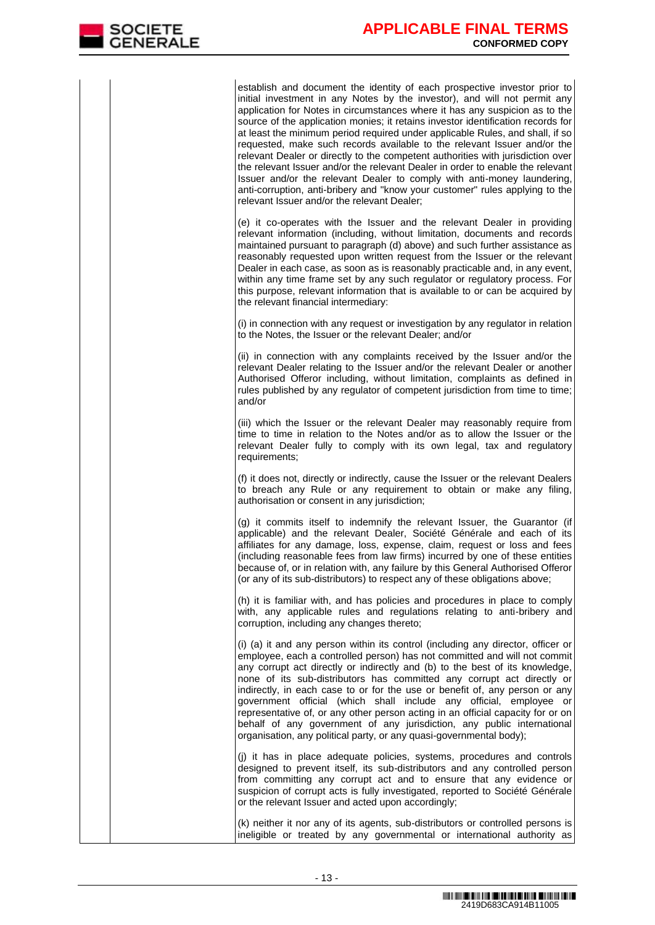establish and document the identity of each prospective investor prior to initial investment in any Notes by the investor), and will not permit any application for Notes in circumstances where it has any suspicion as to the source of the application monies; it retains investor identification records for at least the minimum period required under applicable Rules, and shall, if so requested, make such records available to the relevant Issuer and/or the relevant Dealer or directly to the competent authorities with jurisdiction over the relevant Issuer and/or the relevant Dealer in order to enable the relevant Issuer and/or the relevant Dealer to comply with anti-money laundering, anti-corruption, anti-bribery and "know your customer" rules applying to the relevant Issuer and/or the relevant Dealer;

(e) it co-operates with the Issuer and the relevant Dealer in providing relevant information (including, without limitation, documents and records maintained pursuant to paragraph (d) above) and such further assistance as reasonably requested upon written request from the Issuer or the relevant Dealer in each case, as soon as is reasonably practicable and, in any event, within any time frame set by any such regulator or regulatory process. For this purpose, relevant information that is available to or can be acquired by the relevant financial intermediary:

(i) in connection with any request or investigation by any regulator in relation to the Notes, the Issuer or the relevant Dealer; and/or

(ii) in connection with any complaints received by the Issuer and/or the relevant Dealer relating to the Issuer and/or the relevant Dealer or another Authorised Offeror including, without limitation, complaints as defined in rules published by any regulator of competent jurisdiction from time to time; and/or

(iii) which the Issuer or the relevant Dealer may reasonably require from time to time in relation to the Notes and/or as to allow the Issuer or the relevant Dealer fully to comply with its own legal, tax and regulatory requirements;

(f) it does not, directly or indirectly, cause the Issuer or the relevant Dealers to breach any Rule or any requirement to obtain or make any filing, authorisation or consent in any jurisdiction;

(g) it commits itself to indemnify the relevant Issuer, the Guarantor (if applicable) and the relevant Dealer, Société Générale and each of its affiliates for any damage, loss, expense, claim, request or loss and fees (including reasonable fees from law firms) incurred by one of these entities because of, or in relation with, any failure by this General Authorised Offeror (or any of its sub-distributors) to respect any of these obligations above;

(h) it is familiar with, and has policies and procedures in place to comply with, any applicable rules and regulations relating to anti-bribery and corruption, including any changes thereto;

(i) (a) it and any person within its control (including any director, officer or employee, each a controlled person) has not committed and will not commit any corrupt act directly or indirectly and (b) to the best of its knowledge, none of its sub-distributors has committed any corrupt act directly or indirectly, in each case to or for the use or benefit of, any person or any government official (which shall include any official, employee or representative of, or any other person acting in an official capacity for or on behalf of any government of any jurisdiction, any public international organisation, any political party, or any quasi-governmental body);

(j) it has in place adequate policies, systems, procedures and controls designed to prevent itself, its sub-distributors and any controlled person from committing any corrupt act and to ensure that any evidence or suspicion of corrupt acts is fully investigated, reported to Société Générale or the relevant Issuer and acted upon accordingly;

(k) neither it nor any of its agents, sub-distributors or controlled persons is ineligible or treated by any governmental or international authority as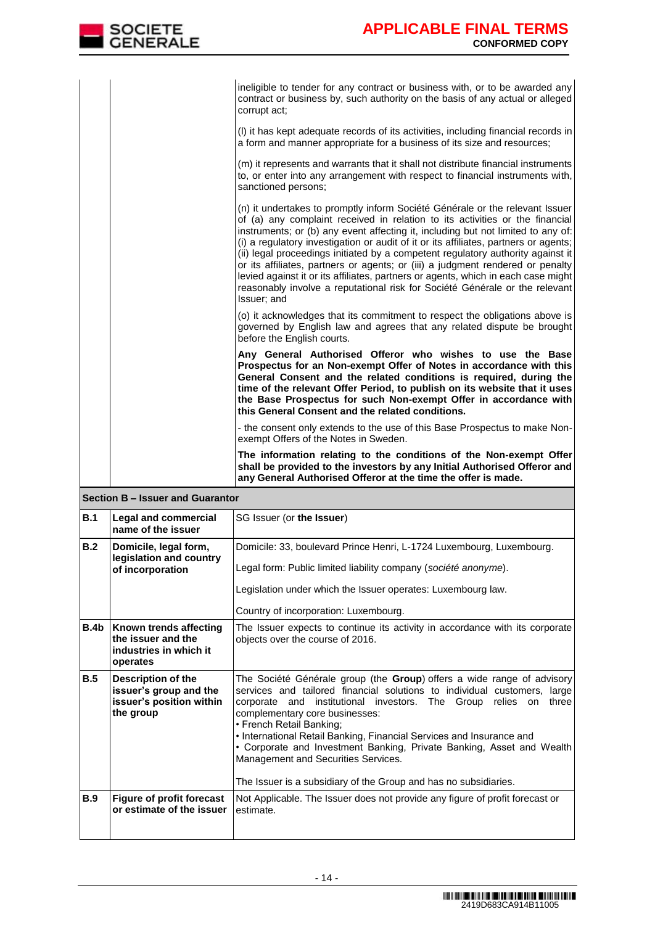| <b>SOCIETE</b><br><b>GENERALE</b> | <b>APPLICABLE FINAL TERMS</b><br><b>CONFORMED COPY</b>                                                                                                                                                                                                                                                                                                                                                                                                                                                                                                                                                                                                                                           |
|-----------------------------------|--------------------------------------------------------------------------------------------------------------------------------------------------------------------------------------------------------------------------------------------------------------------------------------------------------------------------------------------------------------------------------------------------------------------------------------------------------------------------------------------------------------------------------------------------------------------------------------------------------------------------------------------------------------------------------------------------|
|                                   |                                                                                                                                                                                                                                                                                                                                                                                                                                                                                                                                                                                                                                                                                                  |
|                                   | ineligible to tender for any contract or business with, or to be awarded any<br>contract or business by, such authority on the basis of any actual or alleged<br>corrupt act;                                                                                                                                                                                                                                                                                                                                                                                                                                                                                                                    |
|                                   | (I) it has kept adequate records of its activities, including financial records in<br>a form and manner appropriate for a business of its size and resources;                                                                                                                                                                                                                                                                                                                                                                                                                                                                                                                                    |
|                                   | (m) it represents and warrants that it shall not distribute financial instruments<br>to, or enter into any arrangement with respect to financial instruments with,<br>sanctioned persons;                                                                                                                                                                                                                                                                                                                                                                                                                                                                                                        |
|                                   | (n) it undertakes to promptly inform Société Générale or the relevant Issuer<br>of (a) any complaint received in relation to its activities or the financial<br>instruments; or (b) any event affecting it, including but not limited to any of:<br>(i) a regulatory investigation or audit of it or its affiliates, partners or agents;<br>(ii) legal proceedings initiated by a competent regulatory authority against it<br>or its affiliates, partners or agents; or (iii) a judgment rendered or penalty<br>levied against it or its affiliates, partners or agents, which in each case might<br>reasonably involve a reputational risk for Société Générale or the relevant<br>Issuer; and |
|                                   | (o) it acknowledges that its commitment to respect the obligations above is<br>governed by English law and agrees that any related dispute be brought<br>before the English courts.                                                                                                                                                                                                                                                                                                                                                                                                                                                                                                              |
|                                   | Any General Authorised Offeror who wishes to use the Base<br>Prospectus for an Non-exempt Offer of Notes in accordance with this<br>General Consent and the related conditions is required, during the<br>time of the relevant Offer Period, to publish on its website that it uses<br>the Base Prospectus for such Non-exempt Offer in accordance with<br>this General Consent and the related conditions.                                                                                                                                                                                                                                                                                      |
|                                   | - the consent only extends to the use of this Base Prospectus to make Non-<br>exempt Offers of the Notes in Sweden.                                                                                                                                                                                                                                                                                                                                                                                                                                                                                                                                                                              |
|                                   | The information relating to the conditions of the Non-exempt Offer<br>shall be provided to the investors by any Initial Authorised Offeror and<br>any General Authorised Offeror at the time the offer is made.                                                                                                                                                                                                                                                                                                                                                                                                                                                                                  |

|      | Section B – Issuer and Guarantor                                                             |                                                                                                                                                                                                                                                                                                                                                                                                                                                                                                                                                     |  |  |  |
|------|----------------------------------------------------------------------------------------------|-----------------------------------------------------------------------------------------------------------------------------------------------------------------------------------------------------------------------------------------------------------------------------------------------------------------------------------------------------------------------------------------------------------------------------------------------------------------------------------------------------------------------------------------------------|--|--|--|
| B.1  | <b>Legal and commercial</b><br>name of the issuer                                            | SG Issuer (or the Issuer)                                                                                                                                                                                                                                                                                                                                                                                                                                                                                                                           |  |  |  |
| B.2  | Domicile, legal form,<br>legislation and country<br>of incorporation                         | Domicile: 33, boulevard Prince Henri, L-1724 Luxembourg, Luxembourg.<br>Legal form: Public limited liability company (société anonyme).<br>Legislation under which the Issuer operates: Luxembourg law.<br>Country of incorporation: Luxembourg.                                                                                                                                                                                                                                                                                                    |  |  |  |
| B.4b | Known trends affecting<br>the issuer and the<br>industries in which it<br>operates           | The Issuer expects to continue its activity in accordance with its corporate<br>objects over the course of 2016.                                                                                                                                                                                                                                                                                                                                                                                                                                    |  |  |  |
| B.5  | <b>Description of the</b><br>issuer's group and the<br>issuer's position within<br>the group | The Société Générale group (the Group) offers a wide range of advisory<br>services and tailored financial solutions to individual customers, large<br>corporate and institutional investors. The Group relies on<br>three<br>complementary core businesses:<br>• French Retail Banking;<br>• International Retail Banking, Financial Services and Insurance and<br>• Corporate and Investment Banking, Private Banking, Asset and Wealth<br>Management and Securities Services.<br>The Issuer is a subsidiary of the Group and has no subsidiaries. |  |  |  |
| B.9  | <b>Figure of profit forecast</b><br>or estimate of the issuer                                | Not Applicable. The Issuer does not provide any figure of profit forecast or<br>estimate.                                                                                                                                                                                                                                                                                                                                                                                                                                                           |  |  |  |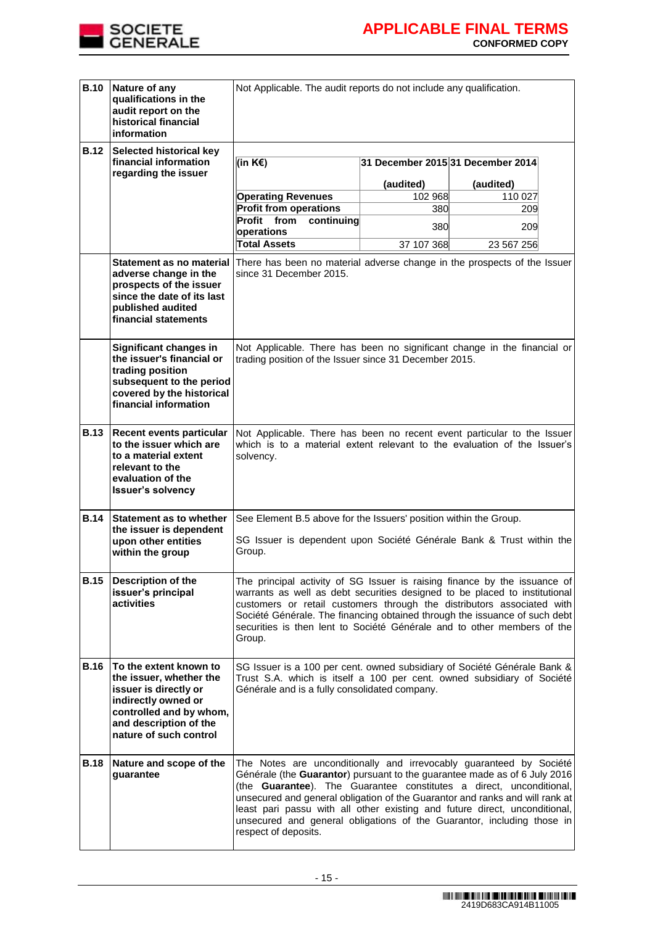

| <b>B.10</b> | Nature of any<br>qualifications in the<br>audit report on the<br>historical financial<br>information                                                                             | Not Applicable. The audit reports do not include any qualification.                                                                                                                                                                                                                                                                                                                                                                                                                     |                                   |           |  |  |  |
|-------------|----------------------------------------------------------------------------------------------------------------------------------------------------------------------------------|-----------------------------------------------------------------------------------------------------------------------------------------------------------------------------------------------------------------------------------------------------------------------------------------------------------------------------------------------------------------------------------------------------------------------------------------------------------------------------------------|-----------------------------------|-----------|--|--|--|
| <b>B.12</b> | Selected historical key<br>financial information<br>regarding the issuer                                                                                                         | (in K€)                                                                                                                                                                                                                                                                                                                                                                                                                                                                                 | 31 December 2015 31 December 2014 |           |  |  |  |
|             |                                                                                                                                                                                  |                                                                                                                                                                                                                                                                                                                                                                                                                                                                                         | (audited)                         | (audited) |  |  |  |
|             |                                                                                                                                                                                  | <b>Operating Revenues</b>                                                                                                                                                                                                                                                                                                                                                                                                                                                               | 102 968                           | 110 027   |  |  |  |
|             |                                                                                                                                                                                  | <b>Profit from operations</b><br>Profit from<br>continuing                                                                                                                                                                                                                                                                                                                                                                                                                              | 380                               | 209       |  |  |  |
|             |                                                                                                                                                                                  | operations                                                                                                                                                                                                                                                                                                                                                                                                                                                                              | 380                               | 209       |  |  |  |
|             |                                                                                                                                                                                  | <b>Total Assets</b><br>37 107 368<br>23 567 256                                                                                                                                                                                                                                                                                                                                                                                                                                         |                                   |           |  |  |  |
|             | Statement as no material<br>adverse change in the<br>prospects of the issuer<br>since the date of its last<br>published audited<br>financial statements                          | There has been no material adverse change in the prospects of the Issuer<br>since 31 December 2015.                                                                                                                                                                                                                                                                                                                                                                                     |                                   |           |  |  |  |
|             | Significant changes in<br>the issuer's financial or<br>trading position<br>subsequent to the period<br>covered by the historical<br>financial information                        | Not Applicable. There has been no significant change in the financial or<br>trading position of the Issuer since 31 December 2015.                                                                                                                                                                                                                                                                                                                                                      |                                   |           |  |  |  |
| <b>B.13</b> | Recent events particular<br>to the issuer which are<br>to a material extent<br>relevant to the<br>evaluation of the<br><b>Issuer's solvency</b>                                  | Not Applicable. There has been no recent event particular to the Issuer<br>which is to a material extent relevant to the evaluation of the Issuer's<br>solvency.                                                                                                                                                                                                                                                                                                                        |                                   |           |  |  |  |
| <b>B.14</b> | <b>Statement as to whether</b>                                                                                                                                                   | See Element B.5 above for the Issuers' position within the Group.                                                                                                                                                                                                                                                                                                                                                                                                                       |                                   |           |  |  |  |
|             | the issuer is dependent<br>upon other entities<br>within the group                                                                                                               | SG Issuer is dependent upon Société Générale Bank & Trust within the<br>Group.                                                                                                                                                                                                                                                                                                                                                                                                          |                                   |           |  |  |  |
| <b>B.15</b> | Description of the<br>issuer's principal<br>activities                                                                                                                           | The principal activity of SG Issuer is raising finance by the issuance of<br>warrants as well as debt securities designed to be placed to institutional<br>customers or retail customers through the distributors associated with<br>Société Générale. The financing obtained through the issuance of such debt<br>securities is then lent to Société Générale and to other members of the<br>Group.                                                                                    |                                   |           |  |  |  |
| <b>B.16</b> | To the extent known to<br>the issuer, whether the<br>issuer is directly or<br>indirectly owned or<br>controlled and by whom,<br>and description of the<br>nature of such control | SG Issuer is a 100 per cent. owned subsidiary of Société Générale Bank &<br>Trust S.A. which is itself a 100 per cent. owned subsidiary of Société<br>Générale and is a fully consolidated company.                                                                                                                                                                                                                                                                                     |                                   |           |  |  |  |
| <b>B.18</b> | Nature and scope of the<br>guarantee                                                                                                                                             | The Notes are unconditionally and irrevocably guaranteed by Société<br>Générale (the Guarantor) pursuant to the guarantee made as of 6 July 2016<br>(the Guarantee). The Guarantee constitutes a direct, unconditional,<br>unsecured and general obligation of the Guarantor and ranks and will rank at<br>least pari passu with all other existing and future direct, unconditional,<br>unsecured and general obligations of the Guarantor, including those in<br>respect of deposits. |                                   |           |  |  |  |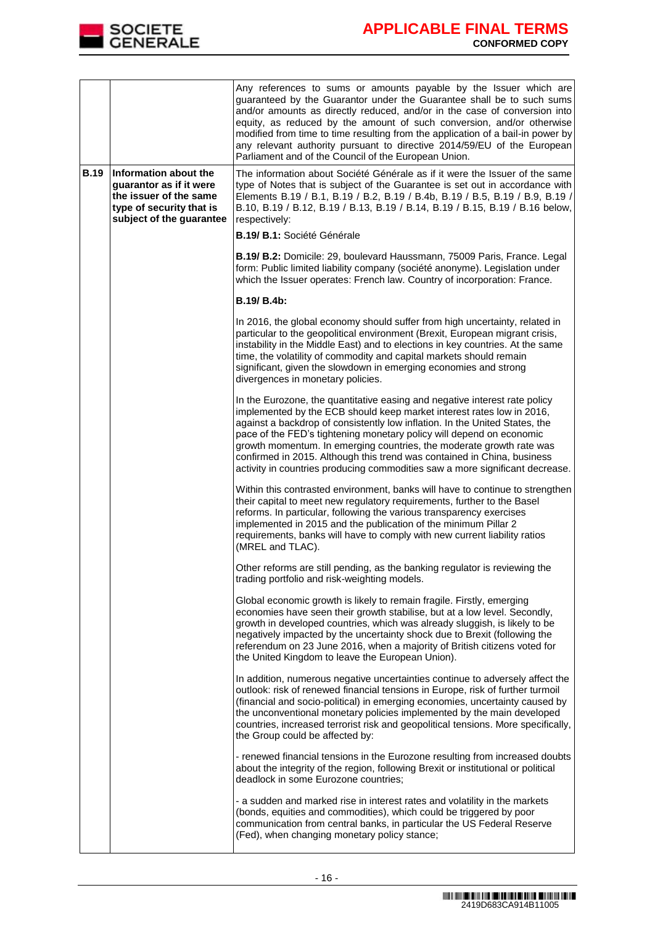

|             |                                                                                                                                    | Any references to sums or amounts payable by the Issuer which are<br>guaranteed by the Guarantor under the Guarantee shall be to such sums<br>and/or amounts as directly reduced, and/or in the case of conversion into<br>equity, as reduced by the amount of such conversion, and/or otherwise<br>modified from time to time resulting from the application of a bail-in power by<br>any relevant authority pursuant to directive 2014/59/EU of the European<br>Parliament and of the Council of the European Union.                        |  |  |  |
|-------------|------------------------------------------------------------------------------------------------------------------------------------|-----------------------------------------------------------------------------------------------------------------------------------------------------------------------------------------------------------------------------------------------------------------------------------------------------------------------------------------------------------------------------------------------------------------------------------------------------------------------------------------------------------------------------------------------|--|--|--|
| <b>B.19</b> | Information about the<br>guarantor as if it were<br>the issuer of the same<br>type of security that is<br>subject of the guarantee | The information about Société Générale as if it were the Issuer of the same<br>type of Notes that is subject of the Guarantee is set out in accordance with<br>Elements B.19 / B.1, B.19 / B.2, B.19 / B.4b, B.19 / B.5, B.19 / B.9, B.19 /<br>B.10, B.19 / B.12, B.19 / B.13, B.19 / B.14, B.19 / B.15, B.19 / B.16 below,<br>respectively:                                                                                                                                                                                                  |  |  |  |
|             |                                                                                                                                    | B.19/ B.1: Société Générale                                                                                                                                                                                                                                                                                                                                                                                                                                                                                                                   |  |  |  |
|             |                                                                                                                                    | B.19/ B.2: Domicile: 29, boulevard Haussmann, 75009 Paris, France. Legal<br>form: Public limited liability company (société anonyme). Legislation under<br>which the Issuer operates: French law. Country of incorporation: France.                                                                                                                                                                                                                                                                                                           |  |  |  |
|             |                                                                                                                                    | B.19/ B.4b:                                                                                                                                                                                                                                                                                                                                                                                                                                                                                                                                   |  |  |  |
|             |                                                                                                                                    | In 2016, the global economy should suffer from high uncertainty, related in<br>particular to the geopolitical environment (Brexit, European migrant crisis,<br>instability in the Middle East) and to elections in key countries. At the same<br>time, the volatility of commodity and capital markets should remain<br>significant, given the slowdown in emerging economies and strong<br>divergences in monetary policies.                                                                                                                 |  |  |  |
|             |                                                                                                                                    | In the Eurozone, the quantitative easing and negative interest rate policy<br>implemented by the ECB should keep market interest rates low in 2016,<br>against a backdrop of consistently low inflation. In the United States, the<br>pace of the FED's tightening monetary policy will depend on economic<br>growth momentum. In emerging countries, the moderate growth rate was<br>confirmed in 2015. Although this trend was contained in China, business<br>activity in countries producing commodities saw a more significant decrease. |  |  |  |
|             |                                                                                                                                    | Within this contrasted environment, banks will have to continue to strengthen<br>their capital to meet new regulatory requirements, further to the Basel<br>reforms. In particular, following the various transparency exercises<br>implemented in 2015 and the publication of the minimum Pillar 2<br>requirements, banks will have to comply with new current liability ratios<br>(MREL and TLAC).                                                                                                                                          |  |  |  |
|             |                                                                                                                                    | Other reforms are still pending, as the banking regulator is reviewing the<br>trading portfolio and risk-weighting models.                                                                                                                                                                                                                                                                                                                                                                                                                    |  |  |  |
|             |                                                                                                                                    | Global economic growth is likely to remain fragile. Firstly, emerging<br>economies have seen their growth stabilise, but at a low level. Secondly,<br>growth in developed countries, which was already sluggish, is likely to be<br>negatively impacted by the uncertainty shock due to Brexit (following the<br>referendum on 23 June 2016, when a majority of British citizens voted for<br>the United Kingdom to leave the European Union).                                                                                                |  |  |  |
|             |                                                                                                                                    | In addition, numerous negative uncertainties continue to adversely affect the<br>outlook: risk of renewed financial tensions in Europe, risk of further turmoil<br>(financial and socio-political) in emerging economies, uncertainty caused by<br>the unconventional monetary policies implemented by the main developed<br>countries, increased terrorist risk and geopolitical tensions. More specifically,<br>the Group could be affected by:                                                                                             |  |  |  |
|             |                                                                                                                                    | - renewed financial tensions in the Eurozone resulting from increased doubts<br>about the integrity of the region, following Brexit or institutional or political<br>deadlock in some Eurozone countries;                                                                                                                                                                                                                                                                                                                                     |  |  |  |
|             |                                                                                                                                    | - a sudden and marked rise in interest rates and volatility in the markets<br>(bonds, equities and commodities), which could be triggered by poor<br>communication from central banks, in particular the US Federal Reserve<br>(Fed), when changing monetary policy stance;                                                                                                                                                                                                                                                                   |  |  |  |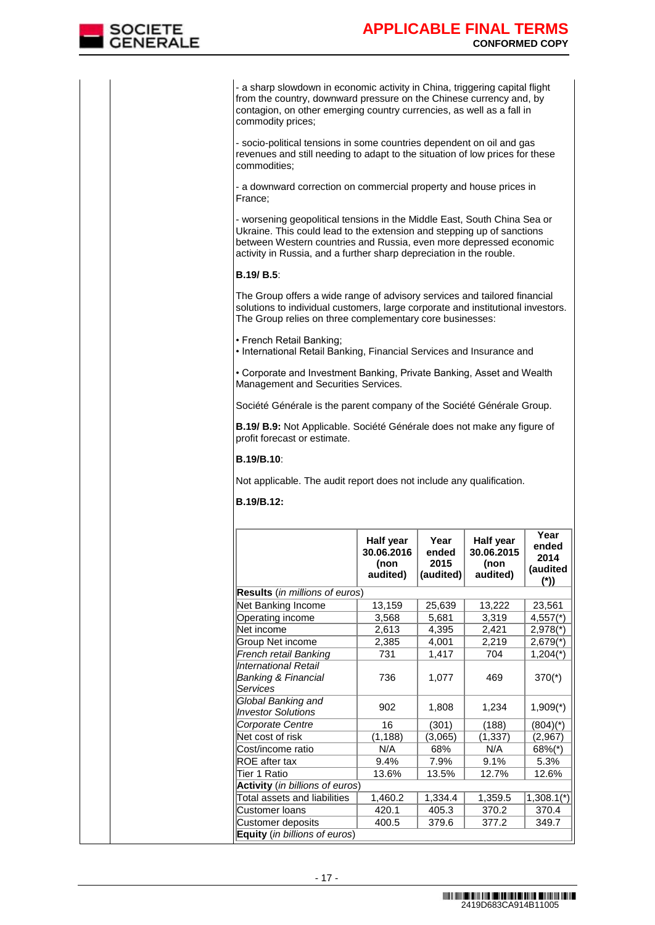

- a sharp slowdown in economic activity in China, triggering capital flight from the country, downward pressure on the Chinese currency and, by contagion, on other emerging country currencies, as well as a fall in commodity prices;

- socio-political tensions in some countries dependent on oil and gas revenues and still needing to adapt to the situation of low prices for these commodities;

- a downward correction on commercial property and house prices in France;

- worsening geopolitical tensions in the Middle East, South China Sea or Ukraine. This could lead to the extension and stepping up of sanctions between Western countries and Russia, even more depressed economic activity in Russia, and a further sharp depreciation in the rouble.

## **B.19/ B.5**:

The Group offers a wide range of advisory services and tailored financial solutions to individual customers, large corporate and institutional investors. The Group relies on three complementary core businesses:

• French Retail Banking;

• International Retail Banking, Financial Services and Insurance and

• Corporate and Investment Banking, Private Banking, Asset and Wealth Management and Securities Services.

Société Générale is the parent company of the Société Générale Group.

**B.19/ B.9:** Not Applicable. Société Générale does not make any figure of profit forecast or estimate.

## **B.19/B.10**:

Not applicable. The audit report does not include any qualification.

## **B.19/B.12:**

|                                                                    | Half year<br>30.06.2016<br>(non<br>audited) | Year<br>ended<br>2015<br>(audited) | Half year<br>30.06.2015<br>(non<br>audited) | Year<br>ended<br>2014<br>(audited<br>$(*)$ |
|--------------------------------------------------------------------|---------------------------------------------|------------------------------------|---------------------------------------------|--------------------------------------------|
| Results (in millions of euros)                                     |                                             |                                    |                                             |                                            |
| Net Banking Income                                                 | 13,159                                      | 25,639                             | 13,222                                      | 23,561                                     |
| Operating income                                                   | 3,568                                       | 5,681                              | 3,319                                       | $4,557$ <sup>*</sup> )                     |
| Net income                                                         | 2,613                                       | 4,395                              | 2,421                                       | $2,978$ <sup>*</sup> )                     |
| Group Net income                                                   | 2,385                                       | 4,001                              | 2,219                                       | $2,679$ <sup>*</sup> )                     |
| French retail Banking                                              | 731                                         | 1,417                              | 704                                         | $1,204$ <sup>*</sup> )                     |
| International Retail<br><b>Banking &amp; Financial</b><br>Services | 736                                         | 1,077                              | 469                                         | $370(*)$                                   |
| Global Banking and<br><b>Investor Solutions</b>                    | 902                                         | 1,808                              | 1,234                                       | $1,909$ <sup>*</sup> )                     |
| Corporate Centre                                                   | 16                                          | (301)                              | (188)                                       | $(804)(*)$                                 |
| Net cost of risk                                                   | (1, 188)                                    | (3,065)                            | (1, 337)                                    | (2,967)                                    |
| lCost/income ratio                                                 | N/A                                         | 68%                                | N/A                                         | $68\%$ <sup>*</sup> )                      |
| ROE after tax                                                      | 9.4%                                        | 7.9%                               | 9.1%                                        | 5.3%                                       |
| Tier 1 Ratio                                                       | 13.6%                                       | 13.5%                              | 12.7%                                       | 12.6%                                      |
| Activity (in billions of euros)                                    |                                             |                                    |                                             |                                            |
| Total assets and liabilities                                       | 1,460.2                                     | 1,334.4                            | 1,359.5                                     | $1,308.1(*)$                               |
| Customer Ioans                                                     | 420.1                                       | 405.3                              | 370.2                                       | 370.4                                      |
| Customer deposits                                                  | 400.5                                       | 379.6                              | 377.2                                       | 349.7                                      |
| <b>Equity</b> (in billions of euros)                               |                                             |                                    |                                             |                                            |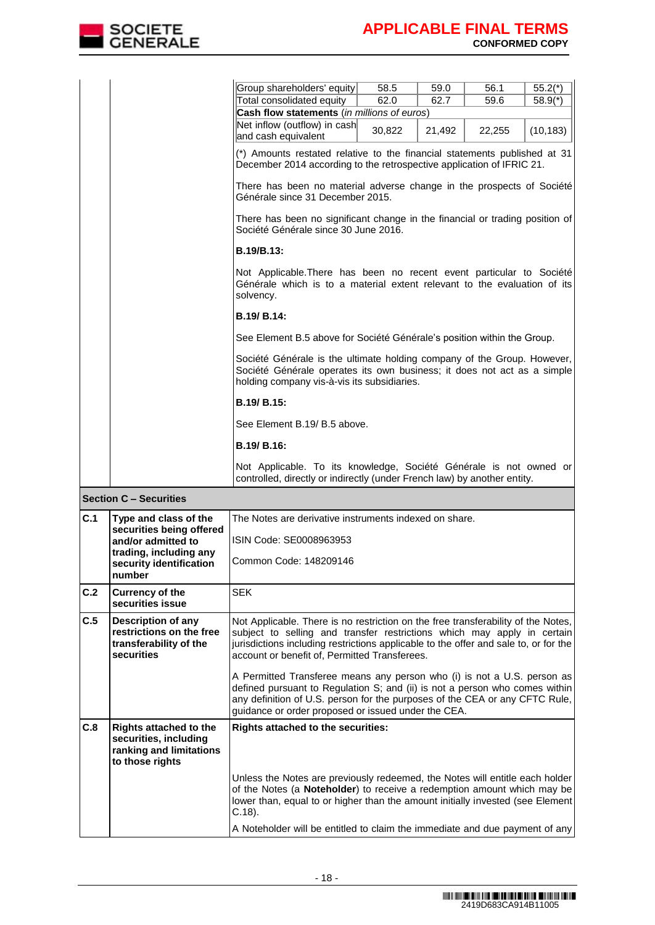

| 58.5<br>62.0<br>Cash flow statements (in millions of euros)<br>30,822<br>Générale since 31 December 2015.<br>Société Générale since 30 June 2016. | 59.0<br>62.7<br>21,492       | 56.1<br>59.6<br>22,255<br>(*) Amounts restated relative to the financial statements published at 31<br>December 2014 according to the retrospective application of IFRIC 21.<br>There has been no material adverse change in the prospects of Société<br>There has been no significant change in the financial or trading position of<br>Not Applicable. There has been no recent event particular to Société<br>Générale which is to a material extent relevant to the evaluation of its | $55.2(*)$<br>$58.9(*)$<br>(10, 183)                                                                                                                                                                                       |
|---------------------------------------------------------------------------------------------------------------------------------------------------|------------------------------|-------------------------------------------------------------------------------------------------------------------------------------------------------------------------------------------------------------------------------------------------------------------------------------------------------------------------------------------------------------------------------------------------------------------------------------------------------------------------------------------|---------------------------------------------------------------------------------------------------------------------------------------------------------------------------------------------------------------------------|
|                                                                                                                                                   |                              |                                                                                                                                                                                                                                                                                                                                                                                                                                                                                           |                                                                                                                                                                                                                           |
|                                                                                                                                                   |                              |                                                                                                                                                                                                                                                                                                                                                                                                                                                                                           |                                                                                                                                                                                                                           |
|                                                                                                                                                   |                              |                                                                                                                                                                                                                                                                                                                                                                                                                                                                                           |                                                                                                                                                                                                                           |
|                                                                                                                                                   |                              |                                                                                                                                                                                                                                                                                                                                                                                                                                                                                           |                                                                                                                                                                                                                           |
|                                                                                                                                                   |                              |                                                                                                                                                                                                                                                                                                                                                                                                                                                                                           |                                                                                                                                                                                                                           |
|                                                                                                                                                   |                              |                                                                                                                                                                                                                                                                                                                                                                                                                                                                                           |                                                                                                                                                                                                                           |
|                                                                                                                                                   |                              |                                                                                                                                                                                                                                                                                                                                                                                                                                                                                           |                                                                                                                                                                                                                           |
|                                                                                                                                                   |                              |                                                                                                                                                                                                                                                                                                                                                                                                                                                                                           |                                                                                                                                                                                                                           |
|                                                                                                                                                   |                              |                                                                                                                                                                                                                                                                                                                                                                                                                                                                                           |                                                                                                                                                                                                                           |
|                                                                                                                                                   |                              |                                                                                                                                                                                                                                                                                                                                                                                                                                                                                           |                                                                                                                                                                                                                           |
|                                                                                                                                                   |                              | See Element B.5 above for Société Générale's position within the Group.                                                                                                                                                                                                                                                                                                                                                                                                                   |                                                                                                                                                                                                                           |
|                                                                                                                                                   |                              | Société Générale is the ultimate holding company of the Group. However,                                                                                                                                                                                                                                                                                                                                                                                                                   |                                                                                                                                                                                                                           |
|                                                                                                                                                   |                              |                                                                                                                                                                                                                                                                                                                                                                                                                                                                                           |                                                                                                                                                                                                                           |
|                                                                                                                                                   |                              |                                                                                                                                                                                                                                                                                                                                                                                                                                                                                           |                                                                                                                                                                                                                           |
|                                                                                                                                                   |                              |                                                                                                                                                                                                                                                                                                                                                                                                                                                                                           |                                                                                                                                                                                                                           |
|                                                                                                                                                   |                              |                                                                                                                                                                                                                                                                                                                                                                                                                                                                                           |                                                                                                                                                                                                                           |
|                                                                                                                                                   | See Element B.19/ B.5 above. | holding company vis-à-vis its subsidiaries.                                                                                                                                                                                                                                                                                                                                                                                                                                               | Société Générale operates its own business; it does not act as a simple<br>Not Applicable. To its knowledge, Société Générale is not owned or<br>controlled, directly or indirectly (under French law) by another entity. |

| C.1                | Type and class of the<br>securities being offered                                                    | The Notes are derivative instruments indexed on share.                                                                                                                                                                                                                                                |
|--------------------|------------------------------------------------------------------------------------------------------|-------------------------------------------------------------------------------------------------------------------------------------------------------------------------------------------------------------------------------------------------------------------------------------------------------|
| and/or admitted to |                                                                                                      | ISIN Code: SE0008963953                                                                                                                                                                                                                                                                               |
|                    | trading, including any<br>security identification<br>number                                          | Common Code: 148209146                                                                                                                                                                                                                                                                                |
| C.2                | <b>Currency of the</b><br>securities issue                                                           | <b>SFK</b>                                                                                                                                                                                                                                                                                            |
| C.5                | <b>Description of any</b><br>restrictions on the free<br>transferability of the<br>securities        | Not Applicable. There is no restriction on the free transferability of the Notes,<br>subject to selling and transfer restrictions which may apply in certain<br>jurisdictions including restrictions applicable to the offer and sale to, or for the<br>account or benefit of, Permitted Transferees. |
|                    |                                                                                                      | A Permitted Transferee means any person who (i) is not a U.S. person as<br>defined pursuant to Regulation S; and (ii) is not a person who comes within<br>any definition of U.S. person for the purposes of the CEA or any CFTC Rule,<br>guidance or order proposed or issued under the CEA.          |
| C.8                | <b>Rights attached to the</b><br>securities, including<br>ranking and limitations<br>to those rights | <b>Rights attached to the securities:</b>                                                                                                                                                                                                                                                             |
|                    |                                                                                                      | Unless the Notes are previously redeemed, the Notes will entitle each holder<br>of the Notes (a Noteholder) to receive a redemption amount which may be<br>lower than, equal to or higher than the amount initially invested (see Element<br>$C.18$ ).                                                |
|                    |                                                                                                      | A Noteholder will be entitled to claim the immediate and due payment of any                                                                                                                                                                                                                           |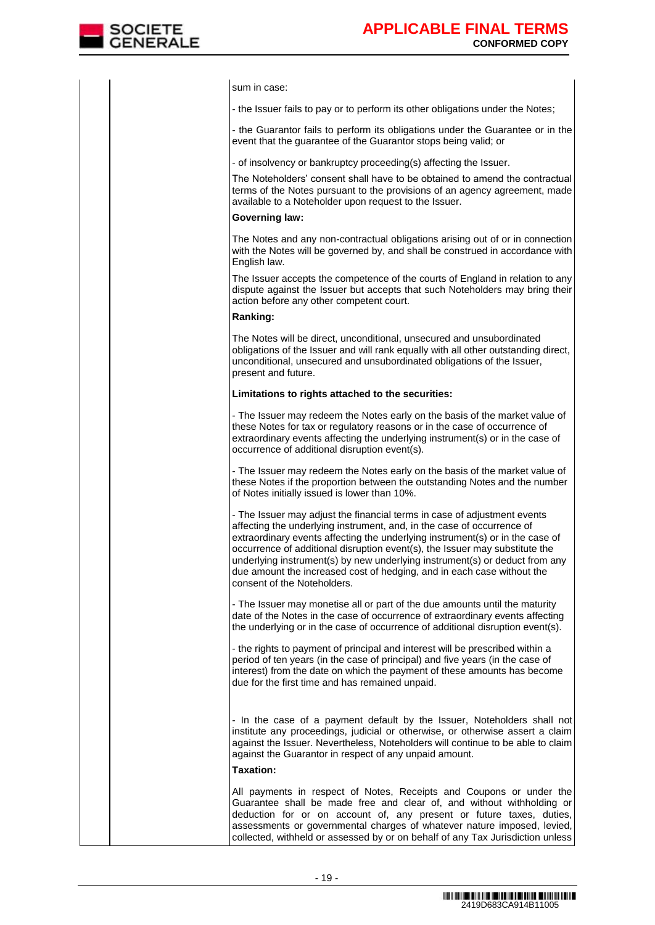

sum in case:

- the Issuer fails to pay or to perform its other obligations under the Notes;

- the Guarantor fails to perform its obligations under the Guarantee or in the event that the guarantee of the Guarantor stops being valid; or

- of insolvency or bankruptcy proceeding(s) affecting the Issuer.

The Noteholders' consent shall have to be obtained to amend the contractual terms of the Notes pursuant to the provisions of an agency agreement, made available to a Noteholder upon request to the Issuer.

#### **Governing law:**

The Notes and any non-contractual obligations arising out of or in connection with the Notes will be governed by, and shall be construed in accordance with English law.

The Issuer accepts the competence of the courts of England in relation to any dispute against the Issuer but accepts that such Noteholders may bring their action before any other competent court.

#### **Ranking:**

The Notes will be direct, unconditional, unsecured and unsubordinated obligations of the Issuer and will rank equally with all other outstanding direct, unconditional, unsecured and unsubordinated obligations of the Issuer, present and future.

#### **Limitations to rights attached to the securities:**

- The Issuer may redeem the Notes early on the basis of the market value of these Notes for tax or regulatory reasons or in the case of occurrence of extraordinary events affecting the underlying instrument(s) or in the case of occurrence of additional disruption event(s).

- The Issuer may redeem the Notes early on the basis of the market value of these Notes if the proportion between the outstanding Notes and the number of Notes initially issued is lower than 10%.

- The Issuer may adjust the financial terms in case of adjustment events affecting the underlying instrument, and, in the case of occurrence of extraordinary events affecting the underlying instrument(s) or in the case of occurrence of additional disruption event(s), the Issuer may substitute the underlying instrument(s) by new underlying instrument(s) or deduct from any due amount the increased cost of hedging, and in each case without the consent of the Noteholders.

- The Issuer may monetise all or part of the due amounts until the maturity date of the Notes in the case of occurrence of extraordinary events affecting the underlying or in the case of occurrence of additional disruption event(s).

- the rights to payment of principal and interest will be prescribed within a period of ten years (in the case of principal) and five years (in the case of interest) from the date on which the payment of these amounts has become due for the first time and has remained unpaid.

- In the case of a payment default by the Issuer, Noteholders shall not institute any proceedings, judicial or otherwise, or otherwise assert a claim against the Issuer. Nevertheless, Noteholders will continue to be able to claim against the Guarantor in respect of any unpaid amount.

#### **Taxation:**

All payments in respect of Notes, Receipts and Coupons or under the Guarantee shall be made free and clear of, and without withholding or deduction for or on account of, any present or future taxes, duties, assessments or governmental charges of whatever nature imposed, levied, collected, withheld or assessed by or on behalf of any Tax Jurisdiction unless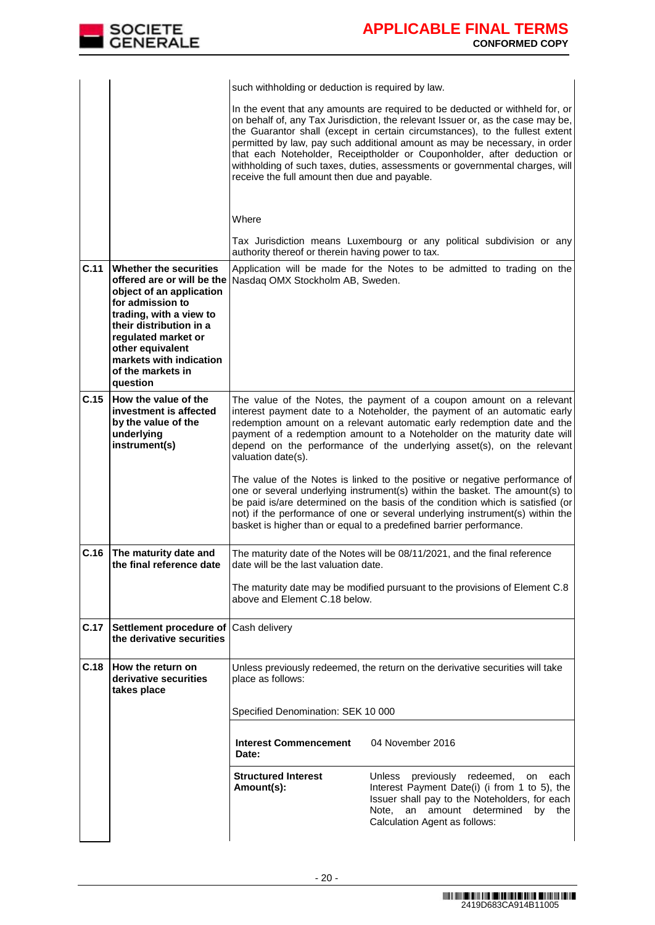

|      |                                                                                                                                                                                                                                                                   | such withholding or deduction is required by law.                                                                                                                                                                                                                                                                                                                                                                                                                                                                                                                                                                                                                                                                                                                                                              |                                                                                                                                                                                                                                   |  |  |
|------|-------------------------------------------------------------------------------------------------------------------------------------------------------------------------------------------------------------------------------------------------------------------|----------------------------------------------------------------------------------------------------------------------------------------------------------------------------------------------------------------------------------------------------------------------------------------------------------------------------------------------------------------------------------------------------------------------------------------------------------------------------------------------------------------------------------------------------------------------------------------------------------------------------------------------------------------------------------------------------------------------------------------------------------------------------------------------------------------|-----------------------------------------------------------------------------------------------------------------------------------------------------------------------------------------------------------------------------------|--|--|
|      |                                                                                                                                                                                                                                                                   | In the event that any amounts are required to be deducted or withheld for, or<br>on behalf of, any Tax Jurisdiction, the relevant Issuer or, as the case may be,<br>the Guarantor shall (except in certain circumstances), to the fullest extent<br>permitted by law, pay such additional amount as may be necessary, in order<br>that each Noteholder, Receiptholder or Couponholder, after deduction or<br>withholding of such taxes, duties, assessments or governmental charges, will<br>receive the full amount then due and payable.                                                                                                                                                                                                                                                                     |                                                                                                                                                                                                                                   |  |  |
|      |                                                                                                                                                                                                                                                                   |                                                                                                                                                                                                                                                                                                                                                                                                                                                                                                                                                                                                                                                                                                                                                                                                                |                                                                                                                                                                                                                                   |  |  |
|      |                                                                                                                                                                                                                                                                   | Where<br>authority thereof or therein having power to tax.                                                                                                                                                                                                                                                                                                                                                                                                                                                                                                                                                                                                                                                                                                                                                     | Tax Jurisdiction means Luxembourg or any political subdivision or any                                                                                                                                                             |  |  |
| C.11 | Whether the securities<br>offered are or will be the<br>object of an application<br>for admission to<br>trading, with a view to<br>their distribution in a<br>regulated market or<br>other equivalent<br>markets with indication<br>of the markets in<br>question | Application will be made for the Notes to be admitted to trading on the<br>Nasdaq OMX Stockholm AB, Sweden.                                                                                                                                                                                                                                                                                                                                                                                                                                                                                                                                                                                                                                                                                                    |                                                                                                                                                                                                                                   |  |  |
| C.15 | How the value of the<br>investment is affected<br>by the value of the<br>underlying<br>instrument(s)                                                                                                                                                              | The value of the Notes, the payment of a coupon amount on a relevant<br>interest payment date to a Noteholder, the payment of an automatic early<br>redemption amount on a relevant automatic early redemption date and the<br>payment of a redemption amount to a Noteholder on the maturity date will<br>depend on the performance of the underlying asset(s), on the relevant<br>valuation date(s).<br>The value of the Notes is linked to the positive or negative performance of<br>one or several underlying instrument(s) within the basket. The amount(s) to<br>be paid is/are determined on the basis of the condition which is satisfied (or<br>not) if the performance of one or several underlying instrument(s) within the<br>basket is higher than or equal to a predefined barrier performance. |                                                                                                                                                                                                                                   |  |  |
| C.16 | The maturity date and<br>the final reference date                                                                                                                                                                                                                 | date will be the last valuation date.                                                                                                                                                                                                                                                                                                                                                                                                                                                                                                                                                                                                                                                                                                                                                                          | The maturity date of the Notes will be 08/11/2021, and the final reference                                                                                                                                                        |  |  |
|      |                                                                                                                                                                                                                                                                   | above and Element C.18 below.                                                                                                                                                                                                                                                                                                                                                                                                                                                                                                                                                                                                                                                                                                                                                                                  | The maturity date may be modified pursuant to the provisions of Element C.8                                                                                                                                                       |  |  |
| C.17 | Settlement procedure of<br>the derivative securities                                                                                                                                                                                                              | Cash delivery                                                                                                                                                                                                                                                                                                                                                                                                                                                                                                                                                                                                                                                                                                                                                                                                  |                                                                                                                                                                                                                                   |  |  |
| C.18 | How the return on<br>derivative securities<br>takes place                                                                                                                                                                                                         | place as follows:                                                                                                                                                                                                                                                                                                                                                                                                                                                                                                                                                                                                                                                                                                                                                                                              | Unless previously redeemed, the return on the derivative securities will take                                                                                                                                                     |  |  |
|      |                                                                                                                                                                                                                                                                   | Specified Denomination: SEK 10 000                                                                                                                                                                                                                                                                                                                                                                                                                                                                                                                                                                                                                                                                                                                                                                             |                                                                                                                                                                                                                                   |  |  |
|      |                                                                                                                                                                                                                                                                   | <b>Interest Commencement</b><br>Date:                                                                                                                                                                                                                                                                                                                                                                                                                                                                                                                                                                                                                                                                                                                                                                          | 04 November 2016                                                                                                                                                                                                                  |  |  |
|      |                                                                                                                                                                                                                                                                   | <b>Structured Interest</b><br>Amount(s):                                                                                                                                                                                                                                                                                                                                                                                                                                                                                                                                                                                                                                                                                                                                                                       | previously redeemed,<br><b>Unless</b><br>on each<br>Interest Payment Date(i) (i from 1 to 5), the<br>Issuer shall pay to the Noteholders, for each<br>an amount determined<br>Note.<br>by<br>the<br>Calculation Agent as follows: |  |  |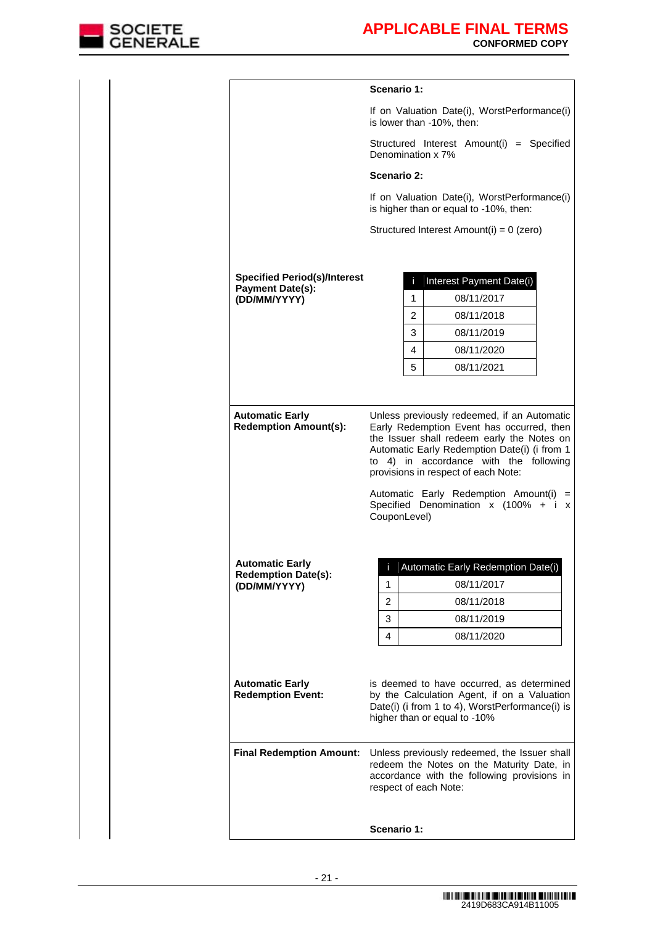

|                                                                | Scenario 1:                                                                                                                                                       |    |                                                                                                                                                                                                                 |  |  |  |
|----------------------------------------------------------------|-------------------------------------------------------------------------------------------------------------------------------------------------------------------|----|-----------------------------------------------------------------------------------------------------------------------------------------------------------------------------------------------------------------|--|--|--|
|                                                                |                                                                                                                                                                   |    | If on Valuation Date(i), WorstPerformance(i)<br>is lower than -10%, then:                                                                                                                                       |  |  |  |
|                                                                | Structured Interest Amount(i) = Specified<br>Denomination x 7%                                                                                                    |    |                                                                                                                                                                                                                 |  |  |  |
|                                                                | Scenario 2:                                                                                                                                                       |    |                                                                                                                                                                                                                 |  |  |  |
|                                                                |                                                                                                                                                                   |    | If on Valuation Date(i), WorstPerformance(i)<br>is higher than or equal to -10%, then:                                                                                                                          |  |  |  |
|                                                                |                                                                                                                                                                   |    | Structured Interest Amount(i) = 0 (zero)                                                                                                                                                                        |  |  |  |
|                                                                |                                                                                                                                                                   |    |                                                                                                                                                                                                                 |  |  |  |
| <b>Specified Period(s)/Interest</b><br><b>Payment Date(s):</b> |                                                                                                                                                                   | r. | Interest Payment Date(i)                                                                                                                                                                                        |  |  |  |
| (DD/MM/YYYY)                                                   |                                                                                                                                                                   | 1  | 08/11/2017                                                                                                                                                                                                      |  |  |  |
|                                                                |                                                                                                                                                                   | 2  | 08/11/2018                                                                                                                                                                                                      |  |  |  |
|                                                                |                                                                                                                                                                   | 3  | 08/11/2019                                                                                                                                                                                                      |  |  |  |
|                                                                |                                                                                                                                                                   | 4  | 08/11/2020                                                                                                                                                                                                      |  |  |  |
|                                                                |                                                                                                                                                                   | 5  | 08/11/2021                                                                                                                                                                                                      |  |  |  |
|                                                                | CouponLevel)                                                                                                                                                      |    | Automatic Early Redemption Date(i) (i from 1<br>to 4) in accordance with the following<br>provisions in respect of each Note:<br>Automatic Early Redemption Amount(i) =<br>Specified Denomination x (100% + i x |  |  |  |
| <b>Automatic Early</b>                                         |                                                                                                                                                                   |    | Automatic Early Redemption Date(i)                                                                                                                                                                              |  |  |  |
| <b>Redemption Date(s):</b><br>(DD/MM/YYYY)                     | 1                                                                                                                                                                 |    | 08/11/2017                                                                                                                                                                                                      |  |  |  |
|                                                                | 2                                                                                                                                                                 |    | 08/11/2018                                                                                                                                                                                                      |  |  |  |
|                                                                | 3                                                                                                                                                                 |    | 08/11/2019                                                                                                                                                                                                      |  |  |  |
|                                                                | 4                                                                                                                                                                 |    | 08/11/2020                                                                                                                                                                                                      |  |  |  |
| <b>Automatic Early</b><br><b>Redemption Event:</b>             |                                                                                                                                                                   |    | is deemed to have occurred, as determined<br>by the Calculation Agent, if on a Valuation<br>Date(i) (i from 1 to 4), WorstPerformance(i) is<br>higher than or equal to -10%                                     |  |  |  |
| <b>Final Redemption Amount:</b>                                | Unless previously redeemed, the Issuer shall<br>redeem the Notes on the Maturity Date, in<br>accordance with the following provisions in<br>respect of each Note: |    |                                                                                                                                                                                                                 |  |  |  |
|                                                                | Scenario 1:                                                                                                                                                       |    |                                                                                                                                                                                                                 |  |  |  |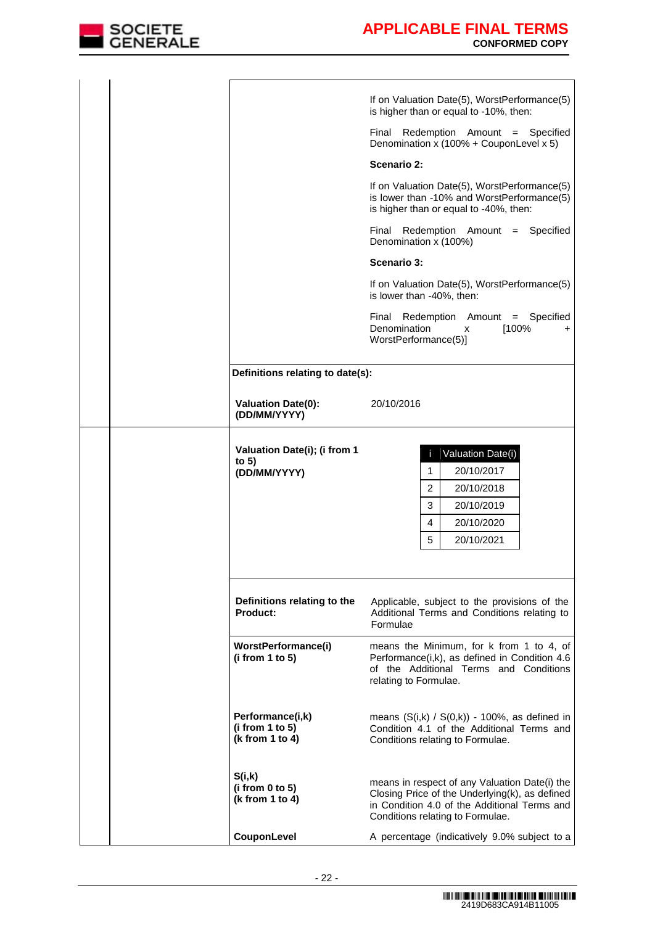

|                                                         | If on Valuation Date(5), WorstPerformance(5)<br>is higher than or equal to -10%, then:                                                                                              |  |  |
|---------------------------------------------------------|-------------------------------------------------------------------------------------------------------------------------------------------------------------------------------------|--|--|
|                                                         | Redemption Amount = Specified<br>Final<br>Denomination x (100% + CouponLevel x 5)                                                                                                   |  |  |
|                                                         | Scenario 2:                                                                                                                                                                         |  |  |
|                                                         | If on Valuation Date(5), WorstPerformance(5)<br>is lower than -10% and WorstPerformance(5)<br>is higher than or equal to -40%, then:                                                |  |  |
|                                                         | Redemption Amount = Specified<br>Final<br>Denomination x (100%)                                                                                                                     |  |  |
|                                                         | Scenario 3:                                                                                                                                                                         |  |  |
|                                                         | If on Valuation Date(5), WorstPerformance(5)<br>is lower than -40%, then:                                                                                                           |  |  |
|                                                         | Final<br>Redemption Amount = Specified<br>Denomination<br>[100%<br>x<br>+<br>WorstPerformance(5)]                                                                                   |  |  |
| Definitions relating to date(s):                        |                                                                                                                                                                                     |  |  |
| <b>Valuation Date(0):</b><br>(DD/MM/YYYY)               | 20/10/2016                                                                                                                                                                          |  |  |
| Valuation Date(i); (i from 1<br>to $5)$<br>(DD/MM/YYYY) | Valuation Date(i)<br>ï.<br>20/10/2017<br>1<br>2<br>20/10/2018<br>3<br>20/10/2019<br>20/10/2020<br>4<br>5<br>20/10/2021                                                              |  |  |
| Definitions relating to the<br><b>Product:</b>          | Applicable, subject to the provisions of the<br>Additional Terms and Conditions relating to<br>Formulae                                                                             |  |  |
| WorstPerformance(i)<br>(i from 1 to 5)                  | means the Minimum, for k from 1 to 4, of<br>Performance(i,k), as defined in Condition 4.6<br>of the Additional Terms and Conditions<br>relating to Formulae.                        |  |  |
| Performance(i,k)<br>(i from 1 to 5)<br>(k from 1 to 4)  | means $(S(i,k) / S(0,k)) - 100\%$ , as defined in<br>Condition 4.1 of the Additional Terms and<br>Conditions relating to Formulae.                                                  |  |  |
| S(i,k)<br>(i from 0 to 5)<br>(k from 1 to 4)            | means in respect of any Valuation Date(i) the<br>Closing Price of the Underlying(k), as defined<br>in Condition 4.0 of the Additional Terms and<br>Conditions relating to Formulae. |  |  |
| CouponLevel                                             | A percentage (indicatively 9.0% subject to a                                                                                                                                        |  |  |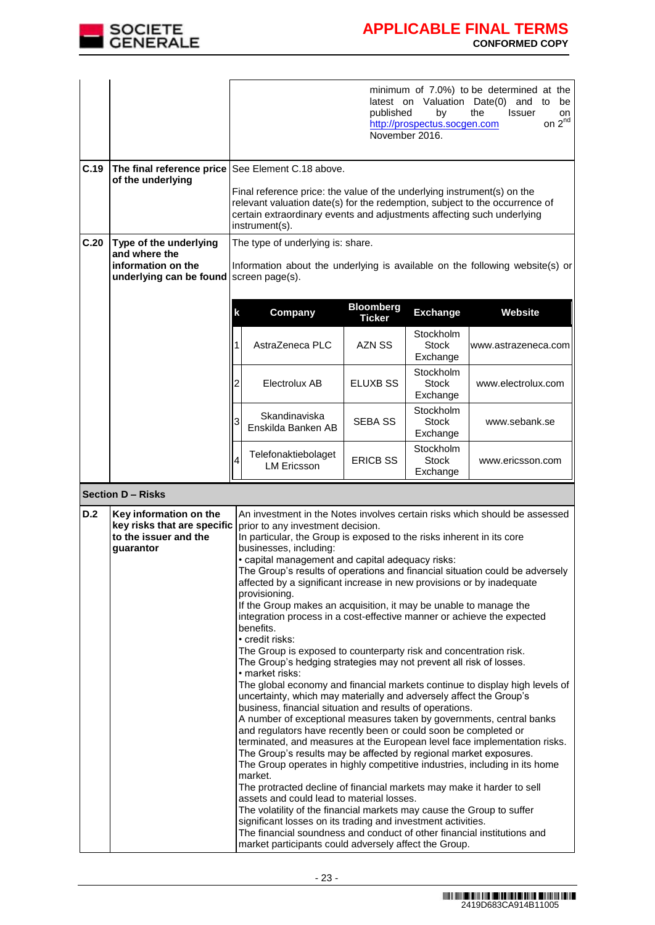

|      |                                                                                             |                                                                                                                                                                                                                                                                                                                                                                                                                                                                                                                                                                                                                                                                                                                                                                                                                                                                                                                                                                                                                                                                                                                                                                                                                                                                                                                                                                                                                                                                                                                                                                                                                                                                                                                                                                                                          | minimum of 7.0%) to be determined at the<br>latest on Valuation Date(0) and to<br>be<br>published<br>by<br>the<br><b>Issuer</b><br>on<br>on $2^{nd}$<br>http://prospectus.socgen.com<br>November 2016.                                                                        |                 |                                       |                     |  |  |
|------|---------------------------------------------------------------------------------------------|----------------------------------------------------------------------------------------------------------------------------------------------------------------------------------------------------------------------------------------------------------------------------------------------------------------------------------------------------------------------------------------------------------------------------------------------------------------------------------------------------------------------------------------------------------------------------------------------------------------------------------------------------------------------------------------------------------------------------------------------------------------------------------------------------------------------------------------------------------------------------------------------------------------------------------------------------------------------------------------------------------------------------------------------------------------------------------------------------------------------------------------------------------------------------------------------------------------------------------------------------------------------------------------------------------------------------------------------------------------------------------------------------------------------------------------------------------------------------------------------------------------------------------------------------------------------------------------------------------------------------------------------------------------------------------------------------------------------------------------------------------------------------------------------------------|-------------------------------------------------------------------------------------------------------------------------------------------------------------------------------------------------------------------------------------------------------------------------------|-----------------|---------------------------------------|---------------------|--|--|
| C.19 | The final reference price<br>of the underlying                                              |                                                                                                                                                                                                                                                                                                                                                                                                                                                                                                                                                                                                                                                                                                                                                                                                                                                                                                                                                                                                                                                                                                                                                                                                                                                                                                                                                                                                                                                                                                                                                                                                                                                                                                                                                                                                          | See Element C.18 above.<br>Final reference price: the value of the underlying instrument(s) on the<br>relevant valuation date(s) for the redemption, subject to the occurrence of<br>certain extraordinary events and adjustments affecting such underlying<br>instrument(s). |                 |                                       |                     |  |  |
| C.20 | Type of the underlying<br>and where the<br>information on the<br>underlying can be found    |                                                                                                                                                                                                                                                                                                                                                                                                                                                                                                                                                                                                                                                                                                                                                                                                                                                                                                                                                                                                                                                                                                                                                                                                                                                                                                                                                                                                                                                                                                                                                                                                                                                                                                                                                                                                          | The type of underlying is: share.<br>Information about the underlying is available on the following website(s) or<br>screen page(s).                                                                                                                                          |                 |                                       |                     |  |  |
|      |                                                                                             | k                                                                                                                                                                                                                                                                                                                                                                                                                                                                                                                                                                                                                                                                                                                                                                                                                                                                                                                                                                                                                                                                                                                                                                                                                                                                                                                                                                                                                                                                                                                                                                                                                                                                                                                                                                                                        | <b>Bloomberg</b><br>Company<br><b>Exchange</b><br><b>Website</b><br><b>Ticker</b>                                                                                                                                                                                             |                 |                                       |                     |  |  |
|      |                                                                                             |                                                                                                                                                                                                                                                                                                                                                                                                                                                                                                                                                                                                                                                                                                                                                                                                                                                                                                                                                                                                                                                                                                                                                                                                                                                                                                                                                                                                                                                                                                                                                                                                                                                                                                                                                                                                          | AstraZeneca PLC                                                                                                                                                                                                                                                               | AZN SS          | Stockholm<br><b>Stock</b><br>Exchange | www.astrazeneca.com |  |  |
|      |                                                                                             | 2                                                                                                                                                                                                                                                                                                                                                                                                                                                                                                                                                                                                                                                                                                                                                                                                                                                                                                                                                                                                                                                                                                                                                                                                                                                                                                                                                                                                                                                                                                                                                                                                                                                                                                                                                                                                        | Electrolux AB                                                                                                                                                                                                                                                                 | ELUXB SS        | Stockholm<br><b>Stock</b><br>Exchange | www.electrolux.com  |  |  |
|      |                                                                                             |                                                                                                                                                                                                                                                                                                                                                                                                                                                                                                                                                                                                                                                                                                                                                                                                                                                                                                                                                                                                                                                                                                                                                                                                                                                                                                                                                                                                                                                                                                                                                                                                                                                                                                                                                                                                          | Skandinaviska<br>Enskilda Banken AB                                                                                                                                                                                                                                           | <b>SEBA SS</b>  | Stockholm<br>Stock<br>Exchange        | www.sebank.se       |  |  |
|      |                                                                                             | 4                                                                                                                                                                                                                                                                                                                                                                                                                                                                                                                                                                                                                                                                                                                                                                                                                                                                                                                                                                                                                                                                                                                                                                                                                                                                                                                                                                                                                                                                                                                                                                                                                                                                                                                                                                                                        | Telefonaktiebolaget<br><b>LM Ericsson</b>                                                                                                                                                                                                                                     | <b>ERICB SS</b> | Stockholm<br>Stock<br>Exchange        | www.ericsson.com    |  |  |
|      | <b>Section D - Risks</b>                                                                    |                                                                                                                                                                                                                                                                                                                                                                                                                                                                                                                                                                                                                                                                                                                                                                                                                                                                                                                                                                                                                                                                                                                                                                                                                                                                                                                                                                                                                                                                                                                                                                                                                                                                                                                                                                                                          |                                                                                                                                                                                                                                                                               |                 |                                       |                     |  |  |
| D.2  | Key information on the<br>key risks that are specific<br>to the issuer and the<br>guarantor | An investment in the Notes involves certain risks which should be assessed<br>prior to any investment decision.<br>In particular, the Group is exposed to the risks inherent in its core<br>businesses, including:<br>• capital management and capital adequacy risks:<br>The Group's results of operations and financial situation could be adversely<br>affected by a significant increase in new provisions or by inadequate<br>provisioning.<br>If the Group makes an acquisition, it may be unable to manage the<br>integration process in a cost-effective manner or achieve the expected<br>benefits.<br>• credit risks:<br>The Group is exposed to counterparty risk and concentration risk.<br>The Group's hedging strategies may not prevent all risk of losses.<br>• market risks:<br>The global economy and financial markets continue to display high levels of<br>uncertainty, which may materially and adversely affect the Group's<br>business, financial situation and results of operations.<br>A number of exceptional measures taken by governments, central banks<br>and regulators have recently been or could soon be completed or<br>terminated, and measures at the European level face implementation risks.<br>The Group's results may be affected by regional market exposures.<br>The Group operates in highly competitive industries, including in its home<br>market.<br>The protracted decline of financial markets may make it harder to sell<br>assets and could lead to material losses.<br>The volatility of the financial markets may cause the Group to suffer<br>significant losses on its trading and investment activities.<br>The financial soundness and conduct of other financial institutions and<br>market participants could adversely affect the Group. |                                                                                                                                                                                                                                                                               |                 |                                       |                     |  |  |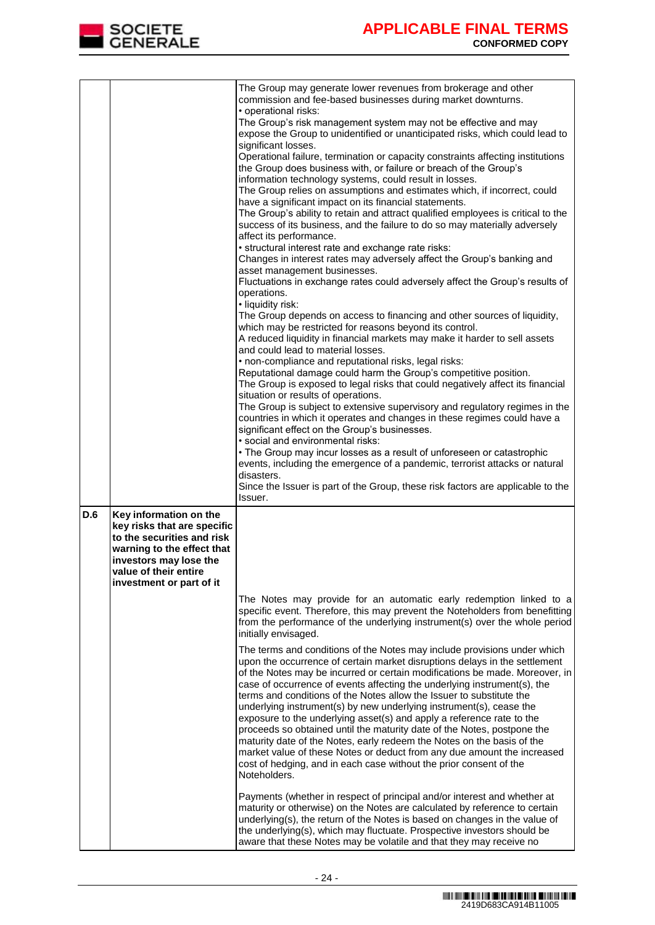

|     |                                                                                                                                             | The Group may generate lower revenues from brokerage and other<br>commission and fee-based businesses during market downturns.                                                                                                                                                                                                                                                                                                                                                                                                                                                                                                                                                                                                                                                                                                                                  |
|-----|---------------------------------------------------------------------------------------------------------------------------------------------|-----------------------------------------------------------------------------------------------------------------------------------------------------------------------------------------------------------------------------------------------------------------------------------------------------------------------------------------------------------------------------------------------------------------------------------------------------------------------------------------------------------------------------------------------------------------------------------------------------------------------------------------------------------------------------------------------------------------------------------------------------------------------------------------------------------------------------------------------------------------|
|     |                                                                                                                                             | • operational risks:<br>The Group's risk management system may not be effective and may<br>expose the Group to unidentified or unanticipated risks, which could lead to                                                                                                                                                                                                                                                                                                                                                                                                                                                                                                                                                                                                                                                                                         |
|     |                                                                                                                                             | significant losses.<br>Operational failure, termination or capacity constraints affecting institutions<br>the Group does business with, or failure or breach of the Group's                                                                                                                                                                                                                                                                                                                                                                                                                                                                                                                                                                                                                                                                                     |
|     |                                                                                                                                             | information technology systems, could result in losses.<br>The Group relies on assumptions and estimates which, if incorrect, could<br>have a significant impact on its financial statements.                                                                                                                                                                                                                                                                                                                                                                                                                                                                                                                                                                                                                                                                   |
|     |                                                                                                                                             | The Group's ability to retain and attract qualified employees is critical to the<br>success of its business, and the failure to do so may materially adversely<br>affect its performance.                                                                                                                                                                                                                                                                                                                                                                                                                                                                                                                                                                                                                                                                       |
|     |                                                                                                                                             | • structural interest rate and exchange rate risks:<br>Changes in interest rates may adversely affect the Group's banking and<br>asset management businesses.                                                                                                                                                                                                                                                                                                                                                                                                                                                                                                                                                                                                                                                                                                   |
|     |                                                                                                                                             | Fluctuations in exchange rates could adversely affect the Group's results of<br>operations.<br>· liquidity risk:                                                                                                                                                                                                                                                                                                                                                                                                                                                                                                                                                                                                                                                                                                                                                |
|     |                                                                                                                                             | The Group depends on access to financing and other sources of liquidity,<br>which may be restricted for reasons beyond its control.<br>A reduced liquidity in financial markets may make it harder to sell assets                                                                                                                                                                                                                                                                                                                                                                                                                                                                                                                                                                                                                                               |
|     |                                                                                                                                             | and could lead to material losses.<br>• non-compliance and reputational risks, legal risks:                                                                                                                                                                                                                                                                                                                                                                                                                                                                                                                                                                                                                                                                                                                                                                     |
|     |                                                                                                                                             | Reputational damage could harm the Group's competitive position.<br>The Group is exposed to legal risks that could negatively affect its financial<br>situation or results of operations.                                                                                                                                                                                                                                                                                                                                                                                                                                                                                                                                                                                                                                                                       |
|     |                                                                                                                                             | The Group is subject to extensive supervisory and regulatory regimes in the<br>countries in which it operates and changes in these regimes could have a<br>significant effect on the Group's businesses.                                                                                                                                                                                                                                                                                                                                                                                                                                                                                                                                                                                                                                                        |
|     |                                                                                                                                             | · social and environmental risks:<br>• The Group may incur losses as a result of unforeseen or catastrophic                                                                                                                                                                                                                                                                                                                                                                                                                                                                                                                                                                                                                                                                                                                                                     |
|     |                                                                                                                                             | events, including the emergence of a pandemic, terrorist attacks or natural<br>disasters.                                                                                                                                                                                                                                                                                                                                                                                                                                                                                                                                                                                                                                                                                                                                                                       |
|     |                                                                                                                                             | Since the Issuer is part of the Group, these risk factors are applicable to the<br>Issuer.                                                                                                                                                                                                                                                                                                                                                                                                                                                                                                                                                                                                                                                                                                                                                                      |
| D.6 | Key information on the<br>key risks that are specific<br>to the securities and risk<br>warning to the effect that<br>investors may lose the |                                                                                                                                                                                                                                                                                                                                                                                                                                                                                                                                                                                                                                                                                                                                                                                                                                                                 |
|     | value of their entire<br>investment or part of it                                                                                           |                                                                                                                                                                                                                                                                                                                                                                                                                                                                                                                                                                                                                                                                                                                                                                                                                                                                 |
|     |                                                                                                                                             | The Notes may provide for an automatic early redemption linked to a<br>specific event. Therefore, this may prevent the Noteholders from benefitting<br>from the performance of the underlying instrument(s) over the whole period<br>initially envisaged.                                                                                                                                                                                                                                                                                                                                                                                                                                                                                                                                                                                                       |
|     |                                                                                                                                             | The terms and conditions of the Notes may include provisions under which<br>upon the occurrence of certain market disruptions delays in the settlement<br>of the Notes may be incurred or certain modifications be made. Moreover, in<br>case of occurrence of events affecting the underlying instrument(s), the<br>terms and conditions of the Notes allow the Issuer to substitute the<br>underlying instrument(s) by new underlying instrument(s), cease the<br>exposure to the underlying asset(s) and apply a reference rate to the<br>proceeds so obtained until the maturity date of the Notes, postpone the<br>maturity date of the Notes, early redeem the Notes on the basis of the<br>market value of these Notes or deduct from any due amount the increased<br>cost of hedging, and in each case without the prior consent of the<br>Noteholders. |
|     |                                                                                                                                             | Payments (whether in respect of principal and/or interest and whether at<br>maturity or otherwise) on the Notes are calculated by reference to certain<br>underlying(s), the return of the Notes is based on changes in the value of<br>the underlying(s), which may fluctuate. Prospective investors should be<br>aware that these Notes may be volatile and that they may receive no                                                                                                                                                                                                                                                                                                                                                                                                                                                                          |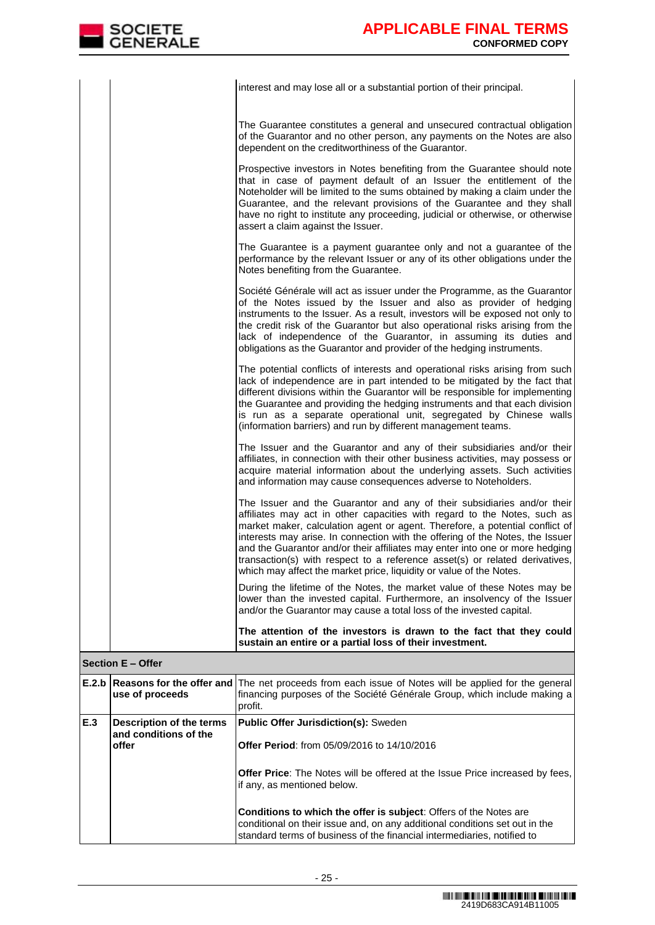|  | interest and may lose all or a substantial portion of their principal.                                                                                                                                                                                                                                                                                                                                                                                                                                                                                     |
|--|------------------------------------------------------------------------------------------------------------------------------------------------------------------------------------------------------------------------------------------------------------------------------------------------------------------------------------------------------------------------------------------------------------------------------------------------------------------------------------------------------------------------------------------------------------|
|  | The Guarantee constitutes a general and unsecured contractual obligation<br>of the Guarantor and no other person, any payments on the Notes are also<br>dependent on the creditworthiness of the Guarantor.                                                                                                                                                                                                                                                                                                                                                |
|  | Prospective investors in Notes benefiting from the Guarantee should note<br>that in case of payment default of an Issuer the entitlement of the<br>Noteholder will be limited to the sums obtained by making a claim under the<br>Guarantee, and the relevant provisions of the Guarantee and they shall<br>have no right to institute any proceeding, judicial or otherwise, or otherwise<br>assert a claim against the Issuer.                                                                                                                           |
|  | The Guarantee is a payment guarantee only and not a guarantee of the<br>performance by the relevant Issuer or any of its other obligations under the<br>Notes benefiting from the Guarantee.                                                                                                                                                                                                                                                                                                                                                               |
|  | Société Générale will act as issuer under the Programme, as the Guarantor<br>of the Notes issued by the Issuer and also as provider of hedging<br>instruments to the Issuer. As a result, investors will be exposed not only to<br>the credit risk of the Guarantor but also operational risks arising from the<br>lack of independence of the Guarantor, in assuming its duties and<br>obligations as the Guarantor and provider of the hedging instruments.                                                                                              |
|  | The potential conflicts of interests and operational risks arising from such<br>lack of independence are in part intended to be mitigated by the fact that<br>different divisions within the Guarantor will be responsible for implementing<br>the Guarantee and providing the hedging instruments and that each division<br>is run as a separate operational unit, segregated by Chinese walls<br>(information barriers) and run by different management teams.                                                                                           |
|  | The Issuer and the Guarantor and any of their subsidiaries and/or their<br>affiliates, in connection with their other business activities, may possess or<br>acquire material information about the underlying assets. Such activities<br>and information may cause consequences adverse to Noteholders.                                                                                                                                                                                                                                                   |
|  | The Issuer and the Guarantor and any of their subsidiaries and/or their<br>affiliates may act in other capacities with regard to the Notes, such as<br>market maker, calculation agent or agent. Therefore, a potential conflict of<br>interests may arise. In connection with the offering of the Notes, the Issuer<br>and the Guarantor and/or their affiliates may enter into one or more hedging<br>transaction(s) with respect to a reference asset(s) or related derivatives,<br>which may affect the market price, liquidity or value of the Notes. |
|  | During the lifetime of the Notes, the market value of these Notes may be<br>lower than the invested capital. Furthermore, an insolvency of the Issuer<br>and/or the Guarantor may cause a total loss of the invested capital.                                                                                                                                                                                                                                                                                                                              |
|  | The attention of the investors is drawn to the fact that they could<br>sustain an entire or a partial loss of their investment.                                                                                                                                                                                                                                                                                                                                                                                                                            |

|     | use of proceeds                                            | <b>E.2.b Reasons for the offer and</b> The net proceeds from each issue of Notes will be applied for the general<br>financing purposes of the Société Générale Group, which include making a<br>profit.                            |
|-----|------------------------------------------------------------|------------------------------------------------------------------------------------------------------------------------------------------------------------------------------------------------------------------------------------|
| E.3 | Description of the terms<br>and conditions of the<br>offer | <b>Public Offer Jurisdiction(s): Sweden</b><br><b>Offer Period:</b> from 05/09/2016 to 14/10/2016<br><b>Offer Price:</b> The Notes will be offered at the Issue Price increased by fees,<br>if any, as mentioned below.            |
|     |                                                            | <b>Conditions to which the offer is subject:</b> Offers of the Notes are<br>conditional on their issue and, on any additional conditions set out in the<br>standard terms of business of the financial intermediaries, notified to |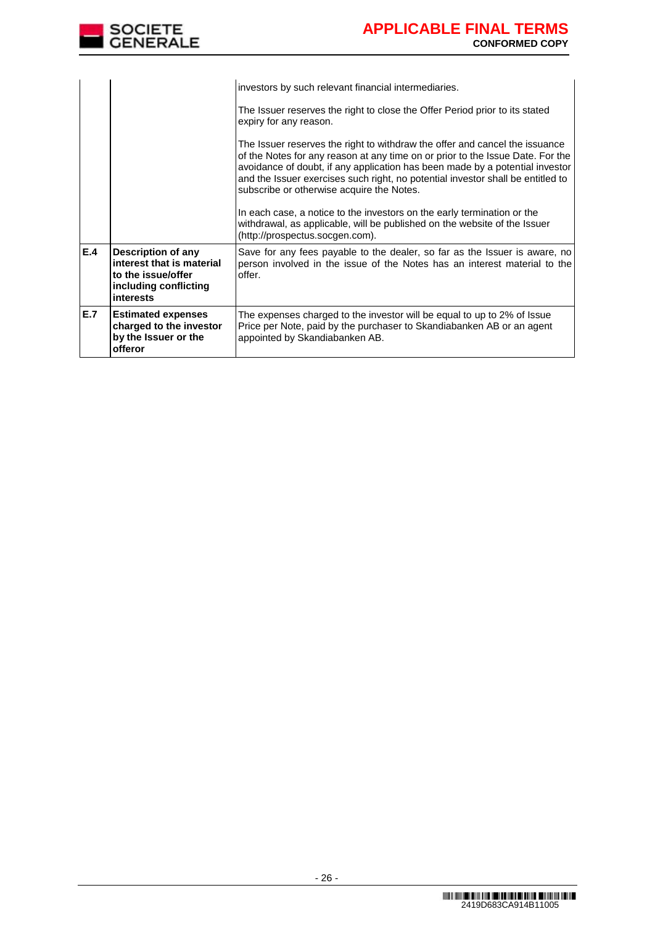

|     |                                                                                                             | investors by such relevant financial intermediaries.                                                                                                                                                                                                                                                                                                                                                                                                                                                                                                                     |
|-----|-------------------------------------------------------------------------------------------------------------|--------------------------------------------------------------------------------------------------------------------------------------------------------------------------------------------------------------------------------------------------------------------------------------------------------------------------------------------------------------------------------------------------------------------------------------------------------------------------------------------------------------------------------------------------------------------------|
|     |                                                                                                             | The Issuer reserves the right to close the Offer Period prior to its stated<br>expiry for any reason.                                                                                                                                                                                                                                                                                                                                                                                                                                                                    |
|     |                                                                                                             | The Issuer reserves the right to withdraw the offer and cancel the issuance<br>of the Notes for any reason at any time on or prior to the Issue Date. For the<br>avoidance of doubt, if any application has been made by a potential investor<br>and the Issuer exercises such right, no potential investor shall be entitled to<br>subscribe or otherwise acquire the Notes.<br>In each case, a notice to the investors on the early termination or the<br>withdrawal, as applicable, will be published on the website of the Issuer<br>(http://prospectus.socgen.com). |
| E.4 | Description of any<br>interest that is material<br>to the issue/offer<br>including conflicting<br>interests | Save for any fees payable to the dealer, so far as the Issuer is aware, no<br>person involved in the issue of the Notes has an interest material to the<br>offer.                                                                                                                                                                                                                                                                                                                                                                                                        |
| E.7 | <b>Estimated expenses</b><br>charged to the investor<br>by the Issuer or the<br>offeror                     | The expenses charged to the investor will be equal to up to 2% of Issue<br>Price per Note, paid by the purchaser to Skandiabanken AB or an agent<br>appointed by Skandiabanken AB.                                                                                                                                                                                                                                                                                                                                                                                       |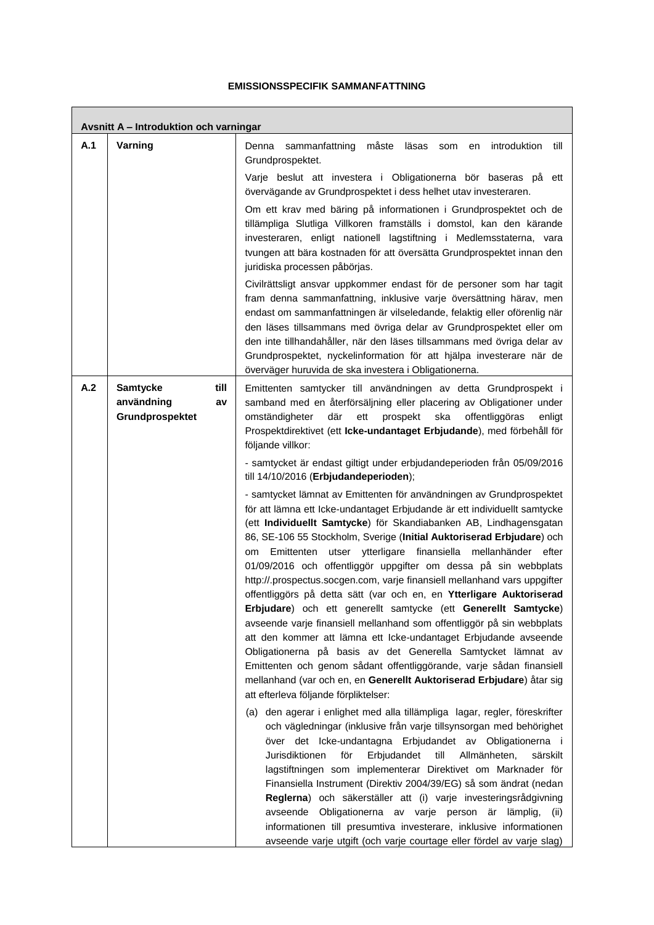#### **EMISSIONSSPECIFIK SAMMANFATTNING**

 $\Gamma$ 

|     | Avsnitt A - Introduktion och varningar                         |                                                                                                                                                                                                                                                                                                                                                                                                                                                                                                                                                                                                                                                                                                                                                                                                                                                                                                                                                                                                                                                                                    |
|-----|----------------------------------------------------------------|------------------------------------------------------------------------------------------------------------------------------------------------------------------------------------------------------------------------------------------------------------------------------------------------------------------------------------------------------------------------------------------------------------------------------------------------------------------------------------------------------------------------------------------------------------------------------------------------------------------------------------------------------------------------------------------------------------------------------------------------------------------------------------------------------------------------------------------------------------------------------------------------------------------------------------------------------------------------------------------------------------------------------------------------------------------------------------|
| A.1 | Varning                                                        | introduktion<br>Denna<br>sammanfattning<br>måste<br>läsas<br>till<br>som<br>en<br>Grundprospektet.<br>Varje beslut att investera i Obligationerna bör baseras på ett                                                                                                                                                                                                                                                                                                                                                                                                                                                                                                                                                                                                                                                                                                                                                                                                                                                                                                               |
|     |                                                                | övervägande av Grundprospektet i dess helhet utav investeraren.                                                                                                                                                                                                                                                                                                                                                                                                                                                                                                                                                                                                                                                                                                                                                                                                                                                                                                                                                                                                                    |
|     |                                                                | Om ett krav med bäring på informationen i Grundprospektet och de<br>tillämpliga Slutliga Villkoren framställs i domstol, kan den kärande<br>investeraren, enligt nationell lagstiftning i Medlemsstaterna, vara<br>tvungen att bära kostnaden för att översätta Grundprospektet innan den<br>juridiska processen påbörjas.                                                                                                                                                                                                                                                                                                                                                                                                                                                                                                                                                                                                                                                                                                                                                         |
|     |                                                                | Civilrättsligt ansvar uppkommer endast för de personer som har tagit<br>fram denna sammanfattning, inklusive varje översättning härav, men<br>endast om sammanfattningen är vilseledande, felaktig eller oförenlig när<br>den läses tillsammans med övriga delar av Grundprospektet eller om<br>den inte tillhandahåller, när den läses tillsammans med övriga delar av<br>Grundprospektet, nyckelinformation för att hjälpa investerare när de<br>överväger huruvida de ska investera i Obligationerna.                                                                                                                                                                                                                                                                                                                                                                                                                                                                                                                                                                           |
| A.2 | <b>Samtycke</b><br>till<br>användning<br>av<br>Grundprospektet | Emittenten samtycker till användningen av detta Grundprospekt i<br>samband med en återförsäljning eller placering av Obligationer under<br>där<br>prospekt<br>omständigheter<br>ett<br>ska<br>offentliggöras<br>enligt<br>Prospektdirektivet (ett Icke-undantaget Erbjudande), med förbehåll för<br>följande villkor:                                                                                                                                                                                                                                                                                                                                                                                                                                                                                                                                                                                                                                                                                                                                                              |
|     |                                                                | - samtycket är endast giltigt under erbjudandeperioden från 05/09/2016<br>till 14/10/2016 (Erbjudandeperioden);                                                                                                                                                                                                                                                                                                                                                                                                                                                                                                                                                                                                                                                                                                                                                                                                                                                                                                                                                                    |
|     |                                                                | - samtycket lämnat av Emittenten för användningen av Grundprospektet<br>för att lämna ett Icke-undantaget Erbjudande är ett individuellt samtycke<br>(ett Individuellt Samtycke) för Skandiabanken AB, Lindhagensgatan<br>86, SE-106 55 Stockholm, Sverige (Initial Auktoriserad Erbjudare) och<br>ytterligare finansiella<br>mellanhänder<br>efter<br>Emittenten<br>utser<br>om<br>01/09/2016 och offentliggör uppgifter om dessa på sin webbplats<br>http://.prospectus.socgen.com, varje finansiell mellanhand vars uppgifter<br>offentliggörs på detta sätt (var och en, en Ytterligare Auktoriserad<br>Erbjudare) och ett generellt samtycke (ett Generellt Samtycke)<br>avseende varje finansiell mellanhand som offentliggör på sin webbplats<br>att den kommer att lämna ett Icke-undantaget Erbjudande avseende<br>Obligationerna på basis av det Generella Samtycket lämnat av<br>Emittenten och genom sådant offentliggörande, varje sådan finansiell<br>mellanhand (var och en, en Generellt Auktoriserad Erbjudare) åtar sig<br>att efterleva följande förpliktelser: |
|     |                                                                | (a) den agerar i enlighet med alla tillämpliga lagar, regler, föreskrifter<br>och vägledningar (inklusive från varje tillsynsorgan med behörighet<br>över det Icke-undantagna Erbjudandet av Obligationerna i<br>Jurisdiktionen<br>för<br>Erbjudandet<br>till<br>Allmänheten,<br>särskilt<br>lagstiftningen som implementerar Direktivet om Marknader för<br>Finansiella Instrument (Direktiv 2004/39/EG) så som ändrat (nedan<br>Reglerna) och säkerställer att (i) varje investeringsrådgivning<br>avseende Obligationerna av varje person är lämplig,<br>(ii)<br>informationen till presumtiva investerare, inklusive informationen<br>avseende varje utgift (och varje courtage eller fördel av varje slag)                                                                                                                                                                                                                                                                                                                                                                    |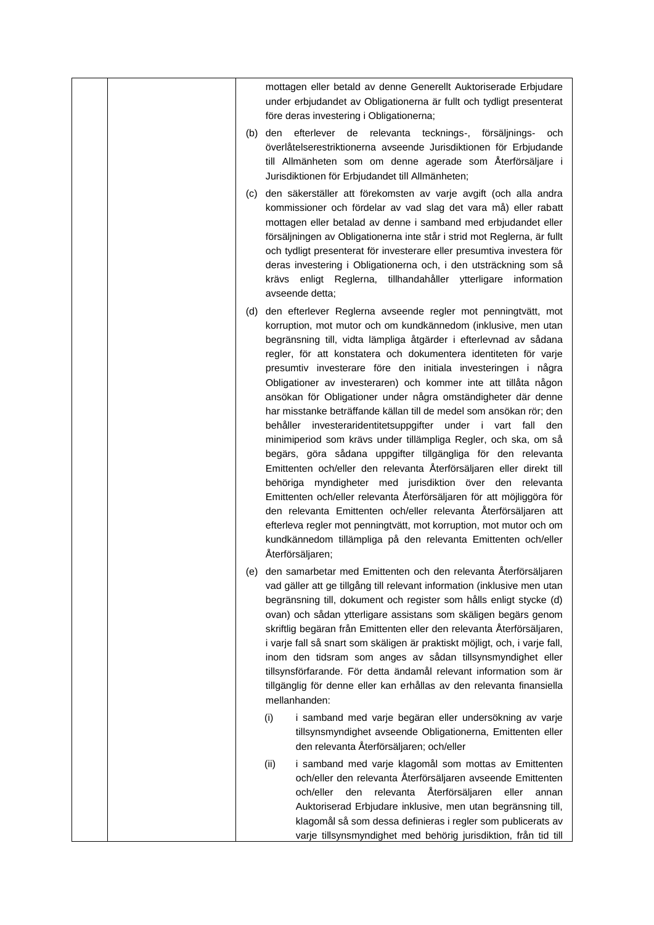| mottagen eller betald av denne Generellt Auktoriserade Erbjudare<br>under erbjudandet av Obligationerna är fullt och tydligt presenterat                                                                                                                                                                                                                                                                                                                                                                                                                                                                                                                                                                                                                                                                                                                                                                                                                                                                                                                                                                                                                                                                  |
|-----------------------------------------------------------------------------------------------------------------------------------------------------------------------------------------------------------------------------------------------------------------------------------------------------------------------------------------------------------------------------------------------------------------------------------------------------------------------------------------------------------------------------------------------------------------------------------------------------------------------------------------------------------------------------------------------------------------------------------------------------------------------------------------------------------------------------------------------------------------------------------------------------------------------------------------------------------------------------------------------------------------------------------------------------------------------------------------------------------------------------------------------------------------------------------------------------------|
| före deras investering i Obligationerna;<br>efterlever de relevanta tecknings-, försäljnings-<br>(b) den<br>och<br>överlåtelserestriktionerna avseende Jurisdiktionen för Erbjudande<br>till Allmänheten som om denne agerade som Återförsäljare i<br>Jurisdiktionen för Erbjudandet till Allmänheten;                                                                                                                                                                                                                                                                                                                                                                                                                                                                                                                                                                                                                                                                                                                                                                                                                                                                                                    |
| den säkerställer att förekomsten av varje avgift (och alla andra<br>(C)<br>kommissioner och fördelar av vad slag det vara må) eller rabatt<br>mottagen eller betalad av denne i samband med erbjudandet eller<br>försäljningen av Obligationerna inte står i strid mot Reglerna, är fullt<br>och tydligt presenterat för investerare eller presumtiva investera för<br>deras investering i Obligationerna och, i den utsträckning som så<br>krävs enligt Reglerna, tillhandahåller ytterligare information<br>avseende detta;                                                                                                                                                                                                                                                                                                                                                                                                                                                                                                                                                                                                                                                                             |
| (d) den efterlever Reglerna avseende regler mot penningtvätt, mot<br>korruption, mot mutor och om kundkännedom (inklusive, men utan<br>begränsning till, vidta lämpliga åtgärder i efterlevnad av sådana<br>regler, för att konstatera och dokumentera identiteten för varje<br>presumtiv investerare före den initiala investeringen i några<br>Obligationer av investeraren) och kommer inte att tillåta någon<br>ansökan för Obligationer under några omständigheter där denne<br>har misstanke beträffande källan till de medel som ansökan rör; den<br>behåller investeraridentitetsuppgifter under i vart fall den<br>minimiperiod som krävs under tillämpliga Regler, och ska, om så<br>begärs, göra sådana uppgifter tillgängliga för den relevanta<br>Emittenten och/eller den relevanta Återförsäljaren eller direkt till<br>behöriga myndigheter med jurisdiktion över den relevanta<br>Emittenten och/eller relevanta Återförsäljaren för att möjliggöra för<br>den relevanta Emittenten och/eller relevanta Återförsäljaren att<br>efterleva regler mot penningtvätt, mot korruption, mot mutor och om<br>kundkännedom tillämpliga på den relevanta Emittenten och/eller<br>Återförsäljaren; |
| den samarbetar med Emittenten och den relevanta Återförsäljaren<br>(e)<br>vad gäller att ge tillgång till relevant information (inklusive men utan<br>begränsning till, dokument och register som hålls enligt stycke (d)<br>ovan) och sådan ytterligare assistans som skäligen begärs genom<br>skriftlig begäran från Emittenten eller den relevanta Återförsäljaren,<br>i varje fall så snart som skäligen är praktiskt möjligt, och, i varje fall,<br>inom den tidsram som anges av sådan tillsynsmyndighet eller<br>tillsynsförfarande. För detta ändamål relevant information som är<br>tillgänglig för denne eller kan erhållas av den relevanta finansiella<br>mellanhanden:                                                                                                                                                                                                                                                                                                                                                                                                                                                                                                                       |
| i samband med varje begäran eller undersökning av varje<br>(i)<br>tillsynsmyndighet avseende Obligationerna, Emittenten eller<br>den relevanta Återförsäljaren; och/eller                                                                                                                                                                                                                                                                                                                                                                                                                                                                                                                                                                                                                                                                                                                                                                                                                                                                                                                                                                                                                                 |
| (ii)<br>i samband med varje klagomål som mottas av Emittenten<br>och/eller den relevanta Återförsäljaren avseende Emittenten<br>Återförsäljaren<br>och/eller<br>den<br>relevanta<br>eller<br>annan<br>Auktoriserad Erbjudare inklusive, men utan begränsning till,<br>klagomål så som dessa definieras i regler som publicerats av<br>varje tillsynsmyndighet med behörig jurisdiktion, från tid till                                                                                                                                                                                                                                                                                                                                                                                                                                                                                                                                                                                                                                                                                                                                                                                                     |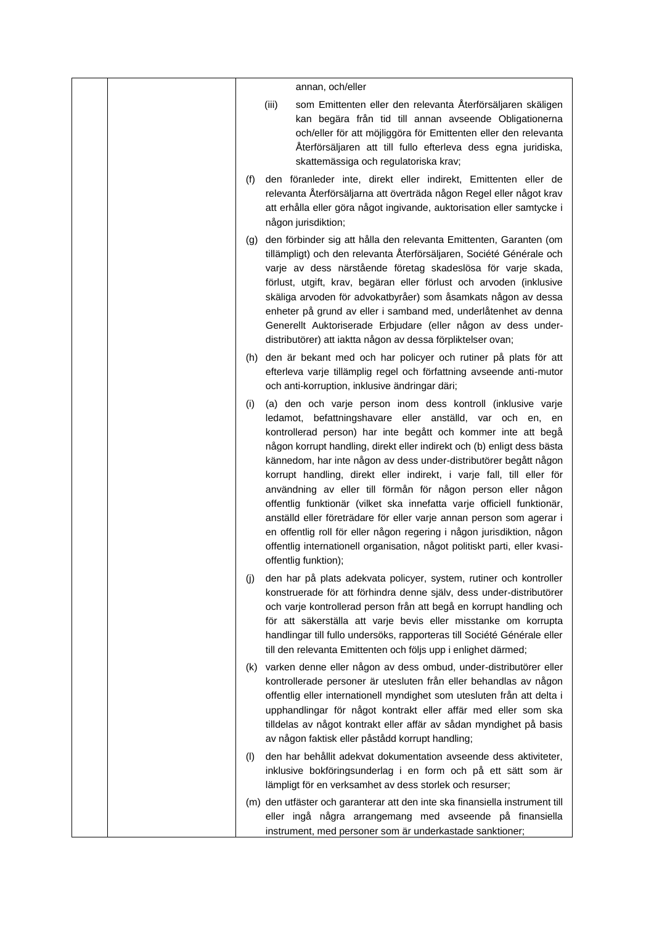| annan, och/eller                                                                                                                                                                                                                                                                                                                                                                                                                                                                                                                                                                                                                                                                                                                                                                                                             |
|------------------------------------------------------------------------------------------------------------------------------------------------------------------------------------------------------------------------------------------------------------------------------------------------------------------------------------------------------------------------------------------------------------------------------------------------------------------------------------------------------------------------------------------------------------------------------------------------------------------------------------------------------------------------------------------------------------------------------------------------------------------------------------------------------------------------------|
| som Emittenten eller den relevanta Återförsäljaren skäligen<br>(iii)<br>kan begära från tid till annan avseende Obligationerna<br>och/eller för att möjliggöra för Emittenten eller den relevanta<br>Återförsäljaren att till fullo efterleva dess egna juridiska,<br>skattemässiga och regulatoriska krav;                                                                                                                                                                                                                                                                                                                                                                                                                                                                                                                  |
| den föranleder inte, direkt eller indirekt, Emittenten eller de<br>(f)<br>relevanta Återförsäljarna att överträda någon Regel eller något krav<br>att erhålla eller göra något ingivande, auktorisation eller samtycke i<br>någon jurisdiktion;                                                                                                                                                                                                                                                                                                                                                                                                                                                                                                                                                                              |
| den förbinder sig att hålla den relevanta Emittenten, Garanten (om<br>(g)<br>tillämpligt) och den relevanta Återförsäljaren, Société Générale och<br>varje av dess närstående företag skadeslösa för varje skada,<br>förlust, utgift, krav, begäran eller förlust och arvoden (inklusive<br>skäliga arvoden för advokatbyråer) som åsamkats någon av dessa<br>enheter på grund av eller i samband med, underlåtenhet av denna<br>Generellt Auktoriserade Erbjudare (eller någon av dess under-<br>distributörer) att iaktta någon av dessa förpliktelser ovan;                                                                                                                                                                                                                                                               |
| (h) den är bekant med och har policyer och rutiner på plats för att<br>efterleva varje tillämplig regel och författning avseende anti-mutor<br>och anti-korruption, inklusive ändringar däri;                                                                                                                                                                                                                                                                                                                                                                                                                                                                                                                                                                                                                                |
| (a) den och varje person inom dess kontroll (inklusive varje<br>(i)<br>ledamot, befattningshavare eller anställd, var och en, en<br>kontrollerad person) har inte begått och kommer inte att begå<br>någon korrupt handling, direkt eller indirekt och (b) enligt dess bästa<br>kännedom, har inte någon av dess under-distributörer begått någon<br>korrupt handling, direkt eller indirekt, i varje fall, till eller för<br>användning av eller till förmån för någon person eller någon<br>offentlig funktionär (vilket ska innefatta varje officiell funktionär,<br>anställd eller företrädare för eller varje annan person som agerar i<br>en offentlig roll för eller någon regering i någon jurisdiktion, någon<br>offentlig internationell organisation, något politiskt parti, eller kvasi-<br>offentlig funktion); |
| den har på plats adekvata policyer, system, rutiner och kontroller<br>(j)<br>konstruerade för att förhindra denne själv, dess under-distributörer<br>och varje kontrollerad person från att begå en korrupt handling och<br>för att säkerställa att varje bevis eller misstanke om korrupta<br>handlingar till fullo undersöks, rapporteras till Société Générale eller<br>till den relevanta Emittenten och följs upp i enlighet därmed;                                                                                                                                                                                                                                                                                                                                                                                    |
| varken denne eller någon av dess ombud, under-distributörer eller<br>(K)<br>kontrollerade personer är utesluten från eller behandlas av någon<br>offentlig eller internationell myndighet som utesluten från att delta i<br>upphandlingar för något kontrakt eller affär med eller som ska<br>tilldelas av något kontrakt eller affär av sådan myndighet på basis<br>av någon faktisk eller påstådd korrupt handling;                                                                                                                                                                                                                                                                                                                                                                                                        |
| den har behållit adekvat dokumentation avseende dess aktiviteter,<br>(1)<br>inklusive bokföringsunderlag i en form och på ett sätt som är<br>lämpligt för en verksamhet av dess storlek och resurser;                                                                                                                                                                                                                                                                                                                                                                                                                                                                                                                                                                                                                        |
| (m) den utfäster och garanterar att den inte ska finansiella instrument till<br>eller ingå några arrangemang med avseende på finansiella<br>instrument, med personer som är underkastade sanktioner;                                                                                                                                                                                                                                                                                                                                                                                                                                                                                                                                                                                                                         |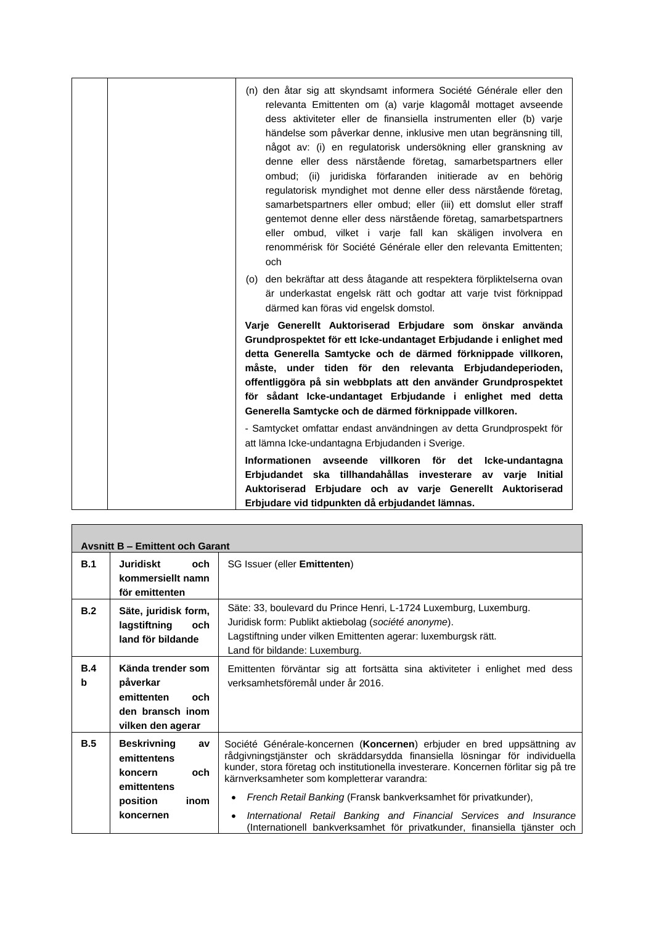| (n) den åtar sig att skyndsamt informera Société Générale eller den<br>relevanta Emittenten om (a) varje klagomål mottaget avseende<br>dess aktiviteter eller de finansiella instrumenten eller (b) varje<br>händelse som påverkar denne, inklusive men utan begränsning till,<br>något av: (i) en regulatorisk undersökning eller granskning av<br>denne eller dess närstående företag, samarbetspartners eller<br>ombud; (ii) juridiska förfaranden initierade av en behörig<br>regulatorisk myndighet mot denne eller dess närstående företag,<br>samarbetspartners eller ombud; eller (iii) ett domslut eller straff<br>gentemot denne eller dess närstående företag, samarbetspartners<br>eller ombud, vilket i varje fall kan skäligen involvera en<br>renommérisk för Société Générale eller den relevanta Emittenten;<br>och |
|--------------------------------------------------------------------------------------------------------------------------------------------------------------------------------------------------------------------------------------------------------------------------------------------------------------------------------------------------------------------------------------------------------------------------------------------------------------------------------------------------------------------------------------------------------------------------------------------------------------------------------------------------------------------------------------------------------------------------------------------------------------------------------------------------------------------------------------|
| (o) den bekräftar att dess åtagande att respektera förpliktelserna ovan<br>är underkastat engelsk rätt och godtar att varje tvist förknippad<br>därmed kan föras vid engelsk domstol.                                                                                                                                                                                                                                                                                                                                                                                                                                                                                                                                                                                                                                                |
| Varje Generellt Auktoriserad Erbjudare som önskar använda<br>Grundprospektet för ett Icke-undantaget Erbjudande i enlighet med<br>detta Generella Samtycke och de därmed förknippade villkoren,<br>måste, under tiden för den relevanta Erbjudandeperioden,<br>offentliggöra på sin webbplats att den använder Grundprospektet<br>för sådant Icke-undantaget Erbjudande i enlighet med detta<br>Generella Samtycke och de därmed förknippade villkoren.                                                                                                                                                                                                                                                                                                                                                                              |
| - Samtycket omfattar endast användningen av detta Grundprospekt för<br>att lämna Icke-undantagna Erbjudanden i Sverige.                                                                                                                                                                                                                                                                                                                                                                                                                                                                                                                                                                                                                                                                                                              |
| Informationen avseende villkoren för det Icke-undantagna<br>Erbjudandet ska tillhandahållas investerare av varje Initial<br>Auktoriserad Erbjudare och av varje Generellt Auktoriserad<br>Erbjudare vid tidpunkten då erbjudandet lämnas.                                                                                                                                                                                                                                                                                                                                                                                                                                                                                                                                                                                            |

| <b>Avsnitt B - Emittent och Garant</b> |                                                                                                           |                                                                                                                                                                                                                                                                                                                                                                                                                                                                                                                                              |  |
|----------------------------------------|-----------------------------------------------------------------------------------------------------------|----------------------------------------------------------------------------------------------------------------------------------------------------------------------------------------------------------------------------------------------------------------------------------------------------------------------------------------------------------------------------------------------------------------------------------------------------------------------------------------------------------------------------------------------|--|
| B.1                                    | Juridiskt<br>och.<br>kommersiellt namn<br>för emittenten                                                  | SG Issuer (eller Emittenten)                                                                                                                                                                                                                                                                                                                                                                                                                                                                                                                 |  |
| B.2                                    | Säte, juridisk form,<br>lagstiftning<br>och<br>land för bildande                                          | Säte: 33, boulevard du Prince Henri, L-1724 Luxemburg, Luxemburg.<br>Juridisk form: Publikt aktiebolag (société anonyme).<br>Lagstiftning under vilken Emittenten agerar: luxemburgsk rätt.<br>Land för bildande: Luxemburg.                                                                                                                                                                                                                                                                                                                 |  |
| B.4<br>b                               | Kända trender som<br>påverkar<br>emittenten<br>och<br>den bransch inom<br>vilken den agerar               | Emittenten förväntar sig att fortsätta sina aktiviteter i enlighet med dess<br>verksamhetsföremål under år 2016.                                                                                                                                                                                                                                                                                                                                                                                                                             |  |
| B.5                                    | <b>Beskrivning</b><br>av<br>emittentens<br>och<br>koncern<br>emittentens<br>position<br>inom<br>koncernen | Société Générale-koncernen (Koncernen) erbjuder en bred uppsättning av<br>rådgivningstjänster och skräddarsydda finansiella lösningar för individuella<br>kunder, stora företag och institutionella investerare. Koncernen förlitar sig på tre<br>kärnverksamheter som kompletterar varandra:<br>French Retail Banking (Fransk bankverksamhet för privatkunder),<br>$\bullet$<br>International Retail Banking and Financial Services and Insurance<br>$\bullet$<br>(Internationell bankverksamhet för privatkunder, finansiella tjänster och |  |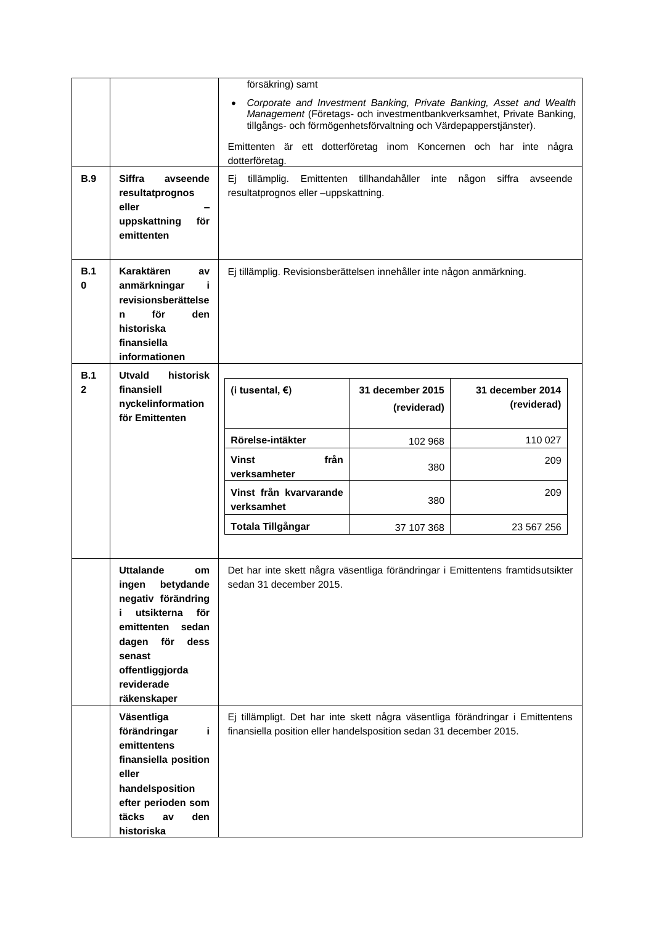| <b>B.9</b>          | <b>Siffra</b><br>avseende<br>resultatprognos<br>eller<br>uppskattning<br>för<br>emittenten                                                                                                             | försäkring) samt<br>tillgångs- och förmögenhetsförvaltning och Värdepapperstjänster).<br>dotterföretag.<br>tillämplig.<br>Ei.<br>resultatprognos eller -uppskattning. | Emittenten tillhandahåller<br>inte | Corporate and Investment Banking, Private Banking, Asset and Wealth<br>Management (Företags- och investmentbankverksamhet, Private Banking,<br>Emittenten är ett dotterföretag inom Koncernen och har inte några<br>någon<br>siffra<br>avseende |
|---------------------|--------------------------------------------------------------------------------------------------------------------------------------------------------------------------------------------------------|-----------------------------------------------------------------------------------------------------------------------------------------------------------------------|------------------------------------|-------------------------------------------------------------------------------------------------------------------------------------------------------------------------------------------------------------------------------------------------|
| B.1<br>0            | Karaktären<br>av<br>anmärkningar<br>i<br>revisionsberättelse<br>för<br>den<br>n<br>historiska<br>finansiella<br>informationen                                                                          | Ej tillämplig. Revisionsberättelsen innehåller inte någon anmärkning.                                                                                                 |                                    |                                                                                                                                                                                                                                                 |
| B.1<br>$\mathbf{2}$ | historisk<br>Utvald<br>finansiell<br>nyckelinformation<br>för Emittenten                                                                                                                               | (i tusental, $\epsilon$ )                                                                                                                                             | 31 december 2015<br>(reviderad)    | 31 december 2014<br>(reviderad)                                                                                                                                                                                                                 |
|                     |                                                                                                                                                                                                        | Rörelse-intäkter                                                                                                                                                      | 102 968                            | 110 027                                                                                                                                                                                                                                         |
|                     |                                                                                                                                                                                                        | från<br>Vinst<br>verksamheter                                                                                                                                         | 380                                | 209                                                                                                                                                                                                                                             |
|                     |                                                                                                                                                                                                        | Vinst från kvarvarande<br>verksamhet                                                                                                                                  | 380                                | 209                                                                                                                                                                                                                                             |
|                     |                                                                                                                                                                                                        | Totala Tillgångar                                                                                                                                                     | 37 107 368                         | 23 567 256                                                                                                                                                                                                                                      |
|                     |                                                                                                                                                                                                        |                                                                                                                                                                       |                                    |                                                                                                                                                                                                                                                 |
|                     | <b>Uttalande</b><br>om<br>betydande<br>ingen<br>negativ förändring<br>utsikterna<br>för<br>i.<br>emittenten<br>sedan<br>dagen<br>för<br>dess<br>senast<br>offentliggjorda<br>reviderade<br>räkenskaper | sedan 31 december 2015.                                                                                                                                               |                                    | Det har inte skett några väsentliga förändringar i Emittentens framtidsutsikter                                                                                                                                                                 |
|                     | Väsentliga<br>förändringar<br>i.<br>emittentens<br>finansiella position<br>eller<br>handelsposition<br>efter perioden som<br>täcks<br>den<br>av<br>historiska                                          | finansiella position eller handelsposition sedan 31 december 2015.                                                                                                    |                                    | Ej tillämpligt. Det har inte skett några väsentliga förändringar i Emittentens                                                                                                                                                                  |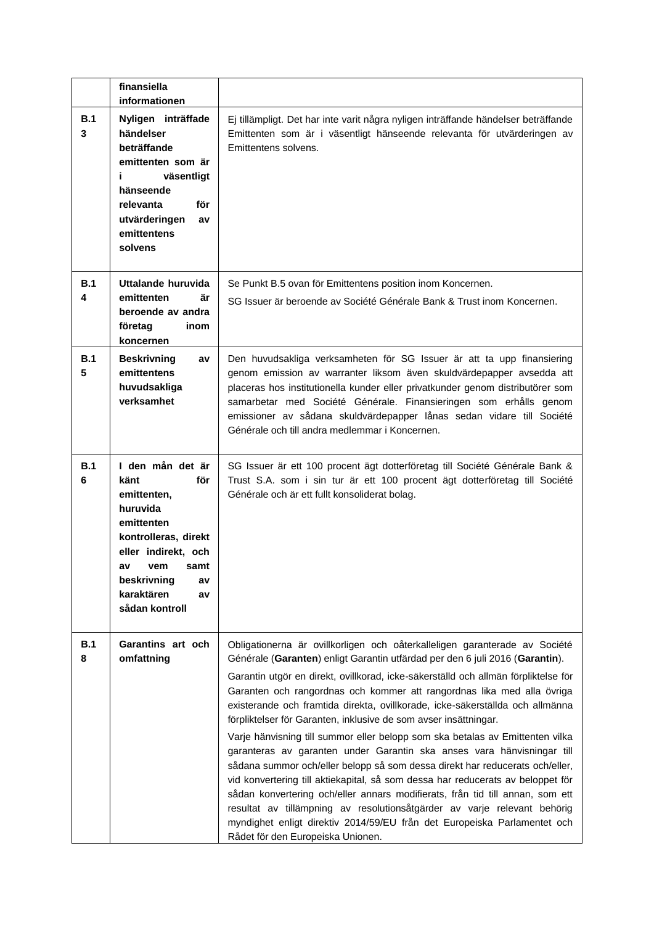|          | finansiella<br>informationen                                                                                                                                                                            |                                                                                                                                                                                                                                                                                                                                                                                                                                                                                                                                                                                                                                                                                                                                                                                                                                                                                                                                                                                                                                                                                             |
|----------|---------------------------------------------------------------------------------------------------------------------------------------------------------------------------------------------------------|---------------------------------------------------------------------------------------------------------------------------------------------------------------------------------------------------------------------------------------------------------------------------------------------------------------------------------------------------------------------------------------------------------------------------------------------------------------------------------------------------------------------------------------------------------------------------------------------------------------------------------------------------------------------------------------------------------------------------------------------------------------------------------------------------------------------------------------------------------------------------------------------------------------------------------------------------------------------------------------------------------------------------------------------------------------------------------------------|
| B.1<br>3 | Nyligen inträffade<br>händelser<br>beträffande<br>emittenten som är<br>väsentligt<br>i.<br>hänseende<br>relevanta<br>för<br>utvärderingen<br>av<br>emittentens<br>solvens                               | Ej tillämpligt. Det har inte varit några nyligen inträffande händelser beträffande<br>Emittenten som är i väsentligt hänseende relevanta för utvärderingen av<br>Emittentens solvens.                                                                                                                                                                                                                                                                                                                                                                                                                                                                                                                                                                                                                                                                                                                                                                                                                                                                                                       |
| B.1<br>4 | Uttalande huruvida<br>emittenten<br>är<br>beroende av andra<br>företag<br>inom<br>koncernen                                                                                                             | Se Punkt B.5 ovan för Emittentens position inom Koncernen.<br>SG Issuer är beroende av Société Générale Bank & Trust inom Koncernen.                                                                                                                                                                                                                                                                                                                                                                                                                                                                                                                                                                                                                                                                                                                                                                                                                                                                                                                                                        |
| B.1<br>5 | <b>Beskrivning</b><br>av<br>emittentens<br>huvudsakliga<br>verksamhet                                                                                                                                   | Den huvudsakliga verksamheten för SG Issuer är att ta upp finansiering<br>genom emission av warranter liksom även skuldvärdepapper avsedda att<br>placeras hos institutionella kunder eller privatkunder genom distributörer som<br>samarbetar med Société Générale. Finansieringen som erhålls genom<br>emissioner av sådana skuldvärdepapper lånas sedan vidare till Société<br>Générale och till andra medlemmar i Koncernen.                                                                                                                                                                                                                                                                                                                                                                                                                                                                                                                                                                                                                                                            |
| B.1<br>6 | I den mån det är<br>känt<br>för<br>emittenten,<br>huruvida<br>emittenten<br>kontrolleras, direkt<br>eller indirekt, och<br>a٧<br>vem<br>samt<br>beskrivning<br>av<br>karaktären<br>av<br>sådan kontroll | SG Issuer är ett 100 procent ägt dotterföretag till Société Générale Bank &<br>Trust S.A. som i sin tur är ett 100 procent ägt dotterföretag till Société<br>Générale och är ett fullt konsoliderat bolag.                                                                                                                                                                                                                                                                                                                                                                                                                                                                                                                                                                                                                                                                                                                                                                                                                                                                                  |
| B.1<br>8 | Garantins art och<br>omfattning                                                                                                                                                                         | Obligationerna är ovillkorligen och oåterkalleligen garanterade av Société<br>Générale (Garanten) enligt Garantin utfärdad per den 6 juli 2016 (Garantin).<br>Garantin utgör en direkt, ovillkorad, icke-säkerställd och allmän förpliktelse för<br>Garanten och rangordnas och kommer att rangordnas lika med alla övriga<br>existerande och framtida direkta, ovillkorade, icke-säkerställda och allmänna<br>förpliktelser för Garanten, inklusive de som avser insättningar.<br>Varje hänvisning till summor eller belopp som ska betalas av Emittenten vilka<br>garanteras av garanten under Garantin ska anses vara hänvisningar till<br>sådana summor och/eller belopp så som dessa direkt har reducerats och/eller,<br>vid konvertering till aktiekapital, så som dessa har reducerats av beloppet för<br>sådan konvertering och/eller annars modifierats, från tid till annan, som ett<br>resultat av tillämpning av resolutionsåtgärder av varje relevant behörig<br>myndighet enligt direktiv 2014/59/EU från det Europeiska Parlamentet och<br>Rådet för den Europeiska Unionen. |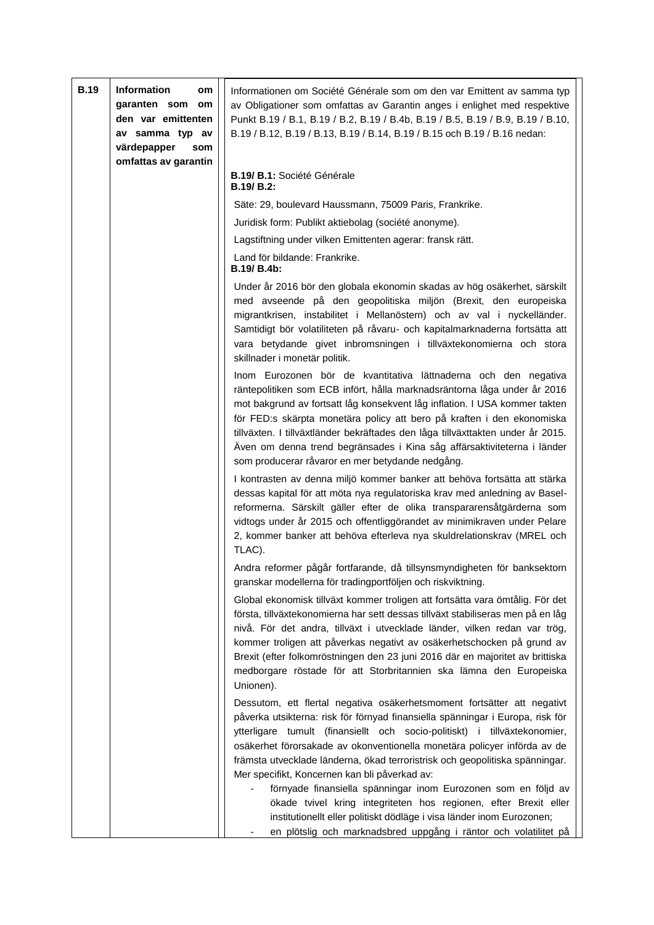| <b>B.19</b> | Information<br>om<br>garanten som om<br>den var emittenten<br>av samma typ av<br>värdepapper<br>som<br>omfattas av garantin | Informationen om Société Générale som om den var Emittent av samma typ<br>av Obligationer som omfattas av Garantin anges i enlighet med respektive<br>Punkt B.19 / B.1, B.19 / B.2, B.19 / B.4b, B.19 / B.5, B.19 / B.9, B.19 / B.10,<br>B.19 / B.12, B.19 / B.13, B.19 / B.14, B.19 / B.15 och B.19 / B.16 nedan:<br>B.19/ B.1: Société Générale                                                                                                                                                                     |
|-------------|-----------------------------------------------------------------------------------------------------------------------------|-----------------------------------------------------------------------------------------------------------------------------------------------------------------------------------------------------------------------------------------------------------------------------------------------------------------------------------------------------------------------------------------------------------------------------------------------------------------------------------------------------------------------|
|             |                                                                                                                             | B.19/ B.2:                                                                                                                                                                                                                                                                                                                                                                                                                                                                                                            |
|             |                                                                                                                             | Säte: 29, boulevard Haussmann, 75009 Paris, Frankrike.                                                                                                                                                                                                                                                                                                                                                                                                                                                                |
|             |                                                                                                                             | Juridisk form: Publikt aktiebolag (société anonyme).                                                                                                                                                                                                                                                                                                                                                                                                                                                                  |
|             |                                                                                                                             | Lagstiftning under vilken Emittenten agerar: fransk rätt.                                                                                                                                                                                                                                                                                                                                                                                                                                                             |
|             |                                                                                                                             | Land för bildande: Frankrike.<br>B.19/ B.4b:                                                                                                                                                                                                                                                                                                                                                                                                                                                                          |
|             |                                                                                                                             | Under år 2016 bör den globala ekonomin skadas av hög osäkerhet, särskilt<br>med avseende på den geopolitiska miljön (Brexit, den europeiska<br>migrantkrisen, instabilitet i Mellanöstern) och av val i nyckelländer.<br>Samtidigt bör volatiliteten på råvaru- och kapitalmarknaderna fortsätta att<br>vara betydande givet inbromsningen i tillväxtekonomierna och stora<br>skillnader i monetär politik.                                                                                                           |
|             |                                                                                                                             | Inom Eurozonen bör de kvantitativa lättnaderna och den negativa<br>räntepolitiken som ECB infört, hålla marknadsräntorna låga under år 2016<br>mot bakgrund av fortsatt låg konsekvent låg inflation. I USA kommer takten<br>för FED:s skärpta monetära policy att bero på kraften i den ekonomiska<br>tillväxten. I tillväxtländer bekräftades den låga tillväxttakten under år 2015.<br>Även om denna trend begränsades i Kina såg affärsaktiviteterna i länder<br>som producerar råvaror en mer betydande nedgång. |
|             |                                                                                                                             | I kontrasten av denna miljö kommer banker att behöva fortsätta att stärka<br>dessas kapital för att möta nya regulatoriska krav med anledning av Basel-<br>reformerna. Särskilt gäller efter de olika transpararensåtgärderna som<br>vidtogs under år 2015 och offentliggörandet av minimikraven under Pelare<br>2, kommer banker att behöva efterleva nya skuldrelationskrav (MREL och<br>TLAC).                                                                                                                     |
|             |                                                                                                                             | Andra reformer pågår fortfarande, då tillsynsmyndigheten för banksektorn<br>granskar modellerna för tradingportföljen och riskviktning.                                                                                                                                                                                                                                                                                                                                                                               |
|             |                                                                                                                             | Global ekonomisk tillväxt kommer troligen att fortsätta vara ömtålig. För det<br>första, tillväxtekonomierna har sett dessas tillväxt stabiliseras men på en låg<br>nivå. För det andra, tillväxt i utvecklade länder, vilken redan var trög,<br>kommer troligen att påverkas negativt av osäkerhetschocken på grund av<br>Brexit (efter folkomröstningen den 23 juni 2016 där en majoritet av brittiska<br>medborgare röstade för att Storbritannien ska lämna den Europeiska<br>Unionen).                           |
|             |                                                                                                                             | Dessutom, ett flertal negativa osäkerhetsmoment fortsätter att negativt<br>påverka utsikterna: risk för förnyad finansiella spänningar i Europa, risk för<br>ytterligare tumult (finansiellt och socio-politiskt) i tillväxtekonomier,<br>osäkerhet förorsakade av okonventionella monetära policyer införda av de<br>främsta utvecklade länderna, ökad terroristrisk och geopolitiska spänningar.<br>Mer specifikt, Koncernen kan bli påverkad av:                                                                   |
|             |                                                                                                                             | förnyade finansiella spänningar inom Eurozonen som en följd av<br>ökade tvivel kring integriteten hos regionen, efter Brexit eller<br>institutionellt eller politiskt dödläge i visa länder inom Eurozonen;<br>en plötslig och marknadsbred uppgång i räntor och volatilitet på                                                                                                                                                                                                                                       |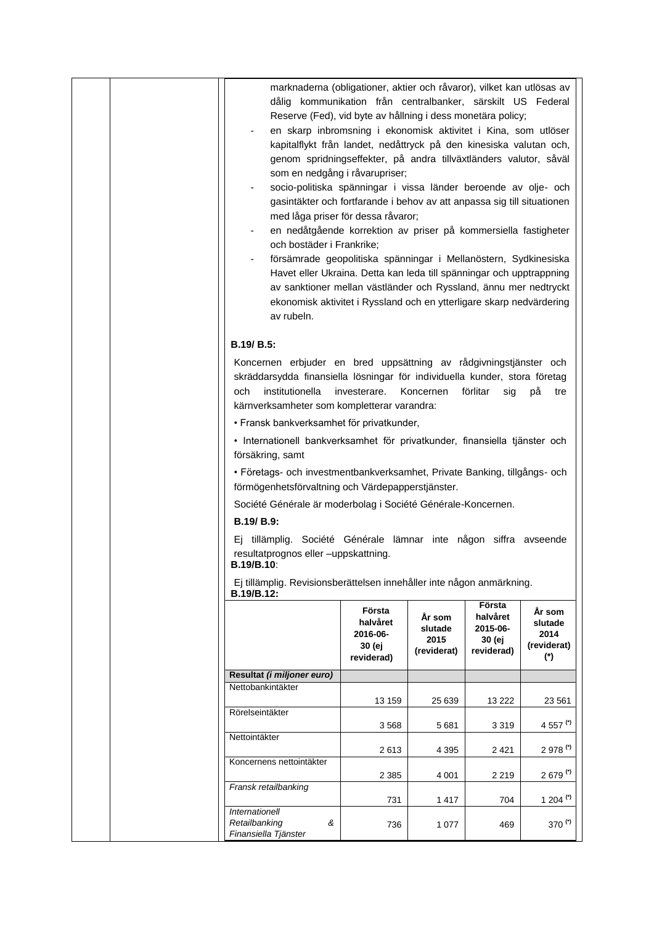| marknaderna (obligationer, aktier och råvaror), vilket kan utlösas av<br>dålig kommunikation från centralbanker, särskilt US Federal<br>Reserve (Fed), vid byte av hållning i dess monetära policy;<br>en skarp inbromsning i ekonomisk aktivitet i Kina, som utlöser<br>kapitalflykt från landet, nedåttryck på den kinesiska valutan och,<br>genom spridningseffekter, på andra tillväxtländers valutor, såväl<br>som en nedgång i råvarupriser;<br>socio-politiska spänningar i vissa länder beroende av olje- och<br>gasintäkter och fortfarande i behov av att anpassa sig till situationen<br>med låga priser för dessa råvaror;<br>en nedåtgående korrektion av priser på kommersiella fastigheter<br>och bostäder i Frankrike;<br>försämrade geopolitiska spänningar i Mellanöstern, Sydkinesiska<br>Havet eller Ukraina. Detta kan leda till spänningar och upptrappning<br>av sanktioner mellan västländer och Ryssland, ännu mer nedtryckt<br>ekonomisk aktivitet i Ryssland och en ytterligare skarp nedvärdering<br>av rubeln.<br>B.19/ B.5:<br>Koncernen erbjuder en bred uppsättning av rådgivningstjänster och<br>skräddarsydda finansiella lösningar för individuella kunder, stora företag<br>institutionella<br>och<br>kärnverksamheter som kompletterar varandra:<br>· Fransk bankverksamhet för privatkunder,<br>· Internationell bankverksamhet för privatkunder, finansiella tjänster och<br>försäkring, samt<br>• Företags- och investmentbankverksamhet, Private Banking, tillgångs- och | investerare.                                           | Koncernen                                | förlitar<br>sig                                        | рå<br>tre                                       |
|-------------------------------------------------------------------------------------------------------------------------------------------------------------------------------------------------------------------------------------------------------------------------------------------------------------------------------------------------------------------------------------------------------------------------------------------------------------------------------------------------------------------------------------------------------------------------------------------------------------------------------------------------------------------------------------------------------------------------------------------------------------------------------------------------------------------------------------------------------------------------------------------------------------------------------------------------------------------------------------------------------------------------------------------------------------------------------------------------------------------------------------------------------------------------------------------------------------------------------------------------------------------------------------------------------------------------------------------------------------------------------------------------------------------------------------------------------------------------------------------------------------------|--------------------------------------------------------|------------------------------------------|--------------------------------------------------------|-------------------------------------------------|
| förmögenhetsförvaltning och Värdepapperstjänster.<br>Société Générale är moderbolag i Société Générale-Koncernen.<br>B.19/ B.9:<br>Ej tillämplig. Société Générale lämnar inte någon siffra avseende<br>resultatprognos eller -uppskattning.<br>B.19/B.10:                                                                                                                                                                                                                                                                                                                                                                                                                                                                                                                                                                                                                                                                                                                                                                                                                                                                                                                                                                                                                                                                                                                                                                                                                                                        |                                                        |                                          |                                                        |                                                 |
| Ej tillämplig. Revisionsberättelsen innehåller inte någon anmärkning.<br>B.19/B.12:                                                                                                                                                                                                                                                                                                                                                                                                                                                                                                                                                                                                                                                                                                                                                                                                                                                                                                                                                                                                                                                                                                                                                                                                                                                                                                                                                                                                                               |                                                        |                                          |                                                        |                                                 |
|                                                                                                                                                                                                                                                                                                                                                                                                                                                                                                                                                                                                                                                                                                                                                                                                                                                                                                                                                                                                                                                                                                                                                                                                                                                                                                                                                                                                                                                                                                                   | Första<br>halvåret<br>2016-06-<br>30 (ej<br>reviderad) | År som<br>slutade<br>2015<br>(reviderat) | Första<br>halvåret<br>2015-06-<br>30 (ej<br>reviderad) | År som<br>slutade<br>2014<br>(reviderat)<br>(*) |
| Resultat (i miljoner euro)                                                                                                                                                                                                                                                                                                                                                                                                                                                                                                                                                                                                                                                                                                                                                                                                                                                                                                                                                                                                                                                                                                                                                                                                                                                                                                                                                                                                                                                                                        |                                                        |                                          |                                                        |                                                 |
| Nettobankintäkter                                                                                                                                                                                                                                                                                                                                                                                                                                                                                                                                                                                                                                                                                                                                                                                                                                                                                                                                                                                                                                                                                                                                                                                                                                                                                                                                                                                                                                                                                                 | 13 159                                                 | 25 639                                   | 13 222                                                 | 23 5 61                                         |
| Rörelseintäkter                                                                                                                                                                                                                                                                                                                                                                                                                                                                                                                                                                                                                                                                                                                                                                                                                                                                                                                                                                                                                                                                                                                                                                                                                                                                                                                                                                                                                                                                                                   |                                                        |                                          |                                                        |                                                 |
| Nettointäkter                                                                                                                                                                                                                                                                                                                                                                                                                                                                                                                                                                                                                                                                                                                                                                                                                                                                                                                                                                                                                                                                                                                                                                                                                                                                                                                                                                                                                                                                                                     | 3568                                                   | 5681                                     | 3 3 1 9                                                | 4 557 (*)                                       |
|                                                                                                                                                                                                                                                                                                                                                                                                                                                                                                                                                                                                                                                                                                                                                                                                                                                                                                                                                                                                                                                                                                                                                                                                                                                                                                                                                                                                                                                                                                                   | 2613                                                   | 4 3 9 5                                  | 2 4 2 1                                                | 2 978 (*)                                       |
| Koncernens nettointäkter                                                                                                                                                                                                                                                                                                                                                                                                                                                                                                                                                                                                                                                                                                                                                                                                                                                                                                                                                                                                                                                                                                                                                                                                                                                                                                                                                                                                                                                                                          | 2 3 8 5                                                | 4 0 0 1                                  | 2 2 1 9                                                | $2679$ <sup>(*)</sup>                           |
| Fransk retailbanking                                                                                                                                                                                                                                                                                                                                                                                                                                                                                                                                                                                                                                                                                                                                                                                                                                                                                                                                                                                                                                                                                                                                                                                                                                                                                                                                                                                                                                                                                              | 731                                                    | 1417                                     | 704                                                    | 1 204 $(7)$                                     |
| Internationell<br>Retailbanking<br>&<br>Finansiella Tjänster                                                                                                                                                                                                                                                                                                                                                                                                                                                                                                                                                                                                                                                                                                                                                                                                                                                                                                                                                                                                                                                                                                                                                                                                                                                                                                                                                                                                                                                      | 736                                                    | 1 0 7 7                                  | 469                                                    | 370 $(1)$                                       |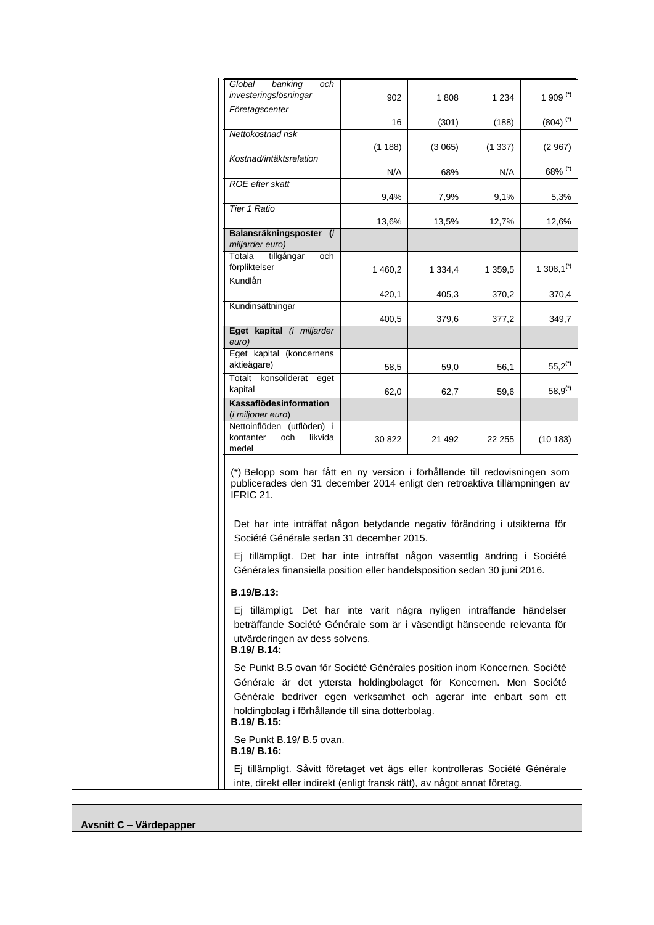| Global<br>banking<br>och                                                                                                                                                                                                                                                               |         |             |         |                        |
|----------------------------------------------------------------------------------------------------------------------------------------------------------------------------------------------------------------------------------------------------------------------------------------|---------|-------------|---------|------------------------|
| investeringslösningar                                                                                                                                                                                                                                                                  | 902     | 1808        | 1 2 3 4 | 1 909 $(7)$            |
| Företagscenter                                                                                                                                                                                                                                                                         | 16      | (301)       | (188)   | $(804)$ <sup>(*)</sup> |
| Nettokostnad risk                                                                                                                                                                                                                                                                      | (1188)  | (3065)      | (1337)  | (2967)                 |
| Kostnad/intäktsrelation                                                                                                                                                                                                                                                                | N/A     | 68%         | N/A     | 68% (*)                |
| ROE efter skatt                                                                                                                                                                                                                                                                        | 9,4%    | 7,9%        | 9,1%    | 5,3%                   |
| <b>Tier 1 Ratio</b>                                                                                                                                                                                                                                                                    | 13,6%   | 13,5%       | 12,7%   | 12,6%                  |
| Balansräkningsposter (i<br>miljarder euro)                                                                                                                                                                                                                                             |         |             |         |                        |
| Totala<br>tillgångar<br>och<br>förpliktelser                                                                                                                                                                                                                                           | 1 460,2 | 1 3 3 4 , 4 | 1 359,5 | 1 308,1 <sup>(*)</sup> |
| Kundlån                                                                                                                                                                                                                                                                                | 420,1   | 405,3       | 370,2   | 370,4                  |
| Kundinsättningar                                                                                                                                                                                                                                                                       | 400,5   | 379,6       | 377,2   | 349,7                  |
| Eget kapital (i miljarder<br>euro)                                                                                                                                                                                                                                                     |         |             |         |                        |
| Eget kapital (koncernens<br>aktieägare)                                                                                                                                                                                                                                                | 58,5    | 59,0        | 56,1    | $55,2^{(7)}$           |
| Totalt konsoliderat eget<br>kapital                                                                                                                                                                                                                                                    | 62,0    | 62,7        | 59,6    | $58,9^{(7)}$           |
| Kassaflödesinformation<br>(i miljoner euro)                                                                                                                                                                                                                                            |         |             |         |                        |
| Nettoinflöden (utflöden) i<br>kontanter<br>och<br>likvida<br>medel                                                                                                                                                                                                                     | 30 822  | 21 492      | 22 255  | (10183)                |
| (*) Belopp som har fått en ny version i förhållande till redovisningen som<br>publicerades den 31 december 2014 enligt den retroaktiva tillämpningen av<br>IFRIC 21.<br>Det har inte inträffat någon betydande negativ förändring i utsikterna för                                     |         |             |         |                        |
| Société Générale sedan 31 december 2015.                                                                                                                                                                                                                                               |         |             |         |                        |
| Ej tillämpligt. Det har inte inträffat någon väsentlig ändring i Société<br>Générales finansiella position eller handelsposition sedan 30 juni 2016.                                                                                                                                   |         |             |         |                        |
| B.19/B.13:                                                                                                                                                                                                                                                                             |         |             |         |                        |
| Ej tillämpligt. Det har inte varit några nyligen inträffande händelser<br>beträffande Société Générale som är i väsentligt hänseende relevanta för<br>utvärderingen av dess solvens.<br>B.19/ B.14:                                                                                    |         |             |         |                        |
| Se Punkt B.5 ovan för Société Générales position inom Koncernen. Société<br>Générale är det yttersta holdingbolaget för Koncernen. Men Société<br>Générale bedriver egen verksamhet och agerar inte enbart som ett<br>holdingbolag i förhållande till sina dotterbolag.<br>B.19/ B.15: |         |             |         |                        |
| Se Punkt B.19/ B.5 ovan.<br><b>B.19/ B.16:</b>                                                                                                                                                                                                                                         |         |             |         |                        |
| Ej tillämpligt. Såvitt företaget vet ägs eller kontrolleras Société Générale<br>inte, direkt eller indirekt (enligt fransk rätt), av något annat företag.                                                                                                                              |         |             |         |                        |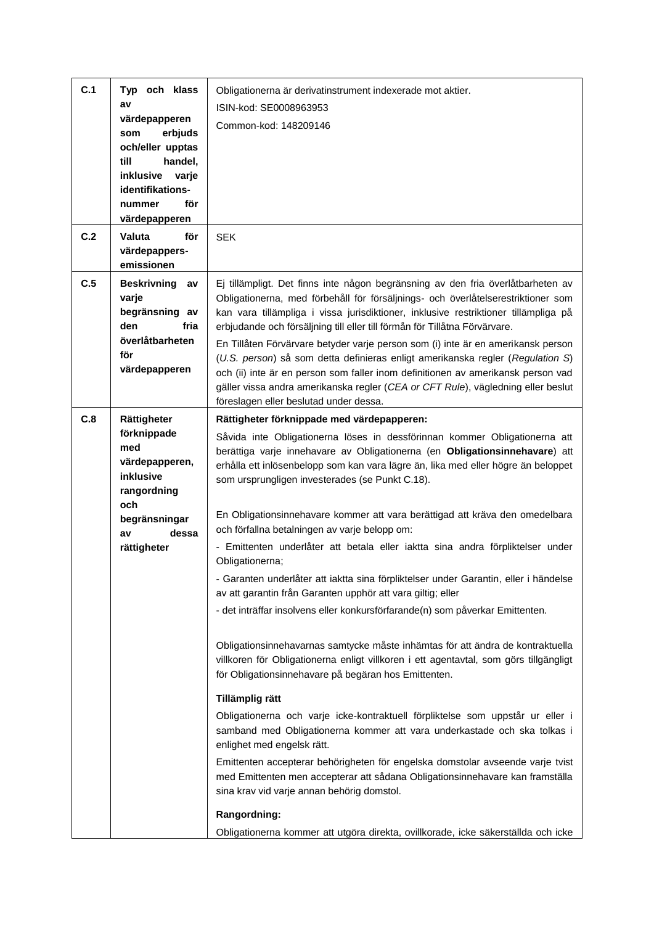| C.1 | Typ och klass<br>av                                                                                                                   | Obligationerna är derivatinstrument indexerade mot aktier.<br>ISIN-kod: SE0008963953                                                                                                                                                                                                                                                                                                                                                                                                                                                                                                                                                                                                                                                                                                                                                                                                                                                                                                                                                                                                                                                                                                                                                                                                                                                                                                                                                                                                             |
|-----|---------------------------------------------------------------------------------------------------------------------------------------|--------------------------------------------------------------------------------------------------------------------------------------------------------------------------------------------------------------------------------------------------------------------------------------------------------------------------------------------------------------------------------------------------------------------------------------------------------------------------------------------------------------------------------------------------------------------------------------------------------------------------------------------------------------------------------------------------------------------------------------------------------------------------------------------------------------------------------------------------------------------------------------------------------------------------------------------------------------------------------------------------------------------------------------------------------------------------------------------------------------------------------------------------------------------------------------------------------------------------------------------------------------------------------------------------------------------------------------------------------------------------------------------------------------------------------------------------------------------------------------------------|
|     | värdepapperen<br>erbjuds<br>som<br>och/eller upptas<br>till<br>handel,<br>inklusive varje<br>identifikations-<br>för<br>nummer        | Common-kod: 148209146                                                                                                                                                                                                                                                                                                                                                                                                                                                                                                                                                                                                                                                                                                                                                                                                                                                                                                                                                                                                                                                                                                                                                                                                                                                                                                                                                                                                                                                                            |
|     | värdepapperen                                                                                                                         |                                                                                                                                                                                                                                                                                                                                                                                                                                                                                                                                                                                                                                                                                                                                                                                                                                                                                                                                                                                                                                                                                                                                                                                                                                                                                                                                                                                                                                                                                                  |
| C.2 | för<br>Valuta<br>värdepappers-<br>emissionen                                                                                          | <b>SEK</b>                                                                                                                                                                                                                                                                                                                                                                                                                                                                                                                                                                                                                                                                                                                                                                                                                                                                                                                                                                                                                                                                                                                                                                                                                                                                                                                                                                                                                                                                                       |
| C.5 | <b>Beskrivning</b><br>av<br>varje<br>begränsning av<br>den<br>fria<br>överlåtbarheten<br>för<br>värdepapperen                         | Ej tillämpligt. Det finns inte någon begränsning av den fria överlåtbarheten av<br>Obligationerna, med förbehåll för försäljnings- och överlåtelserestriktioner som<br>kan vara tillämpliga i vissa jurisdiktioner, inklusive restriktioner tillämpliga på<br>erbjudande och försäljning till eller till förmån för Tillåtna Förvärvare.<br>En Tillåten Förvärvare betyder varje person som (i) inte är en amerikansk person<br>(U.S. person) så som detta definieras enligt amerikanska regler (Regulation S)<br>och (ii) inte är en person som faller inom definitionen av amerikansk person vad<br>gäller vissa andra amerikanska regler (CEA or CFT Rule), vägledning eller beslut<br>föreslagen eller beslutad under dessa.                                                                                                                                                                                                                                                                                                                                                                                                                                                                                                                                                                                                                                                                                                                                                                 |
| C.8 | Rättigheter<br>förknippade<br>med<br>värdepapperen,<br>inklusive<br>rangordning<br>och<br>begränsningar<br>dessa<br>av<br>rättigheter | Rättigheter förknippade med värdepapperen:<br>Såvida inte Obligationerna löses in dessförinnan kommer Obligationerna att<br>berättiga varje innehavare av Obligationerna (en Obligationsinnehavare) att<br>erhålla ett inlösenbelopp som kan vara lägre än, lika med eller högre än beloppet<br>som ursprungligen investerades (se Punkt C.18).<br>En Obligationsinnehavare kommer att vara berättigad att kräva den omedelbara<br>och förfallna betalningen av varje belopp om:<br>- Emittenten underlåter att betala eller iaktta sina andra förpliktelser under<br>Obligationerna;<br>- Garanten underlåter att iaktta sina förpliktelser under Garantin, eller i händelse<br>av att garantin från Garanten upphör att vara giltig; eller<br>- det inträffar insolvens eller konkursförfarande(n) som påverkar Emittenten.<br>Obligationsinnehavarnas samtycke måste inhämtas för att ändra de kontraktuella<br>villkoren för Obligationerna enligt villkoren i ett agentavtal, som görs tillgängligt<br>för Obligationsinnehavare på begäran hos Emittenten.<br>Tillämplig rätt<br>Obligationerna och varje icke-kontraktuell förpliktelse som uppstår ur eller i<br>samband med Obligationerna kommer att vara underkastade och ska tolkas i<br>enlighet med engelsk rätt.<br>Emittenten accepterar behörigheten för engelska domstolar avseende varje tvist<br>med Emittenten men accepterar att sådana Obligationsinnehavare kan framställa<br>sina krav vid varje annan behörig domstol. |
|     |                                                                                                                                       | Rangordning:<br>Obligationerna kommer att utgöra direkta, ovillkorade, icke säkerställda och icke                                                                                                                                                                                                                                                                                                                                                                                                                                                                                                                                                                                                                                                                                                                                                                                                                                                                                                                                                                                                                                                                                                                                                                                                                                                                                                                                                                                                |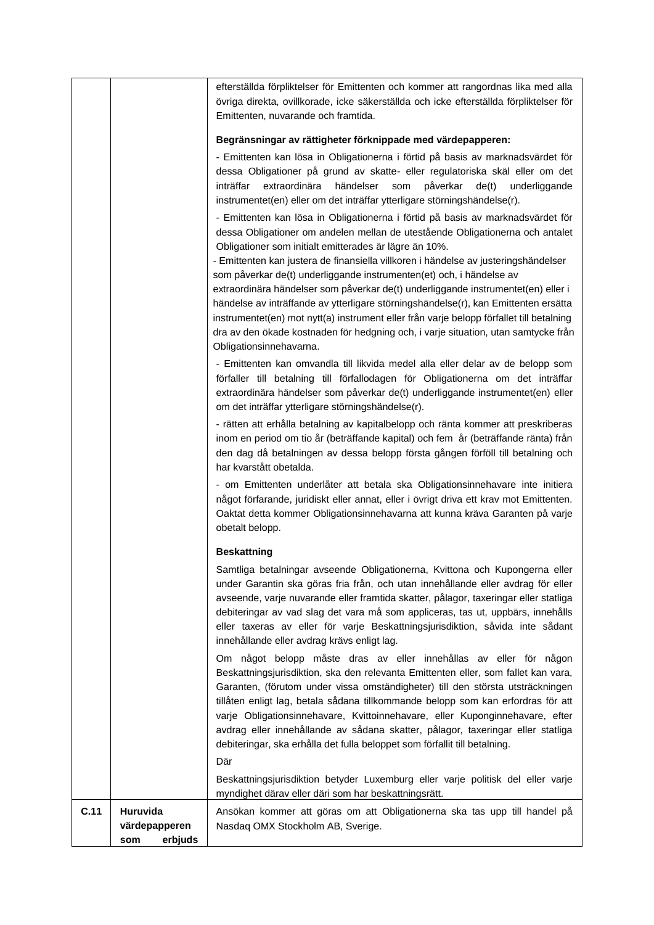|      |                                             | efterställda förpliktelser för Emittenten och kommer att rangordnas lika med alla<br>övriga direkta, ovillkorade, icke säkerställda och icke efterställda förpliktelser för<br>Emittenten, nuvarande och framtida.                                                                                                                                                                                                                                                                                                                                                                                                                                                                                                                                                                                                                                                                                                                                                                                                                                                                               |
|------|---------------------------------------------|--------------------------------------------------------------------------------------------------------------------------------------------------------------------------------------------------------------------------------------------------------------------------------------------------------------------------------------------------------------------------------------------------------------------------------------------------------------------------------------------------------------------------------------------------------------------------------------------------------------------------------------------------------------------------------------------------------------------------------------------------------------------------------------------------------------------------------------------------------------------------------------------------------------------------------------------------------------------------------------------------------------------------------------------------------------------------------------------------|
|      |                                             | Begränsningar av rättigheter förknippade med värdepapperen:                                                                                                                                                                                                                                                                                                                                                                                                                                                                                                                                                                                                                                                                                                                                                                                                                                                                                                                                                                                                                                      |
|      |                                             | - Emittenten kan lösa in Obligationerna i förtid på basis av marknadsvärdet för<br>dessa Obligationer på grund av skatte- eller regulatoriska skäl eller om det<br>inträffar<br>extraordinära<br>händelser<br>påverkar<br>som<br>de(t)<br>underliggande<br>instrumentet(en) eller om det inträffar ytterligare störningshändelse(r).                                                                                                                                                                                                                                                                                                                                                                                                                                                                                                                                                                                                                                                                                                                                                             |
|      |                                             | - Emittenten kan lösa in Obligationerna i förtid på basis av marknadsvärdet för<br>dessa Obligationer om andelen mellan de utestående Obligationerna och antalet<br>Obligationer som initialt emitterades är lägre än 10%.<br>- Emittenten kan justera de finansiella villkoren i händelse av justeringshändelser<br>som påverkar de(t) underliggande instrumenten(et) och, i händelse av<br>extraordinära händelser som påverkar de(t) underliggande instrumentet(en) eller i<br>händelse av inträffande av ytterligare störningshändelse(r), kan Emittenten ersätta<br>instrumentet(en) mot nytt(a) instrument eller från varje belopp förfallet till betalning<br>dra av den ökade kostnaden för hedgning och, i varje situation, utan samtycke från<br>Obligationsinnehavarna.<br>- Emittenten kan omvandla till likvida medel alla eller delar av de belopp som<br>förfaller till betalning till förfallodagen för Obligationerna om det inträffar<br>extraordinära händelser som påverkar de(t) underliggande instrumentet(en) eller<br>om det inträffar ytterligare störningshändelse(r). |
|      |                                             | - rätten att erhålla betalning av kapitalbelopp och ränta kommer att preskriberas<br>inom en period om tio år (beträffande kapital) och fem år (beträffande ränta) från<br>den dag då betalningen av dessa belopp första gången förföll till betalning och<br>har kvarstått obetalda.                                                                                                                                                                                                                                                                                                                                                                                                                                                                                                                                                                                                                                                                                                                                                                                                            |
|      |                                             | - om Emittenten underlåter att betala ska Obligationsinnehavare inte initiera<br>något förfarande, juridiskt eller annat, eller i övrigt driva ett krav mot Emittenten.<br>Oaktat detta kommer Obligationsinnehavarna att kunna kräva Garanten på varje<br>obetalt belopp.                                                                                                                                                                                                                                                                                                                                                                                                                                                                                                                                                                                                                                                                                                                                                                                                                       |
|      |                                             | <b>Beskattning</b>                                                                                                                                                                                                                                                                                                                                                                                                                                                                                                                                                                                                                                                                                                                                                                                                                                                                                                                                                                                                                                                                               |
|      |                                             | Samtliga betalningar avseende Obligationerna, Kvittona och Kupongerna eller<br>under Garantin ska göras fria från, och utan innehållande eller avdrag för eller<br>avseende, varje nuvarande eller framtida skatter, pålagor, taxeringar eller statliga<br>debiteringar av vad slag det vara må som appliceras, tas ut, uppbärs, innehålls<br>eller taxeras av eller för varje Beskattningsjurisdiktion, såvida inte sådant<br>innehållande eller avdrag krävs enligt lag.                                                                                                                                                                                                                                                                                                                                                                                                                                                                                                                                                                                                                       |
|      |                                             | Om något belopp måste dras av eller innehållas av eller för någon<br>Beskattningsjurisdiktion, ska den relevanta Emittenten eller, som fallet kan vara,<br>Garanten, (förutom under vissa omständigheter) till den största utsträckningen<br>tillåten enligt lag, betala sådana tillkommande belopp som kan erfordras för att<br>varje Obligationsinnehavare, Kvittoinnehavare, eller Kuponginnehavare, efter<br>avdrag eller innehållande av sådana skatter, pålagor, taxeringar eller statliga<br>debiteringar, ska erhålla det fulla beloppet som förfallit till betalning.<br>Där                                                                                                                                                                                                                                                                                                                                                                                                                                                                                                            |
|      |                                             | Beskattningsjurisdiktion betyder Luxemburg eller varje politisk del eller varje<br>myndighet därav eller däri som har beskattningsrätt.                                                                                                                                                                                                                                                                                                                                                                                                                                                                                                                                                                                                                                                                                                                                                                                                                                                                                                                                                          |
| C.11 | Huruvida<br>värdepapperen<br>erbjuds<br>som | Ansökan kommer att göras om att Obligationerna ska tas upp till handel på<br>Nasdaq OMX Stockholm AB, Sverige.                                                                                                                                                                                                                                                                                                                                                                                                                                                                                                                                                                                                                                                                                                                                                                                                                                                                                                                                                                                   |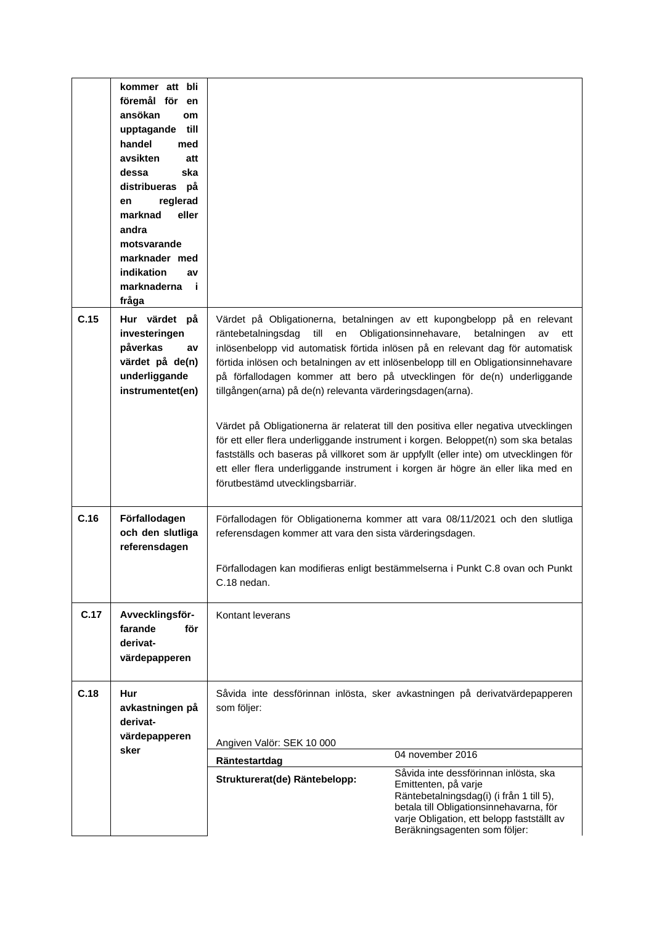|      | kommer att bli<br>föremål för en<br>ansökan<br>om<br>till<br>upptagande<br>handel<br>med<br>avsikten<br>att<br>ska<br>dessa<br>distribueras på<br>reglerad<br>en<br>marknad<br>eller<br>andra<br>motsvarande<br>marknader med<br>indikation<br>av<br>marknaderna<br>- i<br>fråga |                                                                                                                              |                                                                                                                                                                                                                                                                                                                                                                                                                                                                                                                                                                                                                                                                                                                                               |
|------|----------------------------------------------------------------------------------------------------------------------------------------------------------------------------------------------------------------------------------------------------------------------------------|------------------------------------------------------------------------------------------------------------------------------|-----------------------------------------------------------------------------------------------------------------------------------------------------------------------------------------------------------------------------------------------------------------------------------------------------------------------------------------------------------------------------------------------------------------------------------------------------------------------------------------------------------------------------------------------------------------------------------------------------------------------------------------------------------------------------------------------------------------------------------------------|
| C.15 | Hur värdet på<br>investeringen<br>påverkas<br>av<br>värdet på de(n)<br>underliggande<br>instrumentet(en)                                                                                                                                                                         | räntebetalningsdag<br>till<br>tillgången(arna) på de(n) relevanta värderingsdagen(arna).<br>förutbestämd utvecklingsbarriär. | Värdet på Obligationerna, betalningen av ett kupongbelopp på en relevant<br>en Obligationsinnehavare,<br>betalningen<br>av<br>ett<br>inlösenbelopp vid automatisk förtida inlösen på en relevant dag för automatisk<br>förtida inlösen och betalningen av ett inlösenbelopp till en Obligationsinnehavare<br>på förfallodagen kommer att bero på utvecklingen för de(n) underliggande<br>Värdet på Obligationerna är relaterat till den positiva eller negativa utvecklingen<br>för ett eller flera underliggande instrument i korgen. Beloppet(n) som ska betalas<br>fastställs och baseras på villkoret som är uppfyllt (eller inte) om utvecklingen för<br>ett eller flera underliggande instrument i korgen är högre än eller lika med en |
| C.16 | Förfallodagen<br>och den slutliga<br>referensdagen                                                                                                                                                                                                                               | referensdagen kommer att vara den sista värderingsdagen.<br>C.18 nedan.                                                      | Förfallodagen för Obligationerna kommer att vara 08/11/2021 och den slutliga<br>Förfallodagen kan modifieras enligt bestämmelserna i Punkt C.8 ovan och Punkt                                                                                                                                                                                                                                                                                                                                                                                                                                                                                                                                                                                 |
| C.17 | Avvecklingsför-<br>farande<br>för<br>derivat-<br>värdepapperen                                                                                                                                                                                                                   | Kontant leverans                                                                                                             |                                                                                                                                                                                                                                                                                                                                                                                                                                                                                                                                                                                                                                                                                                                                               |
| C.18 | Hur<br>avkastningen på<br>derivat-<br>värdepapperen                                                                                                                                                                                                                              | som följer:<br>Angiven Valör: SEK 10 000                                                                                     | Såvida inte dessförinnan inlösta, sker avkastningen på derivatvärdepapperen                                                                                                                                                                                                                                                                                                                                                                                                                                                                                                                                                                                                                                                                   |
|      | sker                                                                                                                                                                                                                                                                             | Räntestartdag                                                                                                                | 04 november 2016                                                                                                                                                                                                                                                                                                                                                                                                                                                                                                                                                                                                                                                                                                                              |
|      |                                                                                                                                                                                                                                                                                  | Strukturerat(de) Räntebelopp:                                                                                                | Såvida inte dessförinnan inlösta, ska<br>Emittenten, på varje<br>Räntebetalningsdag(i) (i från 1 till 5),<br>betala till Obligationsinnehavarna, för<br>varje Obligation, ett belopp fastställt av<br>Beräkningsagenten som följer:                                                                                                                                                                                                                                                                                                                                                                                                                                                                                                           |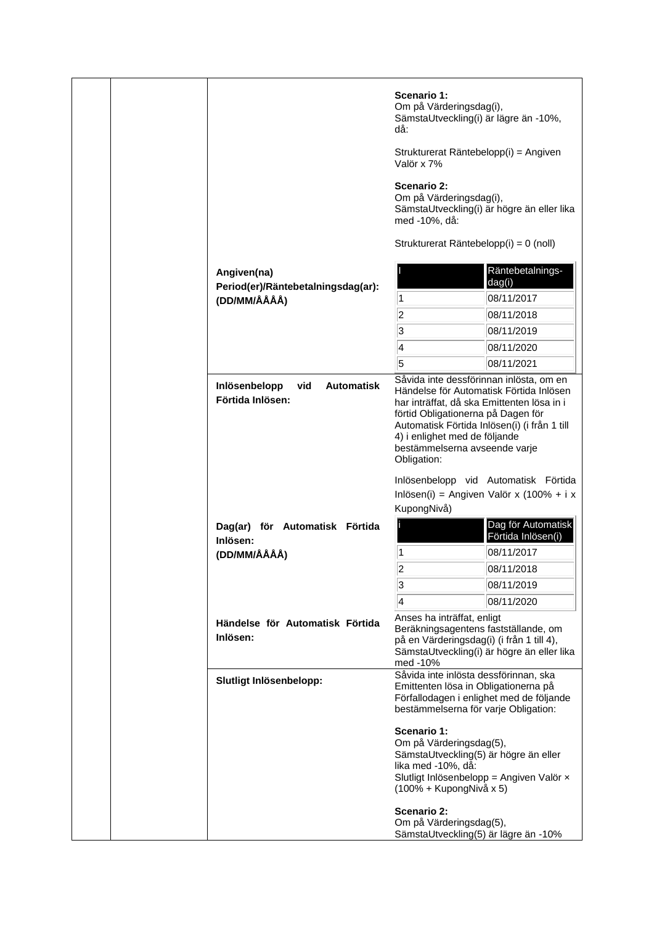|  |                                                               | Scenario 1:<br>Om på Värderingsdag(i),<br>SämstaUtveckling(i) är lägre än -10%,<br>då:<br>Strukturerat Räntebelopp(i) = Angiven                 |                                                                                                                                                                                  |
|--|---------------------------------------------------------------|-------------------------------------------------------------------------------------------------------------------------------------------------|----------------------------------------------------------------------------------------------------------------------------------------------------------------------------------|
|  |                                                               | Valör x 7%                                                                                                                                      |                                                                                                                                                                                  |
|  |                                                               | Scenario 2:<br>Om på Värderingsdag(i),<br>med -10%, då:                                                                                         | SämstaUtveckling(i) är högre än eller lika                                                                                                                                       |
|  |                                                               | Strukturerat Räntebelopp(i) = 0 (noll)                                                                                                          |                                                                                                                                                                                  |
|  | Angiven(na)<br>Period(er)/Räntebetalningsdag(ar):             |                                                                                                                                                 | Räntebetalnings-<br>dag(i)                                                                                                                                                       |
|  | (DD/MM/ÅÅÅÅ)                                                  | 1                                                                                                                                               | 08/11/2017                                                                                                                                                                       |
|  |                                                               | $\overline{2}$                                                                                                                                  | 08/11/2018                                                                                                                                                                       |
|  |                                                               | 3                                                                                                                                               | 08/11/2019                                                                                                                                                                       |
|  |                                                               | 4                                                                                                                                               | 08/11/2020                                                                                                                                                                       |
|  |                                                               | 5                                                                                                                                               | 08/11/2021                                                                                                                                                                       |
|  | <b>Automatisk</b><br>Inlösenbelopp<br>vid<br>Förtida Inlösen: | förtid Obligationerna på Dagen för<br>4) i enlighet med de följande<br>bestämmelserna avseende varje<br>Obligation:                             | Såvida inte dessförinnan inlösta, om en<br>Händelse för Automatisk Förtida Inlösen<br>har inträffat, då ska Emittenten lösa in i<br>Automatisk Förtida Inlösen(i) (i från 1 till |
|  |                                                               | KupongNivå)                                                                                                                                     | Inlösenbelopp vid Automatisk Förtida<br>Inlösen(i) = Angiven Valör x (100% + i x                                                                                                 |
|  | Dag(ar) för Automatisk Förtida<br>Inlösen:                    |                                                                                                                                                 | Dag för Automatisk<br>Förtida Inlösen(i)                                                                                                                                         |
|  | (DD/MM/ÅÅÅÅ)                                                  | 1<br>$\overline{\mathbf{c}}$                                                                                                                    | 08/11/2017<br>08/11/2018                                                                                                                                                         |
|  |                                                               | 3                                                                                                                                               | 08/11/2019                                                                                                                                                                       |
|  |                                                               | 4                                                                                                                                               | 08/11/2020                                                                                                                                                                       |
|  | Händelse för Automatisk Förtida<br>Inlösen:                   | Anses ha inträffat, enligt<br>Beräkningsagentens fastställande, om<br>på en Värderingsdag(i) (i från 1 till 4),<br>med -10%                     | SämstaUtveckling(i) är högre än eller lika                                                                                                                                       |
|  | Slutligt Inlösenbelopp:                                       | Såvida inte inlösta dessförinnan, ska<br>Emittenten lösa in Obligationerna på<br>bestämmelserna för varje Obligation:                           | Förfallodagen i enlighet med de följande                                                                                                                                         |
|  |                                                               | Scenario 1:<br>Om på Värderingsdag(5),<br>SämstaUtveckling(5) är högre än eller<br>lika med -10%, då:<br>(100% + KupongNivå x 5)<br>Scenario 2: | Slutligt Inlösenbelopp = Angiven Valör x                                                                                                                                         |
|  |                                                               | Om på Värderingsdag(5),<br>SämstaUtveckling(5) är lägre än -10%                                                                                 |                                                                                                                                                                                  |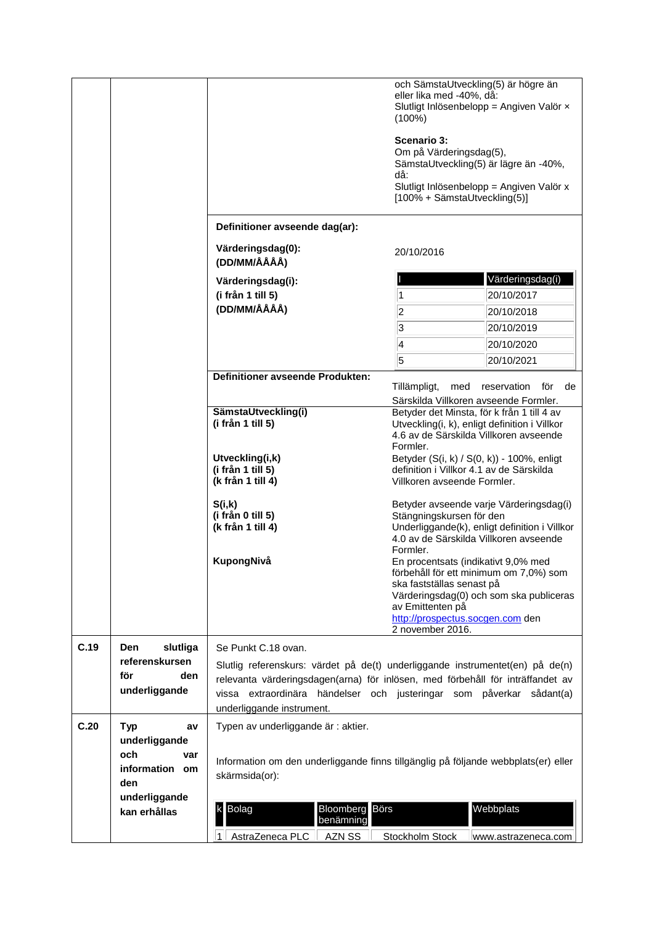|      |                                   |                                                                                    | och SämstaUtveckling(5) är högre än<br>eller lika med -40%, då:<br>$(100\%)$<br>Scenario 3:<br>Om på Värderingsdag(5),<br>SämstaUtveckling(5) är lägre än -40%,<br>då:<br>[100% + SämstaUtveckling(5)] | Slutligt Inlösenbelopp = Angiven Valör x<br>Slutligt Inlösenbelopp = Angiven Valör x |
|------|-----------------------------------|------------------------------------------------------------------------------------|--------------------------------------------------------------------------------------------------------------------------------------------------------------------------------------------------------|--------------------------------------------------------------------------------------|
|      |                                   | Definitioner avseende dag(ar):                                                     |                                                                                                                                                                                                        |                                                                                      |
|      |                                   | Värderingsdag(0):<br>(DD/MM/ÅÅÅÅ)                                                  | 20/10/2016                                                                                                                                                                                             |                                                                                      |
|      |                                   | Värderingsdag(i):                                                                  |                                                                                                                                                                                                        | Värderingsdag(i)                                                                     |
|      |                                   | (i från 1 till 5)                                                                  | 1                                                                                                                                                                                                      | 20/10/2017                                                                           |
|      |                                   | (DD/MM/ÅÅÅÅ)                                                                       | 2                                                                                                                                                                                                      | 20/10/2018                                                                           |
|      |                                   |                                                                                    | 3                                                                                                                                                                                                      | 20/10/2019                                                                           |
|      |                                   |                                                                                    | 4                                                                                                                                                                                                      | 20/10/2020                                                                           |
|      |                                   |                                                                                    | 5                                                                                                                                                                                                      | 20/10/2021                                                                           |
|      |                                   | <b>Definitioner avseende Produkten:</b>                                            |                                                                                                                                                                                                        |                                                                                      |
|      |                                   |                                                                                    | Tillämpligt,<br>med                                                                                                                                                                                    | reservation<br>för<br>de                                                             |
|      |                                   | SämstaUtveckling(i)                                                                | Särskilda Villkoren avseende Formler.<br>Betyder det Minsta, för k från 1 till 4 av                                                                                                                    |                                                                                      |
|      |                                   | (i från 1 till 5)                                                                  | Utveckling(i, k), enligt definition i Villkor<br>4.6 av de Särskilda Villkoren avseende<br>Formler.                                                                                                    |                                                                                      |
|      |                                   | Utveckling(i,k)                                                                    | Betyder (S(i, k) / S(0, k)) - 100%, enligt                                                                                                                                                             |                                                                                      |
|      |                                   | (i från 1 till 5)                                                                  | definition i Villkor 4.1 av de Särskilda                                                                                                                                                               |                                                                                      |
|      |                                   | (k från 1 till 4)                                                                  | Villkoren avseende Formler.                                                                                                                                                                            |                                                                                      |
|      |                                   | S(i,k)                                                                             |                                                                                                                                                                                                        | Betyder avseende varje Värderingsdag(i)                                              |
|      |                                   | (i från 0 till 5)                                                                  | Stängningskursen för den                                                                                                                                                                               |                                                                                      |
|      |                                   | (k från 1 till 4)                                                                  | 4.0 av de Särskilda Villkoren avseende<br>Formler.                                                                                                                                                     | Underliggande(k), enligt definition i Villkor                                        |
|      |                                   | KupongNivå                                                                         | En procentsats (indikativt 9,0% med<br>förbehåll för ett minimum om 7,0%) som                                                                                                                          |                                                                                      |
|      |                                   |                                                                                    | ska fastställas senast på<br>av Emittenten på                                                                                                                                                          | Värderingsdag(0) och som ska publiceras                                              |
|      |                                   |                                                                                    | http://prospectus.socgen.com den<br>2 november 2016.                                                                                                                                                   |                                                                                      |
| C.19 | slutliga<br>Den                   | Se Punkt C.18 ovan.                                                                |                                                                                                                                                                                                        |                                                                                      |
|      | referenskursen                    | Slutlig referenskurs: värdet på de(t) underliggande instrumentet(en) på de(n)      |                                                                                                                                                                                                        |                                                                                      |
|      | för<br>den                        | relevanta värderingsdagen(arna) för inlösen, med förbehåll för inträffandet av     |                                                                                                                                                                                                        |                                                                                      |
|      | underliggande                     | vissa extraordinära händelser och justeringar som påverkar sådant(a)               |                                                                                                                                                                                                        |                                                                                      |
|      |                                   | underliggande instrument.                                                          |                                                                                                                                                                                                        |                                                                                      |
| C.20 | <b>Typ</b><br>av<br>underliggande | Typen av underliggande är : aktier.                                                |                                                                                                                                                                                                        |                                                                                      |
|      | och<br>var                        | Information om den underliggande finns tillgänglig på följande webbplats(er) eller |                                                                                                                                                                                                        |                                                                                      |
|      | information om                    | skärmsida(or):                                                                     |                                                                                                                                                                                                        |                                                                                      |
|      | den                               |                                                                                    |                                                                                                                                                                                                        |                                                                                      |
|      | underliggande<br>kan erhållas     | Börs<br>Bolag<br>k<br>Bloomberg                                                    |                                                                                                                                                                                                        | Webbplats                                                                            |
|      |                                   | benämning                                                                          |                                                                                                                                                                                                        |                                                                                      |
|      |                                   | AstraZeneca PLC<br>AZN SS                                                          | Stockholm Stock                                                                                                                                                                                        | www.astrazeneca.com                                                                  |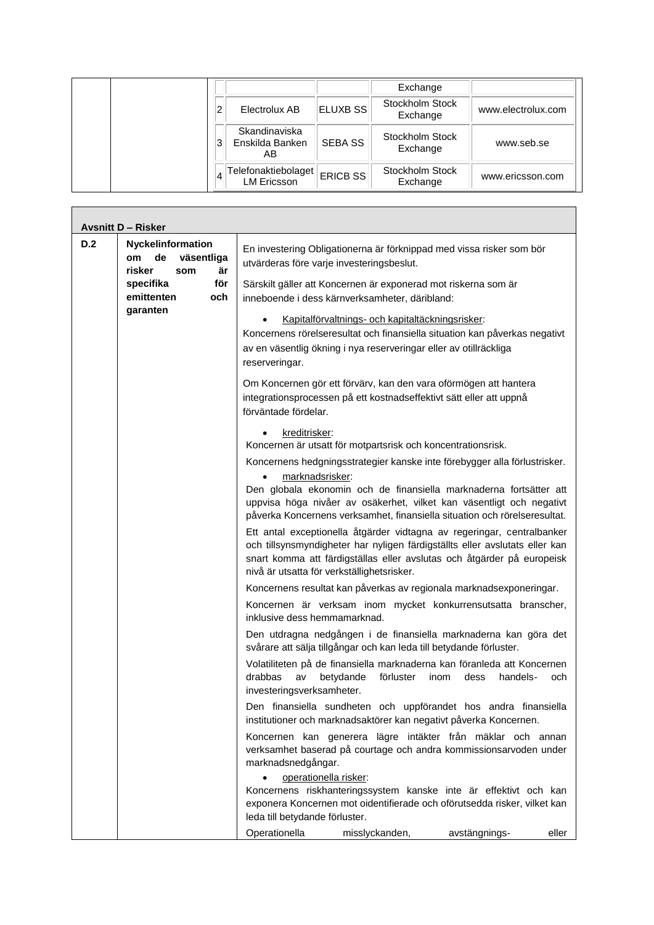|   |                                           |                 | Exchange                    |                    |
|---|-------------------------------------------|-----------------|-----------------------------|--------------------|
| 2 | Electrolux AB                             | <b>ELUXB SS</b> | Stockholm Stock<br>Exchange | www.electrolux.com |
| 3 | Skandinaviska<br>Enskilda Banken<br>AΒ    | <b>SEBA SS</b>  | Stockholm Stock<br>Exchange | www.seb.se         |
|   | Telefonaktiebolaget<br><b>LM Ericsson</b> | <b>ERICB SS</b> | Stockholm Stock<br>Exchange | www.ericsson.com   |

Г

|     | <b>Avsnitt D - Risker</b>                                                 |                                                                                                                                                                                                                                                                                                                         |
|-----|---------------------------------------------------------------------------|-------------------------------------------------------------------------------------------------------------------------------------------------------------------------------------------------------------------------------------------------------------------------------------------------------------------------|
| D.2 | Nyckelinformation<br>väsentliga<br>de<br><b>om</b><br>risker<br>är<br>som | En investering Obligationerna är förknippad med vissa risker som bör<br>utvärderas före varje investeringsbeslut.                                                                                                                                                                                                       |
|     | för<br>specifika<br>emittenten<br>och                                     | Särskilt gäller att Koncernen är exponerad mot riskerna som är<br>inneboende i dess kärnverksamheter, däribland:                                                                                                                                                                                                        |
|     | garanten                                                                  | Kapitalförvaltnings- och kapitaltäckningsrisker:<br>Koncernens rörelseresultat och finansiella situation kan påverkas negativt<br>av en väsentlig ökning i nya reserveringar eller av otillräckliga<br>reserveringar.                                                                                                   |
|     |                                                                           | Om Koncernen gör ett förvärv, kan den vara oförmögen att hantera<br>integrationsprocessen på ett kostnadseffektivt sätt eller att uppnå<br>förväntade fördelar.                                                                                                                                                         |
|     |                                                                           | kreditrisker:<br>Koncernen är utsatt för motpartsrisk och koncentrationsrisk.                                                                                                                                                                                                                                           |
|     |                                                                           | Koncernens hedgningsstrategier kanske inte förebygger alla förlustrisker.<br>marknadsrisker:<br>Den globala ekonomin och de finansiella marknaderna fortsätter att<br>uppvisa höga nivåer av osäkerhet, vilket kan väsentligt och negativt<br>påverka Koncernens verksamhet, finansiella situation och rörelseresultat. |
|     |                                                                           | Ett antal exceptionella åtgärder vidtagna av regeringar, centralbanker<br>och tillsynsmyndigheter har nyligen färdigställts eller avslutats eller kan<br>snart komma att färdigställas eller avslutas och åtgärder på europeisk<br>nivå är utsatta för verkställighetsrisker.                                           |
|     |                                                                           | Koncernens resultat kan påverkas av regionala marknadsexponeringar.                                                                                                                                                                                                                                                     |
|     |                                                                           | Koncernen är verksam inom mycket konkurrensutsatta branscher,<br>inklusive dess hemmamarknad.                                                                                                                                                                                                                           |
|     |                                                                           | Den utdragna nedgången i de finansiella marknaderna kan göra det<br>svårare att sälja tillgångar och kan leda till betydande förluster.                                                                                                                                                                                 |
|     |                                                                           | Volatiliteten på de finansiella marknaderna kan föranleda att Koncernen<br>drabbas<br>av<br>betydande<br>förluster<br>inom<br>dess<br>handels-<br>och.<br>investeringsverksamheter.                                                                                                                                     |
|     |                                                                           | Den finansiella sundheten och uppförandet hos andra finansiella<br>institutioner och marknadsaktörer kan negativt påverka Koncernen.                                                                                                                                                                                    |
|     |                                                                           | Koncernen kan generera lägre intäkter från mäklar och annan<br>verksamhet baserad på courtage och andra kommissionsarvoden under<br>marknadsnedgångar.                                                                                                                                                                  |
|     |                                                                           | operationella risker:<br>Koncernens riskhanteringssystem kanske inte är effektivt och kan<br>exponera Koncernen mot oidentifierade och oförutsedda risker, vilket kan<br>leda till betydande förluster.                                                                                                                 |
|     |                                                                           | Operationella<br>misslyckanden,<br>avstängnings-<br>eller                                                                                                                                                                                                                                                               |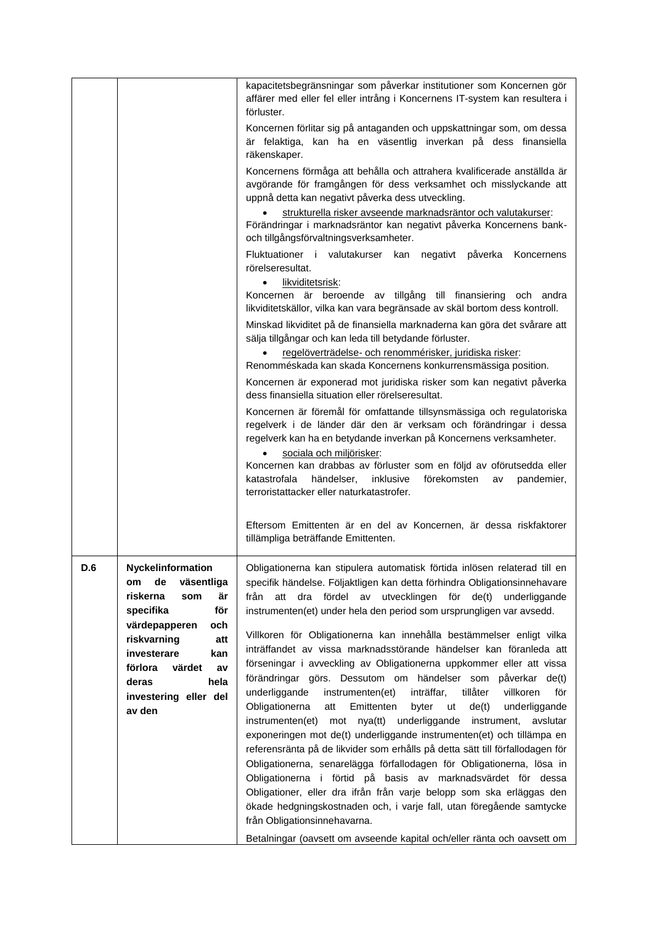|     |                                                                                                              | kapacitetsbegränsningar som påverkar institutioner som Koncernen gör<br>affärer med eller fel eller intrång i Koncernens IT-system kan resultera i<br>förluster.                                                                                                                                                                                                                                   |
|-----|--------------------------------------------------------------------------------------------------------------|----------------------------------------------------------------------------------------------------------------------------------------------------------------------------------------------------------------------------------------------------------------------------------------------------------------------------------------------------------------------------------------------------|
|     |                                                                                                              | Koncernen förlitar sig på antaganden och uppskattningar som, om dessa<br>är felaktiga, kan ha en väsentlig inverkan på dess finansiella<br>räkenskaper.                                                                                                                                                                                                                                            |
|     |                                                                                                              | Koncernens förmåga att behålla och attrahera kvalificerade anställda är<br>avgörande för framgången för dess verksamhet och misslyckande att<br>uppnå detta kan negativt påverka dess utveckling.<br>strukturella risker avseende marknadsräntor och valutakurser:                                                                                                                                 |
|     |                                                                                                              | Förändringar i marknadsräntor kan negativt påverka Koncernens bank-<br>och tillgångsförvaltningsverksamheter.                                                                                                                                                                                                                                                                                      |
|     |                                                                                                              | Fluktuationer i valutakurser kan<br>negativt påverka<br>Koncernens<br>rörelseresultat.                                                                                                                                                                                                                                                                                                             |
|     |                                                                                                              | likviditetsrisk:<br>$\bullet$<br>Koncernen är beroende av tillgång till finansiering<br>och andra<br>likviditetskällor, vilka kan vara begränsade av skäl bortom dess kontroll.                                                                                                                                                                                                                    |
|     |                                                                                                              | Minskad likviditet på de finansiella marknaderna kan göra det svårare att<br>sälja tillgångar och kan leda till betydande förluster.<br>regelöverträdelse- och renommérisker, juridiska risker:                                                                                                                                                                                                    |
|     |                                                                                                              | Renomméskada kan skada Koncernens konkurrensmässiga position.<br>Koncernen är exponerad mot juridiska risker som kan negativt påverka                                                                                                                                                                                                                                                              |
|     |                                                                                                              | dess finansiella situation eller rörelseresultat.<br>Koncernen är föremål för omfattande tillsynsmässiga och regulatoriska                                                                                                                                                                                                                                                                         |
|     |                                                                                                              | regelverk i de länder där den är verksam och förändringar i dessa<br>regelverk kan ha en betydande inverkan på Koncernens verksamheter.                                                                                                                                                                                                                                                            |
|     |                                                                                                              | sociala och miljörisker:<br>Koncernen kan drabbas av förluster som en följd av oförutsedda eller<br>katastrofala<br>händelser,<br>inklusive<br>förekomsten<br>av<br>pandemier,<br>terroristattacker eller naturkatastrofer.                                                                                                                                                                        |
|     |                                                                                                              | Eftersom Emittenten är en del av Koncernen, är dessa riskfaktorer<br>tillämpliga beträffande Emittenten.                                                                                                                                                                                                                                                                                           |
| D.6 | Nyckelinformation<br>väsentliga<br>de<br>om<br>riskerna<br>är<br>som<br>för<br>specifika                     | Obligationerna kan stipulera automatisk förtida inlösen relaterad till en<br>specifik händelse. Följaktligen kan detta förhindra Obligationsinnehavare<br>fördel av utvecklingen för<br>från<br>att<br>dra<br>de(t)<br>underliggande<br>instrumenten(et) under hela den period som ursprungligen var avsedd.                                                                                       |
|     | värdepapperen<br>och<br>riskvarning<br>att<br>investerare<br>kan<br>förlora<br>värdet<br>av<br>hela<br>deras | Villkoren för Obligationerna kan innehålla bestämmelser enligt vilka<br>inträffandet av vissa marknadsstörande händelser kan föranleda att<br>förseningar i avveckling av Obligationerna uppkommer eller att vissa<br>förändringar görs. Dessutom om händelser som påverkar de(t)                                                                                                                  |
|     | investering eller del<br>av den                                                                              | underliggande<br>inträffar,<br>tillåter<br>villkoren<br>instrumenten(et)<br>för<br>Obligationerna<br>Emittenten<br>byter<br>ut<br>de(t)<br>underliggande<br>att<br>mot nya(tt) underliggande<br>instrumenten(et)<br>instrument, avslutar<br>exponeringen mot de(t) underliggande instrumenten(et) och tillämpa en<br>referensränta på de likvider som erhålls på detta sätt till förfallodagen för |
|     |                                                                                                              | Obligationerna, senarelägga förfallodagen för Obligationerna, lösa in<br>Obligationerna i förtid på basis av marknadsvärdet för dessa<br>Obligationer, eller dra ifrån från varje belopp som ska erläggas den                                                                                                                                                                                      |
|     |                                                                                                              | ökade hedgningskostnaden och, i varje fall, utan föregående samtycke<br>från Obligationsinnehavarna.                                                                                                                                                                                                                                                                                               |
|     |                                                                                                              | Betalningar (oavsett om avseende kapital och/eller ränta och oavsett om                                                                                                                                                                                                                                                                                                                            |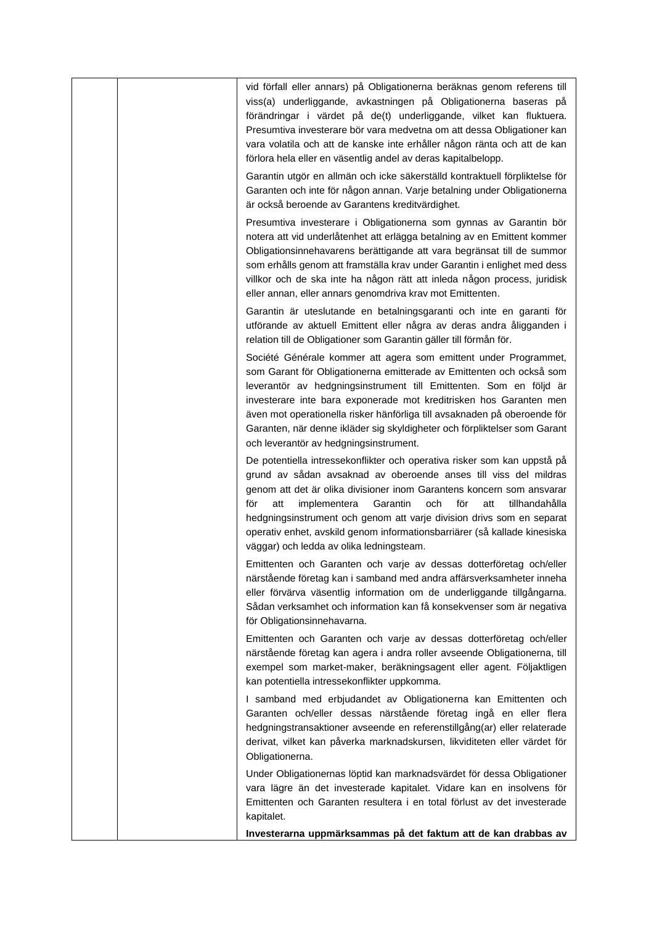|  | vid förfall eller annars) på Obligationerna beräknas genom referens till<br>viss(a) underliggande, avkastningen på Obligationerna baseras på<br>förändringar i värdet på de(t) underliggande, vilket kan fluktuera.<br>Presumtiva investerare bör vara medvetna om att dessa Obligationer kan<br>vara volatila och att de kanske inte erhåller någon ränta och att de kan<br>förlora hela eller en väsentlig andel av deras kapitalbelopp.                                                               |
|--|----------------------------------------------------------------------------------------------------------------------------------------------------------------------------------------------------------------------------------------------------------------------------------------------------------------------------------------------------------------------------------------------------------------------------------------------------------------------------------------------------------|
|  | Garantin utgör en allmän och icke säkerställd kontraktuell förpliktelse för<br>Garanten och inte för någon annan. Varje betalning under Obligationerna<br>är också beroende av Garantens kreditvärdighet.                                                                                                                                                                                                                                                                                                |
|  | Presumtiva investerare i Obligationerna som gynnas av Garantin bör<br>notera att vid underlåtenhet att erlägga betalning av en Emittent kommer<br>Obligationsinnehavarens berättigande att vara begränsat till de summor<br>som erhålls genom att framställa krav under Garantin i enlighet med dess<br>villkor och de ska inte ha någon rätt att inleda någon process, juridisk<br>eller annan, eller annars genomdriva krav mot Emittenten.                                                            |
|  | Garantin är uteslutande en betalningsgaranti och inte en garanti för<br>utförande av aktuell Emittent eller några av deras andra åligganden i<br>relation till de Obligationer som Garantin gäller till förmån för.                                                                                                                                                                                                                                                                                      |
|  | Société Générale kommer att agera som emittent under Programmet,<br>som Garant för Obligationerna emitterade av Emittenten och också som<br>leverantör av hedgningsinstrument till Emittenten. Som en följd är<br>investerare inte bara exponerade mot kreditrisken hos Garanten men<br>även mot operationella risker hänförliga till avsaknaden på oberoende för<br>Garanten, när denne ikläder sig skyldigheter och förpliktelser som Garant<br>och leverantör av hedgningsinstrument.                 |
|  | De potentiella intressekonflikter och operativa risker som kan uppstå på<br>grund av sådan avsaknad av oberoende anses till viss del mildras<br>genom att det är olika divisioner inom Garantens koncern som ansvarar<br>Garantin<br>för<br>för<br>att<br>implementera<br>och<br>att<br>tillhandahålla<br>hedgningsinstrument och genom att varje division drivs som en separat<br>operativ enhet, avskild genom informationsbarriärer (så kallade kinesiska<br>väggar) och ledda av olika ledningsteam. |
|  | Emittenten och Garanten och varje av dessas dotterföretag och/eller<br>närstående företag kan i samband med andra affärsverksamheter inneha<br>eller förvärva väsentlig information om de underliggande tillgångarna.<br>Sådan verksamhet och information kan få konsekvenser som är negativa<br>för Obligationsinnehavarna.                                                                                                                                                                             |
|  | Emittenten och Garanten och varje av dessas dotterföretag och/eller<br>närstående företag kan agera i andra roller avseende Obligationerna, till<br>exempel som market-maker, beräkningsagent eller agent. Följaktligen<br>kan potentiella intressekonflikter uppkomma.                                                                                                                                                                                                                                  |
|  | I samband med erbjudandet av Obligationerna kan Emittenten och<br>Garanten och/eller dessas närstående företag ingå en eller flera<br>hedgningstransaktioner avseende en referenstillgång(ar) eller relaterade<br>derivat, vilket kan påverka marknadskursen, likviditeten eller värdet för<br>Obligationerna.                                                                                                                                                                                           |
|  | Under Obligationernas löptid kan marknadsvärdet för dessa Obligationer<br>vara lägre än det investerade kapitalet. Vidare kan en insolvens för<br>Emittenten och Garanten resultera i en total förlust av det investerade<br>kapitalet.                                                                                                                                                                                                                                                                  |
|  | Investerarna uppmärksammas på det faktum att de kan drabbas av                                                                                                                                                                                                                                                                                                                                                                                                                                           |